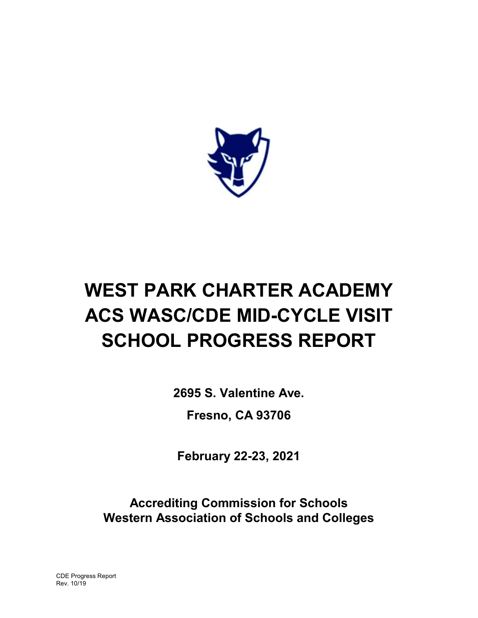

# WEST PARK CHARTER ACADEMY ACS WASC/CDE MID-CYCLE VISIT SCHOOL PROGRESS REPORT

2695 S. Valentine Ave.

Fresno, CA 93706

February 22-23, 2021

Accrediting Commission for Schools Western Association of Schools and Colleges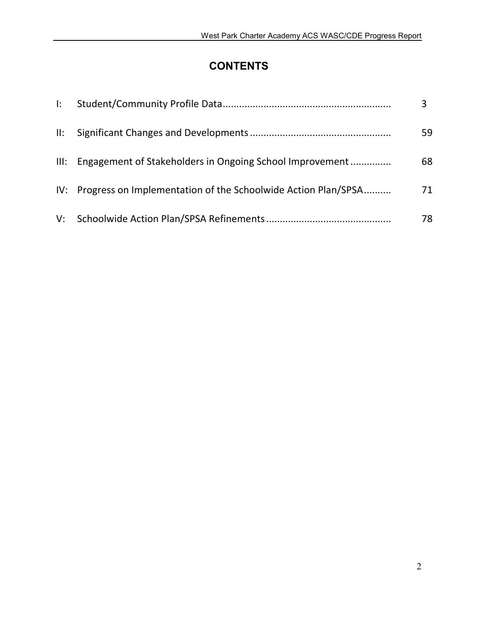# **CONTENTS**

| $\mathbf{E}$ |                                                                   |    |
|--------------|-------------------------------------------------------------------|----|
|              |                                                                   | 59 |
|              | III: Engagement of Stakeholders in Ongoing School Improvement     | 68 |
|              | IV: Progress on Implementation of the Schoolwide Action Plan/SPSA | 71 |
|              |                                                                   | 78 |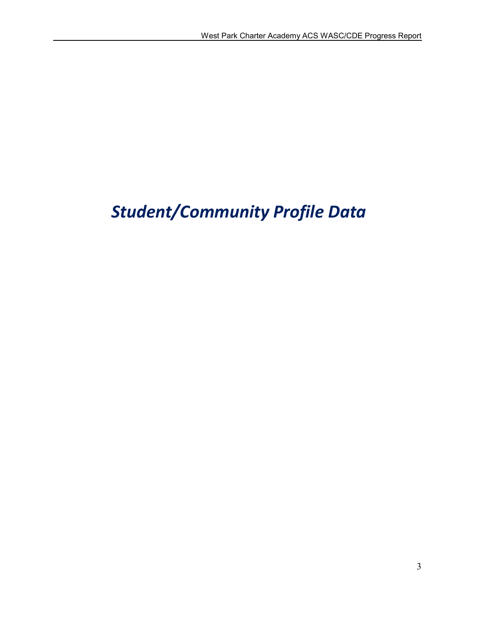# *Student/Community Profile Data*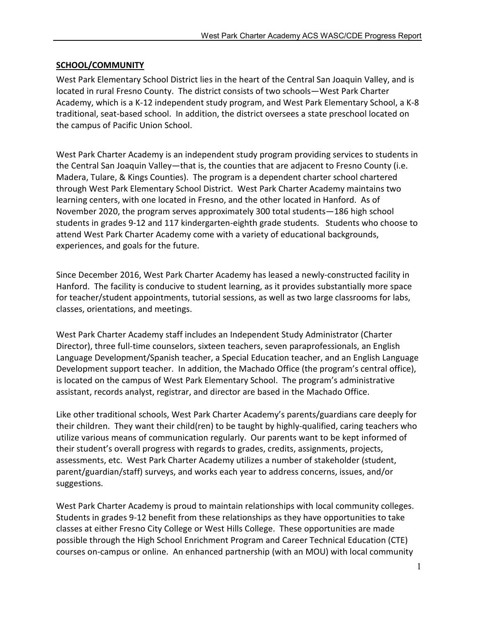#### SCHOOL/COMMUNITY

West Park Elementary School District lies in the heart of the Central San Joaquin Valley, and is located in rural Fresno County. The district consists of two schools—West Park Charter Academy, which is a K-12 independent study program, and West Park Elementary School, a K-8 traditional, seat-based school. In addition, the district oversees a state preschool located on the campus of Pacific Union School.

West Park Charter Academy is an independent study program providing services to students in the Central San Joaquin Valley—that is, the counties that are adjacent to Fresno County (i.e. Madera, Tulare, & Kings Counties). The program is a dependent charter school chartered through West Park Elementary School District. West Park Charter Academy maintains two learning centers, with one located in Fresno, and the other located in Hanford. As of November 2020, the program serves approximately 300 total students—186 high school students in grades 9-12 and 117 kindergarten-eighth grade students. Students who choose to attend West Park Charter Academy come with a variety of educational backgrounds, experiences, and goals for the future.

Since December 2016, West Park Charter Academy has leased a newly-constructed facility in Hanford. The facility is conducive to student learning, as it provides substantially more space for teacher/student appointments, tutorial sessions, as well as two large classrooms for labs, classes, orientations, and meetings.

West Park Charter Academy staff includes an Independent Study Administrator (Charter Director), three full-time counselors, sixteen teachers, seven paraprofessionals, an English Language Development/Spanish teacher, a Special Education teacher, and an English Language Development support teacher. In addition, the Machado Office (the program's central office), is located on the campus of West Park Elementary School. The program's administrative assistant, records analyst, registrar, and director are based in the Machado Office.

Like other traditional schools, West Park Charter Academy's parents/guardians care deeply for their children. They want their child(ren) to be taught by highly-qualified, caring teachers who utilize various means of communication regularly. Our parents want to be kept informed of their student's overall progress with regards to grades, credits, assignments, projects, assessments, etc. West Park Charter Academy utilizes a number of stakeholder (student, parent/guardian/staff) surveys, and works each year to address concerns, issues, and/or suggestions.

West Park Charter Academy is proud to maintain relationships with local community colleges. Students in grades 9-12 benefit from these relationships as they have opportunities to take classes at either Fresno City College or West Hills College. These opportunities are made possible through the High School Enrichment Program and Career Technical Education (CTE) courses on-campus or online. An enhanced partnership (with an MOU) with local community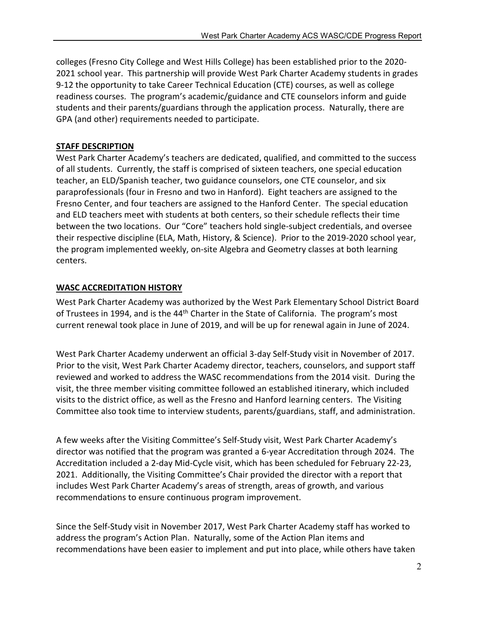colleges (Fresno City College and West Hills College) has been established prior to the 2020- 2021 school year. This partnership will provide West Park Charter Academy students in grades 9-12 the opportunity to take Career Technical Education (CTE) courses, as well as college readiness courses. The program's academic/guidance and CTE counselors inform and guide students and their parents/guardians through the application process. Naturally, there are GPA (and other) requirements needed to participate.

### STAFF DESCRIPTION

West Park Charter Academy's teachers are dedicated, qualified, and committed to the success of all students. Currently, the staff is comprised of sixteen teachers, one special education teacher, an ELD/Spanish teacher, two guidance counselors, one CTE counselor, and six paraprofessionals (four in Fresno and two in Hanford). Eight teachers are assigned to the Fresno Center, and four teachers are assigned to the Hanford Center. The special education and ELD teachers meet with students at both centers, so their schedule reflects their time between the two locations. Our "Core" teachers hold single-subject credentials, and oversee their respective discipline (ELA, Math, History, & Science). Prior to the 2019-2020 school year, the program implemented weekly, on-site Algebra and Geometry classes at both learning centers.

#### WASC ACCREDITATION HISTORY

West Park Charter Academy was authorized by the West Park Elementary School District Board of Trustees in 1994, and is the 44<sup>th</sup> Charter in the State of California. The program's most current renewal took place in June of 2019, and will be up for renewal again in June of 2024.

West Park Charter Academy underwent an official 3-day Self-Study visit in November of 2017. Prior to the visit, West Park Charter Academy director, teachers, counselors, and support staff reviewed and worked to address the WASC recommendations from the 2014 visit. During the visit, the three member visiting committee followed an established itinerary, which included visits to the district office, as well as the Fresno and Hanford learning centers. The Visiting Committee also took time to interview students, parents/guardians, staff, and administration.

A few weeks after the Visiting Committee's Self-Study visit, West Park Charter Academy's director was notified that the program was granted a 6-year Accreditation through 2024. The Accreditation included a 2-day Mid-Cycle visit, which has been scheduled for February 22-23, 2021. Additionally, the Visiting Committee's Chair provided the director with a report that includes West Park Charter Academy's areas of strength, areas of growth, and various recommendations to ensure continuous program improvement.

Since the Self-Study visit in November 2017, West Park Charter Academy staff has worked to address the program's Action Plan. Naturally, some of the Action Plan items and recommendations have been easier to implement and put into place, while others have taken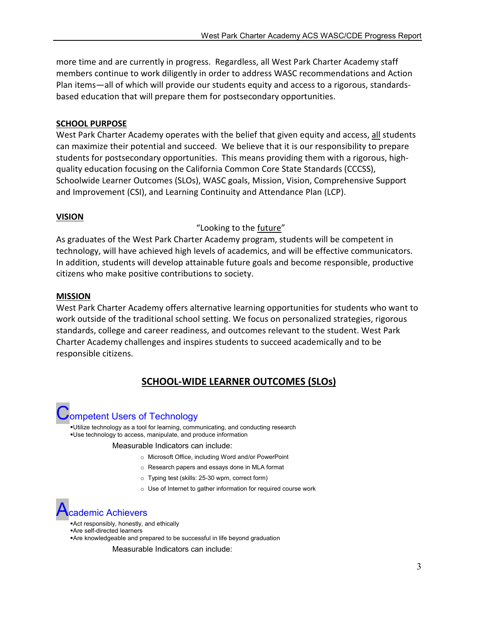more time and are currently in progress. Regardless, all West Park Charter Academy staff members continue to work diligently in order to address WASC recommendations and Action Plan items—all of which will provide our students equity and access to a rigorous, standardsbased education that will prepare them for postsecondary opportunities.

#### SCHOOL PURPOSE

West Park Charter Academy operates with the belief that given equity and access, all students can maximize their potential and succeed. We believe that it is our responsibility to prepare students for postsecondary opportunities. This means providing them with a rigorous, highquality education focusing on the California Common Core State Standards (CCCSS), Schoolwide Learner Outcomes (SLOs), WASC goals, Mission, Vision, Comprehensive Support and Improvement (CSI), and Learning Continuity and Attendance Plan (LCP).

#### VISION

#### "Looking to the future"

As graduates of the West Park Charter Academy program, students will be competent in technology, will have achieved high levels of academics, and will be effective communicators. In addition, students will develop attainable future goals and become responsible, productive citizens who make positive contributions to society.

#### MISSION

West Park Charter Academy offers alternative learning opportunities for students who want to work outside of the traditional school setting. We focus on personalized strategies, rigorous standards, college and career readiness, and outcomes relevant to the student. West Park Charter Academy challenges and inspires students to succeed academically and to be responsible citizens.

# SCHOOL-WIDE LEARNER OUTCOMES (SLOs)

# **Jompetent Users of Technology**

Utilize technology as a tool for learning, communicating, and conducting research Use technology to access, manipulate, and produce information

#### Measurable Indicators can include:

- o Microsoft Office, including Word and/or PowerPoint
- o Research papers and essays done in MLA format
- o Typing test (skills: 25-30 wpm, correct form)
- o Use of Internet to gather information for required course work

# demic Achievers

- Act responsibly, honestly, and ethically
- Are self-directed learners
- Are knowledgeable and prepared to be successful in life beyond graduation

Measurable Indicators can include: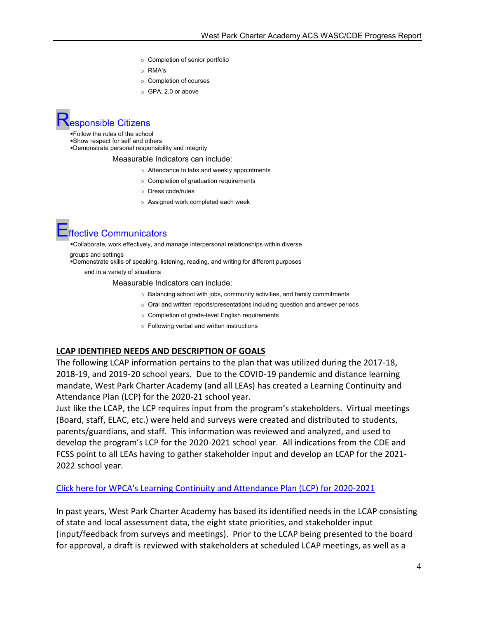- o Completion of senior portfolio
- o RMA's
- o Completion of courses
- o GPA: 2.0 or above

# esponsible Citizens

Follow the rules of the school Show respect for self and others Demonstrate personal responsibility and integrity

#### Measurable Indicators can include:

- o Attendance to labs and weekly appointments
- o Completion of graduation requirements
- o Dress code/rules
- o Assigned work completed each week

# Effective Communicators

Collaborate, work effectively, and manage interpersonal relationships within diverse

groups and settings

Demonstrate skills of speaking, listening, reading, and writing for different purposes

and in a variety of situations

Measurable Indicators can include:

- o Balancing school with jobs, community activities, and family commitments
- o Oral and written reports/presentations including question and answer periods
- o Completion of grade-level English requirements
- o Following verbal and written instructions

#### LCAP IDENTIFIED NEEDS AND DESCRIPTION OF GOALS

The following LCAP information pertains to the plan that was utilized during the 2017-18, 2018-19, and 2019-20 school years. Due to the COVID-19 pandemic and distance learning mandate, West Park Charter Academy (and all LEAs) has created a Learning Continuity and Attendance Plan (LCP) for the 2020-21 school year.

Just like the LCAP, the LCP requires input from the program's stakeholders. Virtual meetings (Board, staff, ELAC, etc.) were held and surveys were created and distributed to students, parents/guardians, and staff. This information was reviewed and analyzed, and used to develop the program's LCP for the 2020-2021 school year. All indications from the CDE and FCSS point to all LEAs having to gather stakeholder input and develop an LCAP for the 2021- 2022 school year.

#### Click here for WPCA's Learning Continuity and Attendance Plan (LCP) for 2020-2021

In past years, West Park Charter Academy has based its identified needs in the LCAP consisting of state and local assessment data, the eight state priorities, and stakeholder input (input/feedback from surveys and meetings). Prior to the LCAP being presented to the board for approval, a draft is reviewed with stakeholders at scheduled LCAP meetings, as well as a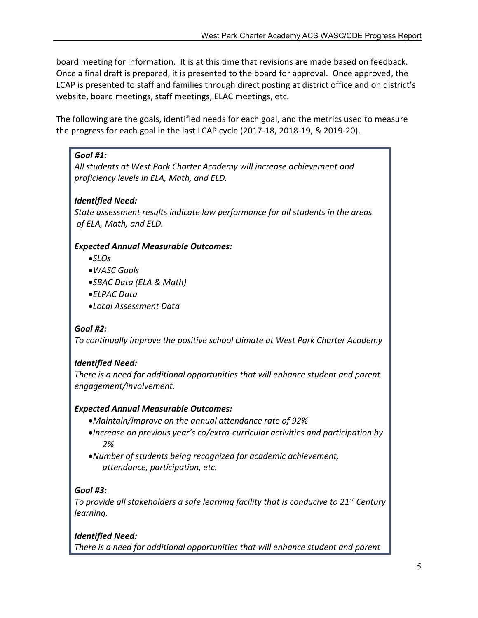board meeting for information. It is at this time that revisions are made based on feedback. Once a final draft is prepared, it is presented to the board for approval. Once approved, the LCAP is presented to staff and families through direct posting at district office and on district's website, board meetings, staff meetings, ELAC meetings, etc.

The following are the goals, identified needs for each goal, and the metrics used to measure the progress for each goal in the last LCAP cycle (2017-18, 2018-19, & 2019-20).

# *Goal #1:*

*All students at West Park Charter Academy will increase achievement and proficiency levels in ELA, Math, and ELD.*

# *Identified Need:*

*State assessment results indicate low performance for all students in the areas of ELA, Math, and ELD.* 

# *Expected Annual Measurable Outcomes:*

- *SLOs*
- *WASC Goals*
- *SBAC Data (ELA & Math)*
- *ELPAC Data*
- *Local Assessment Data*

# *Goal #2:*

*To continually improve the positive school climate at West Park Charter Academy*

# *Identified Need:*

*There is a need for additional opportunities that will enhance student and parent engagement/involvement.*

# *Expected Annual Measurable Outcomes:*

- *Maintain/improve on the annual attendance rate of 92%*
- *Increase on previous year's co/extra-curricular activities and participation by 2%*
- *Number of students being recognized for academic achievement, attendance, participation, etc.*

# *Goal #3:*

*To provide all stakeholders a safe learning facility that is conducive to 21st Century learning.*

# *Identified Need:*

*There is a need for additional opportunities that will enhance student and parent*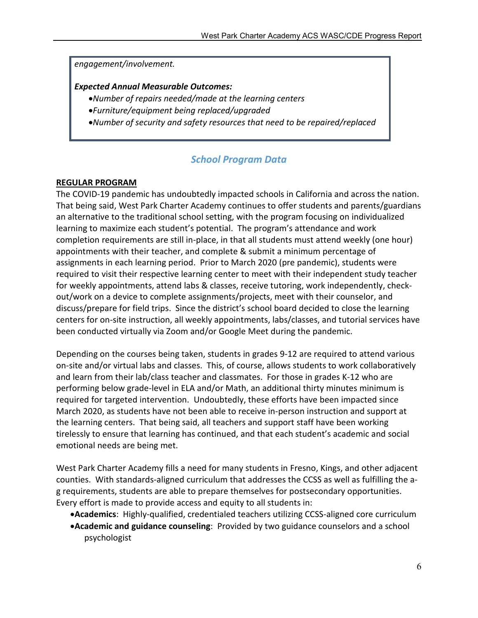#### *engagement/involvement.*

#### *Expected Annual Measurable Outcomes:*

- *Number of repairs needed/made at the learning centers*
- *Furniture/equipment being replaced/upgraded*
- *Number of security and safety resources that need to be repaired/replaced*

# *School Program Data*

#### REGULAR PROGRAM

The COVID-19 pandemic has undoubtedly impacted schools in California and across the nation. That being said, West Park Charter Academy continues to offer students and parents/guardians an alternative to the traditional school setting, with the program focusing on individualized learning to maximize each student's potential. The program's attendance and work completion requirements are still in-place, in that all students must attend weekly (one hour) appointments with their teacher, and complete & submit a minimum percentage of assignments in each learning period. Prior to March 2020 (pre pandemic), students were required to visit their respective learning center to meet with their independent study teacher for weekly appointments, attend labs & classes, receive tutoring, work independently, checkout/work on a device to complete assignments/projects, meet with their counselor, and discuss/prepare for field trips. Since the district's school board decided to close the learning centers for on-site instruction, all weekly appointments, labs/classes, and tutorial services have been conducted virtually via Zoom and/or Google Meet during the pandemic.

Depending on the courses being taken, students in grades 9-12 are required to attend various on-site and/or virtual labs and classes. This, of course, allows students to work collaboratively and learn from their lab/class teacher and classmates. For those in grades K-12 who are performing below grade-level in ELA and/or Math, an additional thirty minutes minimum is required for targeted intervention. Undoubtedly, these efforts have been impacted since March 2020, as students have not been able to receive in-person instruction and support at the learning centers. That being said, all teachers and support staff have been working tirelessly to ensure that learning has continued, and that each student's academic and social emotional needs are being met.

West Park Charter Academy fills a need for many students in Fresno, Kings, and other adjacent counties. With standards-aligned curriculum that addresses the CCSS as well as fulfilling the ag requirements, students are able to prepare themselves for postsecondary opportunities. Every effort is made to provide access and equity to all students in:

- Academics: Highly-qualified, credentialed teachers utilizing CCSS-aligned core curriculum
- Academic and guidance counseling: Provided by two guidance counselors and a school psychologist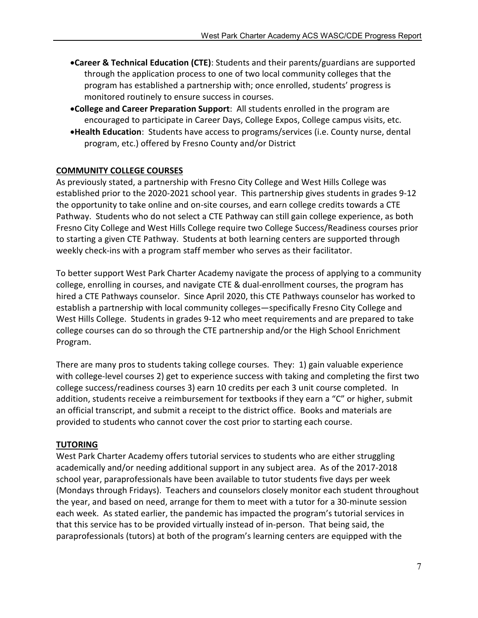- **•Career & Technical Education (CTE)**: Students and their parents/guardians are supported through the application process to one of two local community colleges that the program has established a partnership with; once enrolled, students' progress is monitored routinely to ensure success in courses.
- College and Career Preparation Support: All students enrolled in the program are encouraged to participate in Career Days, College Expos, College campus visits, etc.
- Health Education: Students have access to programs/services (i.e. County nurse, dental program, etc.) offered by Fresno County and/or District

#### COMMUNITY COLLEGE COURSES

As previously stated, a partnership with Fresno City College and West Hills College was established prior to the 2020-2021 school year. This partnership gives students in grades 9-12 the opportunity to take online and on-site courses, and earn college credits towards a CTE Pathway. Students who do not select a CTE Pathway can still gain college experience, as both Fresno City College and West Hills College require two College Success/Readiness courses prior to starting a given CTE Pathway. Students at both learning centers are supported through weekly check-ins with a program staff member who serves as their facilitator.

To better support West Park Charter Academy navigate the process of applying to a community college, enrolling in courses, and navigate CTE & dual-enrollment courses, the program has hired a CTE Pathways counselor. Since April 2020, this CTE Pathways counselor has worked to establish a partnership with local community colleges—specifically Fresno City College and West Hills College. Students in grades 9-12 who meet requirements and are prepared to take college courses can do so through the CTE partnership and/or the High School Enrichment Program.

There are many pros to students taking college courses. They: 1) gain valuable experience with college-level courses 2) get to experience success with taking and completing the first two college success/readiness courses 3) earn 10 credits per each 3 unit course completed. In addition, students receive a reimbursement for textbooks if they earn a "C" or higher, submit an official transcript, and submit a receipt to the district office. Books and materials are provided to students who cannot cover the cost prior to starting each course.

#### TUTORING

West Park Charter Academy offers tutorial services to students who are either struggling academically and/or needing additional support in any subject area. As of the 2017-2018 school year, paraprofessionals have been available to tutor students five days per week (Mondays through Fridays). Teachers and counselors closely monitor each student throughout the year, and based on need, arrange for them to meet with a tutor for a 30-minute session each week. As stated earlier, the pandemic has impacted the program's tutorial services in that this service has to be provided virtually instead of in-person. That being said, the paraprofessionals (tutors) at both of the program's learning centers are equipped with the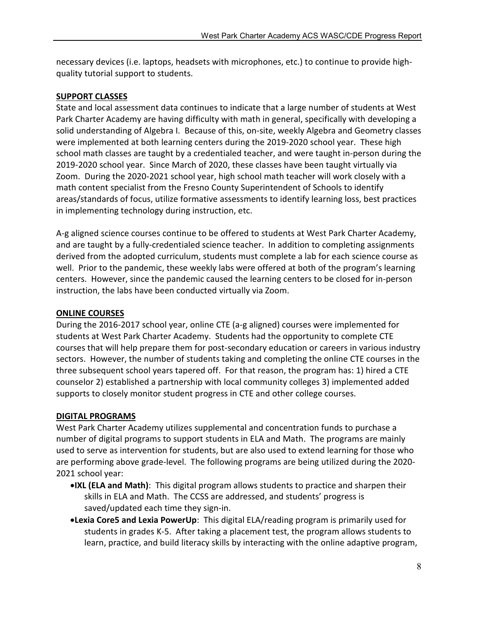necessary devices (i.e. laptops, headsets with microphones, etc.) to continue to provide highquality tutorial support to students.

#### SUPPORT CLASSES

State and local assessment data continues to indicate that a large number of students at West Park Charter Academy are having difficulty with math in general, specifically with developing a solid understanding of Algebra I. Because of this, on-site, weekly Algebra and Geometry classes were implemented at both learning centers during the 2019-2020 school year. These high school math classes are taught by a credentialed teacher, and were taught in-person during the 2019-2020 school year. Since March of 2020, these classes have been taught virtually via Zoom. During the 2020-2021 school year, high school math teacher will work closely with a math content specialist from the Fresno County Superintendent of Schools to identify areas/standards of focus, utilize formative assessments to identify learning loss, best practices in implementing technology during instruction, etc.

A-g aligned science courses continue to be offered to students at West Park Charter Academy, and are taught by a fully-credentialed science teacher. In addition to completing assignments derived from the adopted curriculum, students must complete a lab for each science course as well. Prior to the pandemic, these weekly labs were offered at both of the program's learning centers. However, since the pandemic caused the learning centers to be closed for in-person instruction, the labs have been conducted virtually via Zoom.

# ONLINE COURSES

During the 2016-2017 school year, online CTE (a-g aligned) courses were implemented for students at West Park Charter Academy. Students had the opportunity to complete CTE courses that will help prepare them for post-secondary education or careers in various industry sectors. However, the number of students taking and completing the online CTE courses in the three subsequent school years tapered off. For that reason, the program has: 1) hired a CTE counselor 2) established a partnership with local community colleges 3) implemented added supports to closely monitor student progress in CTE and other college courses.

# DIGITAL PROGRAMS

West Park Charter Academy utilizes supplemental and concentration funds to purchase a number of digital programs to support students in ELA and Math. The programs are mainly used to serve as intervention for students, but are also used to extend learning for those who are performing above grade-level. The following programs are being utilized during the 2020- 2021 school year:

- **. IXL (ELA and Math)**: This digital program allows students to practice and sharpen their skills in ELA and Math. The CCSS are addressed, and students' progress is saved/updated each time they sign-in.
- Lexia Core5 and Lexia PowerUp: This digital ELA/reading program is primarily used for students in grades K-5. After taking a placement test, the program allows students to learn, practice, and build literacy skills by interacting with the online adaptive program,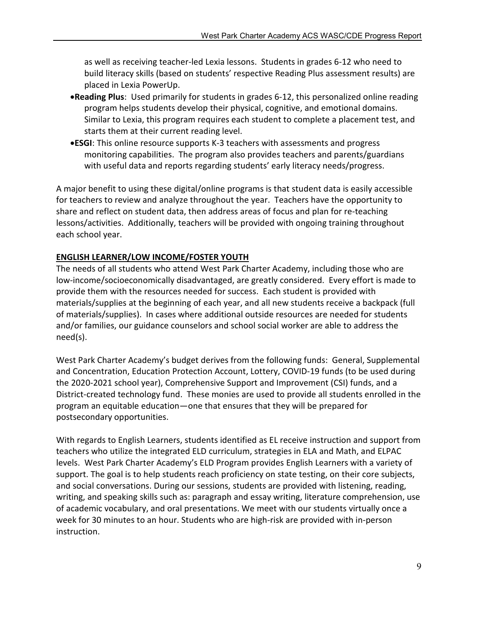as well as receiving teacher-led Lexia lessons. Students in grades 6-12 who need to build literacy skills (based on students' respective Reading Plus assessment results) are placed in Lexia PowerUp.

- Reading Plus: Used primarily for students in grades 6-12, this personalized online reading program helps students develop their physical, cognitive, and emotional domains. Similar to Lexia, this program requires each student to complete a placement test, and starts them at their current reading level.
- ESGI: This online resource supports K-3 teachers with assessments and progress monitoring capabilities. The program also provides teachers and parents/guardians with useful data and reports regarding students' early literacy needs/progress.

A major benefit to using these digital/online programs is that student data is easily accessible for teachers to review and analyze throughout the year. Teachers have the opportunity to share and reflect on student data, then address areas of focus and plan for re-teaching lessons/activities. Additionally, teachers will be provided with ongoing training throughout each school year.

#### ENGLISH LEARNER/LOW INCOME/FOSTER YOUTH

The needs of all students who attend West Park Charter Academy, including those who are low-income/socioeconomically disadvantaged, are greatly considered. Every effort is made to provide them with the resources needed for success. Each student is provided with materials/supplies at the beginning of each year, and all new students receive a backpack (full of materials/supplies). In cases where additional outside resources are needed for students and/or families, our guidance counselors and school social worker are able to address the need(s).

West Park Charter Academy's budget derives from the following funds: General, Supplemental and Concentration, Education Protection Account, Lottery, COVID-19 funds (to be used during the 2020-2021 school year), Comprehensive Support and Improvement (CSI) funds, and a District-created technology fund. These monies are used to provide all students enrolled in the program an equitable education—one that ensures that they will be prepared for postsecondary opportunities.

With regards to English Learners, students identified as EL receive instruction and support from teachers who utilize the integrated ELD curriculum, strategies in ELA and Math, and ELPAC levels. West Park Charter Academy's ELD Program provides English Learners with a variety of support. The goal is to help students reach proficiency on state testing, on their core subjects, and social conversations. During our sessions, students are provided with listening, reading, writing, and speaking skills such as: paragraph and essay writing, literature comprehension, use of academic vocabulary, and oral presentations. We meet with our students virtually once a week for 30 minutes to an hour. Students who are high-risk are provided with in-person instruction.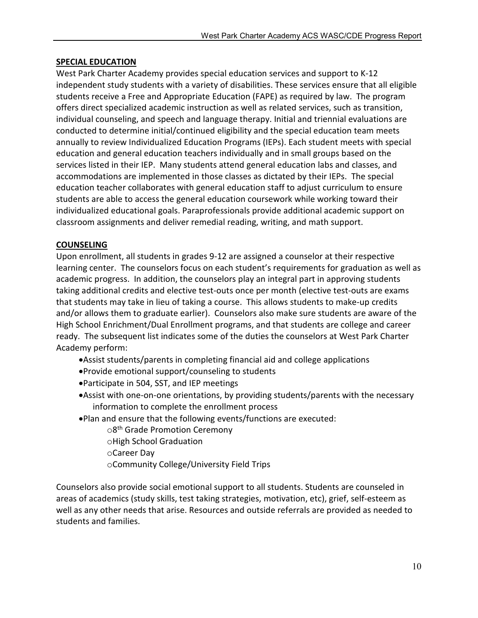#### SPECIAL EDUCATION

West Park Charter Academy provides special education services and support to K-12 independent study students with a variety of disabilities. These services ensure that all eligible students receive a Free and Appropriate Education (FAPE) as required by law. The program offers direct specialized academic instruction as well as related services, such as transition, individual counseling, and speech and language therapy. Initial and triennial evaluations are conducted to determine initial/continued eligibility and the special education team meets annually to review Individualized Education Programs (IEPs). Each student meets with special education and general education teachers individually and in small groups based on the services listed in their IEP. Many students attend general education labs and classes, and accommodations are implemented in those classes as dictated by their IEPs. The special education teacher collaborates with general education staff to adjust curriculum to ensure students are able to access the general education coursework while working toward their individualized educational goals. Paraprofessionals provide additional academic support on classroom assignments and deliver remedial reading, writing, and math support.

#### COUNSELING

Upon enrollment, all students in grades 9-12 are assigned a counselor at their respective learning center. The counselors focus on each student's requirements for graduation as well as academic progress. In addition, the counselors play an integral part in approving students taking additional credits and elective test-outs once per month (elective test-outs are exams that students may take in lieu of taking a course. This allows students to make-up credits and/or allows them to graduate earlier). Counselors also make sure students are aware of the High School Enrichment/Dual Enrollment programs, and that students are college and career ready. The subsequent list indicates some of the duties the counselors at West Park Charter Academy perform:

- Assist students/parents in completing financial aid and college applications
- Provide emotional support/counseling to students
- Participate in 504, SST, and IEP meetings
- Assist with one-on-one orientations, by providing students/parents with the necessary information to complete the enrollment process
- Plan and ensure that the following events/functions are executed:
	- $\circ$ 8<sup>th</sup> Grade Promotion Ceremony oHigh School Graduation oCareer Day oCommunity College/University Field Trips

Counselors also provide social emotional support to all students. Students are counseled in areas of academics (study skills, test taking strategies, motivation, etc), grief, self-esteem as well as any other needs that arise. Resources and outside referrals are provided as needed to students and families.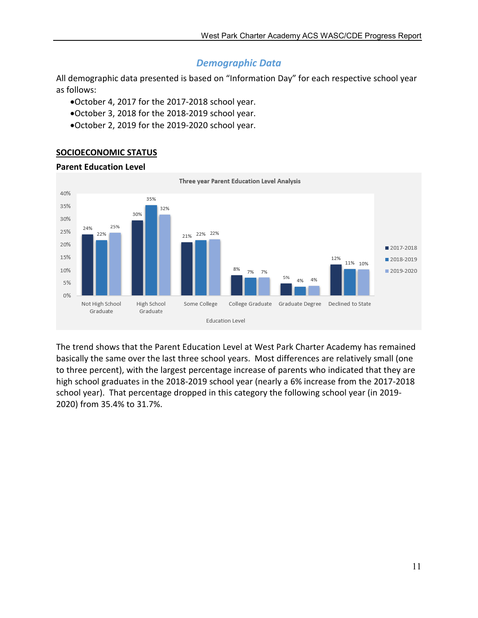# *Demographic Data*

All demographic data presented is based on "Information Day" for each respective school year as follows:

- October 4, 2017 for the 2017-2018 school year.
- October 3, 2018 for the 2018-2019 school year.
- October 2, 2019 for the 2019-2020 school year.

#### SOCIOECONOMIC STATUS

#### Parent Education Level



The trend shows that the Parent Education Level at West Park Charter Academy has remained basically the same over the last three school years. Most differences are relatively small (one to three percent), with the largest percentage increase of parents who indicated that they are high school graduates in the 2018-2019 school year (nearly a 6% increase from the 2017-2018 school year). That percentage dropped in this category the following school year (in 2019- 2020) from 35.4% to 31.7%.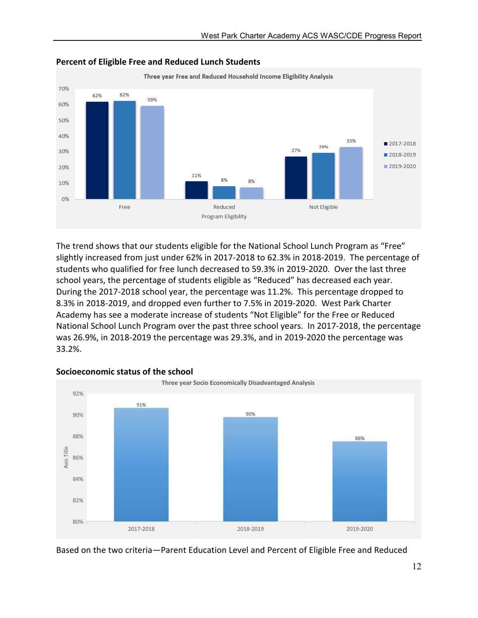

#### Percent of Eligible Free and Reduced Lunch Students

The trend shows that our students eligible for the National School Lunch Program as "Free" slightly increased from just under 62% in 2017-2018 to 62.3% in 2018-2019. The percentage of students who qualified for free lunch decreased to 59.3% in 2019-2020. Over the last three school years, the percentage of students eligible as "Reduced" has decreased each year. During the 2017-2018 school year, the percentage was 11.2%. This percentage dropped to 8.3% in 2018-2019, and dropped even further to 7.5% in 2019-2020. West Park Charter Academy has see a moderate increase of students "Not Eligible" for the Free or Reduced National School Lunch Program over the past three school years. In 2017-2018, the percentage was 26.9%, in 2018-2019 the percentage was 29.3%, and in 2019-2020 the percentage was 33.2%.



#### Socioeconomic status of the school

Based on the two criteria—Parent Education Level and Percent of Eligible Free and Reduced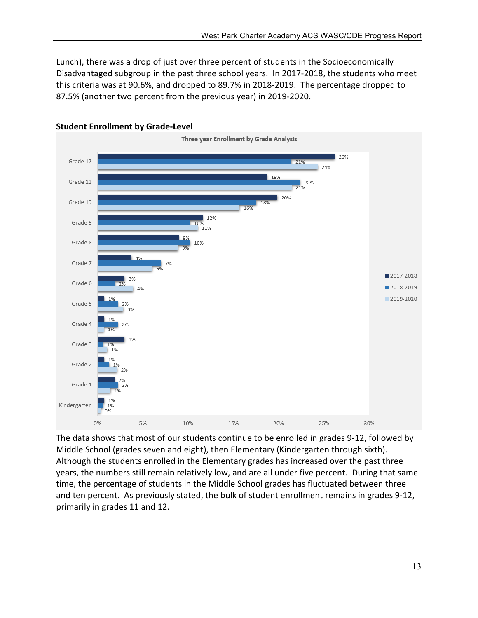Lunch), there was a drop of just over three percent of students in the Socioeconomically Disadvantaged subgroup in the past three school years. In 2017-2018, the students who meet this criteria was at 90.6%, and dropped to 89.7% in 2018-2019. The percentage dropped to 87.5% (another two percent from the previous year) in 2019-2020.



#### Student Enrollment by Grade-Level

The data shows that most of our students continue to be enrolled in grades 9-12, followed by Middle School (grades seven and eight), then Elementary (Kindergarten through sixth). Although the students enrolled in the Elementary grades has increased over the past three years, the numbers still remain relatively low, and are all under five percent. During that same time, the percentage of students in the Middle School grades has fluctuated between three and ten percent. As previously stated, the bulk of student enrollment remains in grades 9-12, primarily in grades 11 and 12.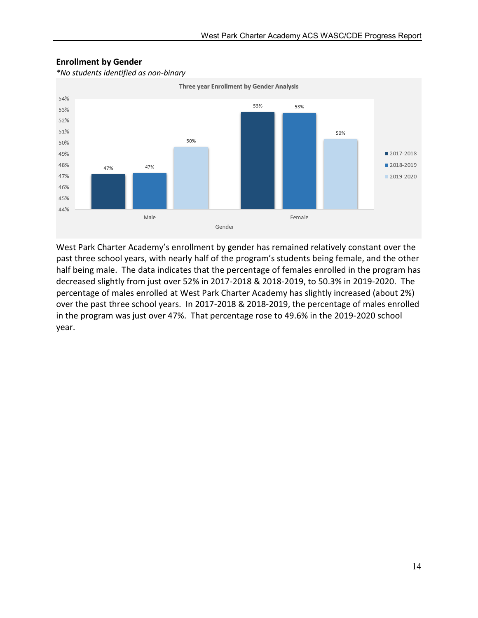

#### Enrollment by Gender

*\*No students identified as non-binary*

West Park Charter Academy's enrollment by gender has remained relatively constant over the past three school years, with nearly half of the program's students being female, and the other half being male. The data indicates that the percentage of females enrolled in the program has decreased slightly from just over 52% in 2017-2018 & 2018-2019, to 50.3% in 2019-2020. The percentage of males enrolled at West Park Charter Academy has slightly increased (about 2%) over the past three school years. In 2017-2018 & 2018-2019, the percentage of males enrolled in the program was just over 47%. That percentage rose to 49.6% in the 2019-2020 school year.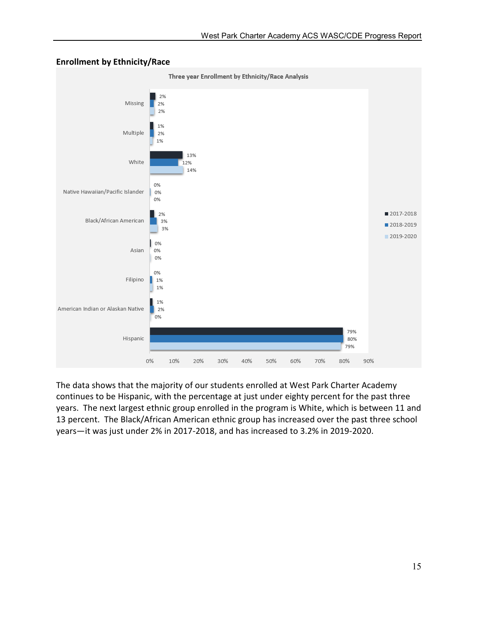

#### Enrollment by Ethnicity/Race

The data shows that the majority of our students enrolled at West Park Charter Academy continues to be Hispanic, with the percentage at just under eighty percent for the past three years. The next largest ethnic group enrolled in the program is White, which is between 11 and 13 percent. The Black/African American ethnic group has increased over the past three school years—it was just under 2% in 2017-2018, and has increased to 3.2% in 2019-2020.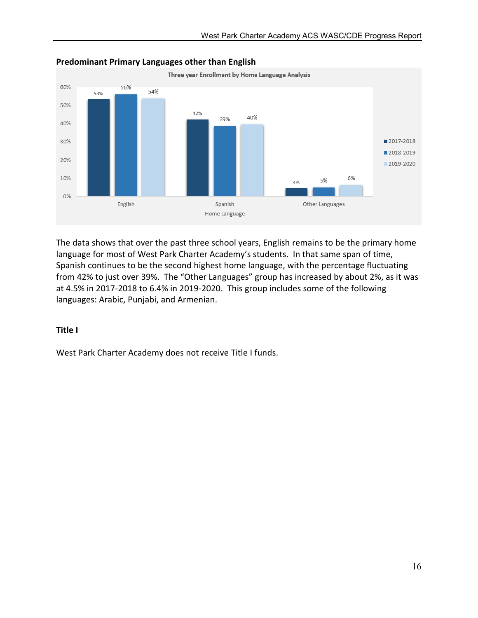

#### Predominant Primary Languages other than English

The data shows that over the past three school years, English remains to be the primary home language for most of West Park Charter Academy's students. In that same span of time, Spanish continues to be the second highest home language, with the percentage fluctuating from 42% to just over 39%. The "Other Languages" group has increased by about 2%, as it was at 4.5% in 2017-2018 to 6.4% in 2019-2020. This group includes some of the following languages: Arabic, Punjabi, and Armenian.

#### Title I

West Park Charter Academy does not receive Title I funds.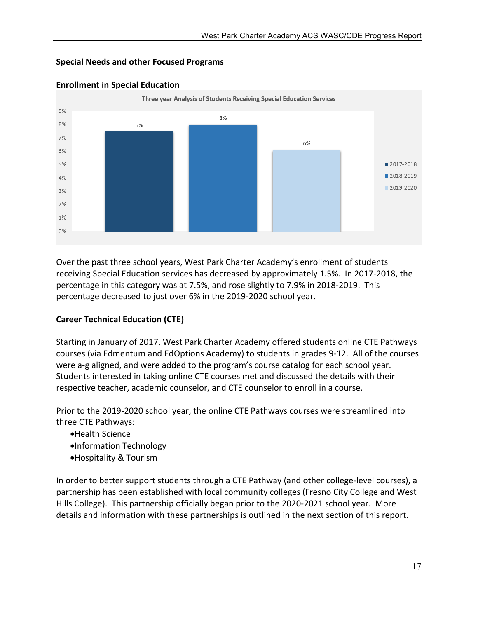#### Special Needs and other Focused Programs



#### Enrollment in Special Education

Over the past three school years, West Park Charter Academy's enrollment of students receiving Special Education services has decreased by approximately 1.5%. In 2017-2018, the percentage in this category was at 7.5%, and rose slightly to 7.9% in 2018-2019. This percentage decreased to just over 6% in the 2019-2020 school year.

#### Career Technical Education (CTE)

Starting in January of 2017, West Park Charter Academy offered students online CTE Pathways courses (via Edmentum and EdOptions Academy) to students in grades 9-12. All of the courses were a-g aligned, and were added to the program's course catalog for each school year. Students interested in taking online CTE courses met and discussed the details with their respective teacher, academic counselor, and CTE counselor to enroll in a course.

Prior to the 2019-2020 school year, the online CTE Pathways courses were streamlined into three CTE Pathways:

- Health Science
- Information Technology
- Hospitality & Tourism

In order to better support students through a CTE Pathway (and other college-level courses), a partnership has been established with local community colleges (Fresno City College and West Hills College). This partnership officially began prior to the 2020-2021 school year. More details and information with these partnerships is outlined in the next section of this report.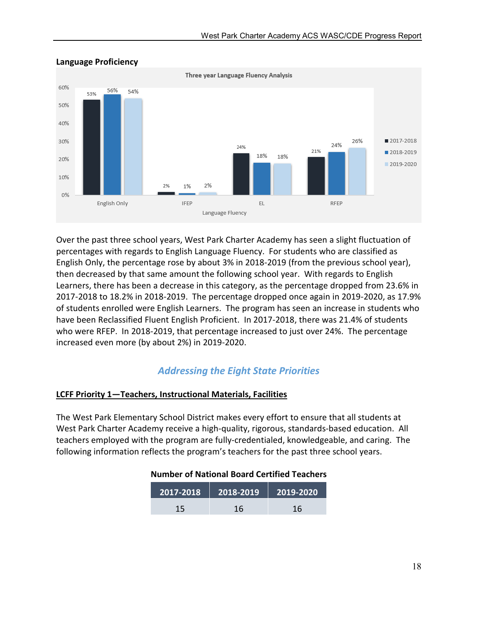

#### Language Proficiency

Over the past three school years, West Park Charter Academy has seen a slight fluctuation of percentages with regards to English Language Fluency. For students who are classified as English Only, the percentage rose by about 3% in 2018-2019 (from the previous school year), then decreased by that same amount the following school year. With regards to English Learners, there has been a decrease in this category, as the percentage dropped from 23.6% in 2017-2018 to 18.2% in 2018-2019. The percentage dropped once again in 2019-2020, as 17.9% of students enrolled were English Learners. The program has seen an increase in students who have been Reclassified Fluent English Proficient. In 2017-2018, there was 21.4% of students who were RFEP. In 2018-2019, that percentage increased to just over 24%. The percentage increased even more (by about 2%) in 2019-2020.

# *Addressing the Eight State Priorities*

#### LCFF Priority 1—Teachers, Instructional Materials, Facilities

The West Park Elementary School District makes every effort to ensure that all students at West Park Charter Academy receive a high-quality, rigorous, standards-based education. All teachers employed with the program are fully-credentialed, knowledgeable, and caring. The following information reflects the program's teachers for the past three school years.

#### Number of National Board Certified Teachers

| 2017-2018 | $\sqrt{2018}$ -2019 | 2019-2020 |  |
|-----------|---------------------|-----------|--|
| 15        | 16                  | 16        |  |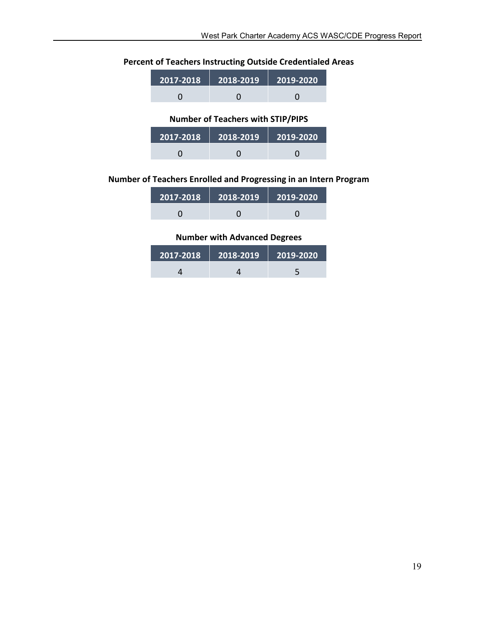# Percent of Teachers Instructing Outside Credentialed Areas

| $\overline{12017}$ -2018 $^\dagger$ | $\vert$ 2018-2019 $\vert$ 2019-2020 |  |
|-------------------------------------|-------------------------------------|--|
|                                     |                                     |  |

#### Number of Teachers with STIP/PIPS

| 2017-2018 | $\sqrt{2018-2019}$ | $2019 - 2020$ |  |
|-----------|--------------------|---------------|--|
|           |                    |               |  |

#### Number of Teachers Enrolled and Progressing in an Intern Program

| 2017-2018 | $2018 - 2019$ | $\blacksquare$ 2019-2020 |
|-----------|---------------|--------------------------|
|           |               |                          |

#### Number with Advanced Degrees

| 2017-2018 | $\blacksquare$ 2018-2019 | $\vert$ 2019-2020 |  |
|-----------|--------------------------|-------------------|--|
|           |                          |                   |  |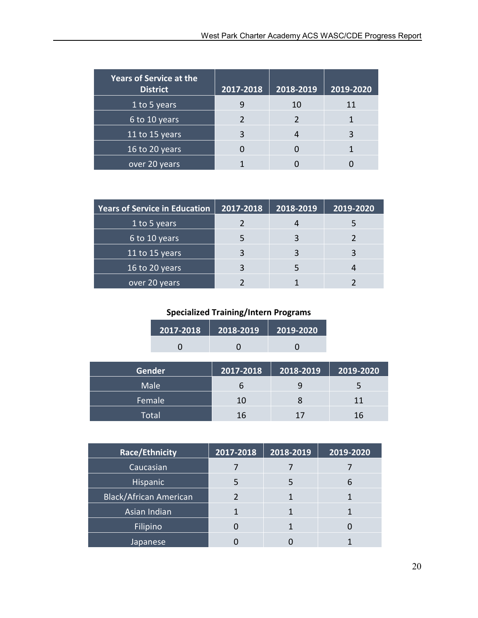| <b>Years of Service at the</b><br><b>District</b> | 2017-2018 | 2018-2019 | 2019-2020 |
|---------------------------------------------------|-----------|-----------|-----------|
| 1 to 5 years                                      | q         | 10        | 11        |
| 6 to 10 years                                     |           |           |           |
| 11 to 15 years                                    |           |           |           |
| 16 to 20 years                                    |           |           |           |
| over 20 years                                     |           |           |           |

| <b>Years of Service in Education</b> | 2017-2018 | 2018-2019 | 2019-2020 |
|--------------------------------------|-----------|-----------|-----------|
| 1 to 5 years                         |           |           |           |
| 6 to 10 years                        |           |           |           |
| 11 to 15 years                       | 3         |           |           |
| 16 to 20 years                       | 3         | 5         |           |
| over 20 years                        |           |           |           |

# Specialized Training/Intern Programs

| 2017-2018 | 2018-2019 | 2019-2020 |
|-----------|-----------|-----------|
|           |           |           |

| <b>Gender</b> | 2017-2018 | 2018-2019 | $\overline{)2019}$ -2020 |
|---------------|-----------|-----------|--------------------------|
| Male          | o         |           | 5                        |
| Female        | 10        |           | 11                       |
| Total         | 16        | 17        | 16                       |

| Race/Ethnicity                | 2017-2018 | 2018-2019 | 2019-2020 |
|-------------------------------|-----------|-----------|-----------|
| Caucasian                     |           |           |           |
| <b>Hispanic</b>               | 5         | 5         | 6         |
| <b>Black/African American</b> |           |           |           |
| Asian Indian                  |           |           |           |
| Filipino                      |           |           |           |
| Japanese                      |           |           |           |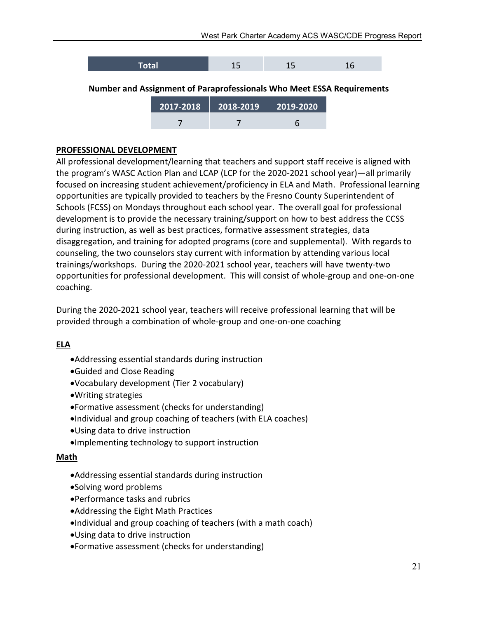

7 7 6

#### PROFESSIONAL DEVELOPMENT

All professional development/learning that teachers and support staff receive is aligned with the program's WASC Action Plan and LCAP (LCP for the 2020-2021 school year)—all primarily focused on increasing student achievement/proficiency in ELA and Math. Professional learning opportunities are typically provided to teachers by the Fresno County Superintendent of Schools (FCSS) on Mondays throughout each school year. The overall goal for professional development is to provide the necessary training/support on how to best address the CCSS during instruction, as well as best practices, formative assessment strategies, data disaggregation, and training for adopted programs (core and supplemental). With regards to counseling, the two counselors stay current with information by attending various local trainings/workshops. During the 2020-2021 school year, teachers will have twenty-two opportunities for professional development. This will consist of whole-group and one-on-one coaching.

During the 2020-2021 school year, teachers will receive professional learning that will be provided through a combination of whole-group and one-on-one coaching

#### ELA

- Addressing essential standards during instruction
- Guided and Close Reading
- Vocabulary development (Tier 2 vocabulary)
- Writing strategies
- Formative assessment (checks for understanding)
- Individual and group coaching of teachers (with ELA coaches)
- Using data to drive instruction
- Implementing technology to support instruction

#### Math

- Addressing essential standards during instruction
- Solving word problems
- Performance tasks and rubrics
- Addressing the Eight Math Practices
- Individual and group coaching of teachers (with a math coach)
- Using data to drive instruction
- Formative assessment (checks for understanding)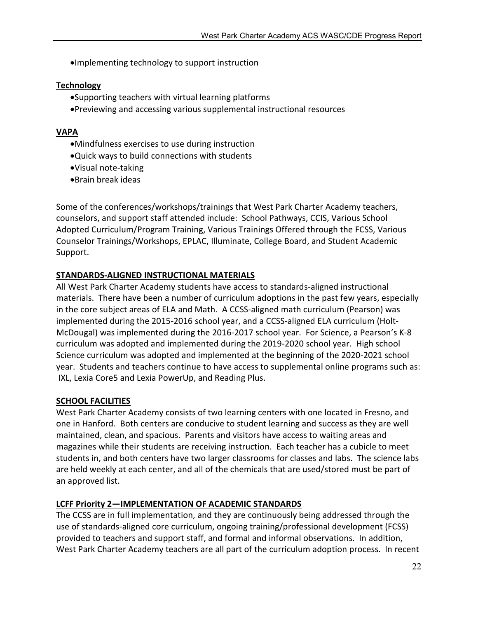Implementing technology to support instruction

#### **Technology**

- Supporting teachers with virtual learning platforms
- Previewing and accessing various supplemental instructional resources

#### VAPA

- Mindfulness exercises to use during instruction
- Quick ways to build connections with students
- Visual note-taking
- Brain break ideas

Some of the conferences/workshops/trainings that West Park Charter Academy teachers, counselors, and support staff attended include: School Pathways, CCIS, Various School Adopted Curriculum/Program Training, Various Trainings Offered through the FCSS, Various Counselor Trainings/Workshops, EPLAC, Illuminate, College Board, and Student Academic Support.

#### STANDARDS-ALIGNED INSTRUCTIONAL MATERIALS

All West Park Charter Academy students have access to standards-aligned instructional materials. There have been a number of curriculum adoptions in the past few years, especially in the core subject areas of ELA and Math. A CCSS-aligned math curriculum (Pearson) was implemented during the 2015-2016 school year, and a CCSS-aligned ELA curriculum (Holt-McDougal) was implemented during the 2016-2017 school year. For Science, a Pearson's K-8 curriculum was adopted and implemented during the 2019-2020 school year. High school Science curriculum was adopted and implemented at the beginning of the 2020-2021 school year. Students and teachers continue to have access to supplemental online programs such as: IXL, Lexia Core5 and Lexia PowerUp, and Reading Plus.

#### SCHOOL FACILITIES

West Park Charter Academy consists of two learning centers with one located in Fresno, and one in Hanford. Both centers are conducive to student learning and success as they are well maintained, clean, and spacious. Parents and visitors have access to waiting areas and magazines while their students are receiving instruction. Each teacher has a cubicle to meet students in, and both centers have two larger classrooms for classes and labs. The science labs are held weekly at each center, and all of the chemicals that are used/stored must be part of an approved list.

#### LCFF Priority 2—IMPLEMENTATION OF ACADEMIC STANDARDS

The CCSS are in full implementation, and they are continuously being addressed through the use of standards-aligned core curriculum, ongoing training/professional development (FCSS) provided to teachers and support staff, and formal and informal observations. In addition, West Park Charter Academy teachers are all part of the curriculum adoption process. In recent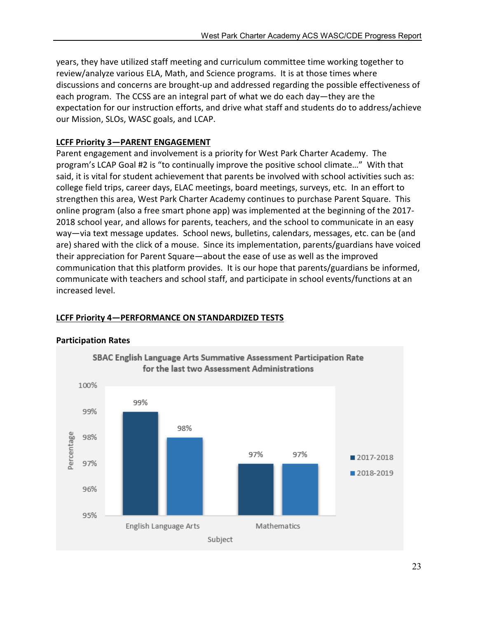years, they have utilized staff meeting and curriculum committee time working together to review/analyze various ELA, Math, and Science programs. It is at those times where discussions and concerns are brought-up and addressed regarding the possible effectiveness of each program. The CCSS are an integral part of what we do each day—they are the expectation for our instruction efforts, and drive what staff and students do to address/achieve our Mission, SLOs, WASC goals, and LCAP.

#### LCFF Priority 3—PARENT ENGAGEMENT

Parent engagement and involvement is a priority for West Park Charter Academy. The program's LCAP Goal #2 is "to continually improve the positive school climate…" With that said, it is vital for student achievement that parents be involved with school activities such as: college field trips, career days, ELAC meetings, board meetings, surveys, etc. In an effort to strengthen this area, West Park Charter Academy continues to purchase Parent Square. This online program (also a free smart phone app) was implemented at the beginning of the 2017- 2018 school year, and allows for parents, teachers, and the school to communicate in an easy way—via text message updates. School news, bulletins, calendars, messages, etc. can be (and are) shared with the click of a mouse. Since its implementation, parents/guardians have voiced their appreciation for Parent Square—about the ease of use as well as the improved communication that this platform provides. It is our hope that parents/guardians be informed, communicate with teachers and school staff, and participate in school events/functions at an increased level.

#### LCFF Priority 4—PERFORMANCE ON STANDARDIZED TESTS



#### Participation Rates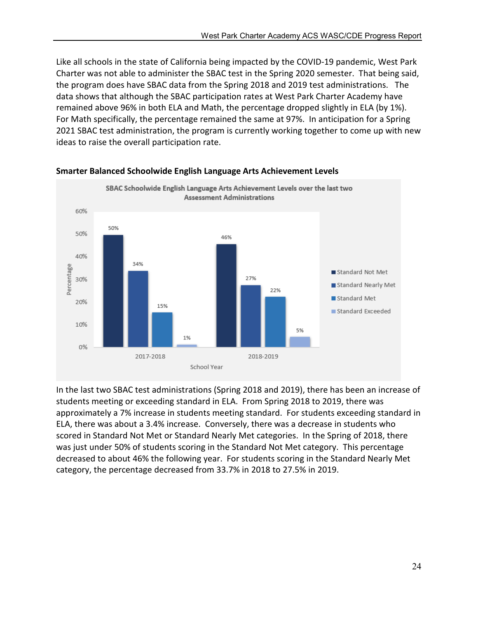Like all schools in the state of California being impacted by the COVID-19 pandemic, West Park Charter was not able to administer the SBAC test in the Spring 2020 semester. That being said, the program does have SBAC data from the Spring 2018 and 2019 test administrations. The data shows that although the SBAC participation rates at West Park Charter Academy have remained above 96% in both ELA and Math, the percentage dropped slightly in ELA (by 1%). For Math specifically, the percentage remained the same at 97%. In anticipation for a Spring 2021 SBAC test administration, the program is currently working together to come up with new ideas to raise the overall participation rate.



#### Smarter Balanced Schoolwide English Language Arts Achievement Levels

In the last two SBAC test administrations (Spring 2018 and 2019), there has been an increase of students meeting or exceeding standard in ELA. From Spring 2018 to 2019, there was approximately a 7% increase in students meeting standard. For students exceeding standard in ELA, there was about a 3.4% increase. Conversely, there was a decrease in students who scored in Standard Not Met or Standard Nearly Met categories. In the Spring of 2018, there was just under 50% of students scoring in the Standard Not Met category. This percentage decreased to about 46% the following year. For students scoring in the Standard Nearly Met category, the percentage decreased from 33.7% in 2018 to 27.5% in 2019.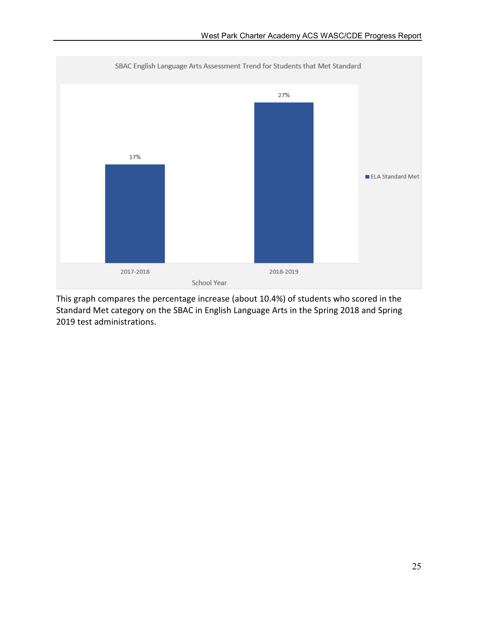

This graph compares the percentage increase (about 10.4%) of students who scored in the Standard Met category on the SBAC in English Language Arts in the Spring 2018 and Spring 2019 test administrations.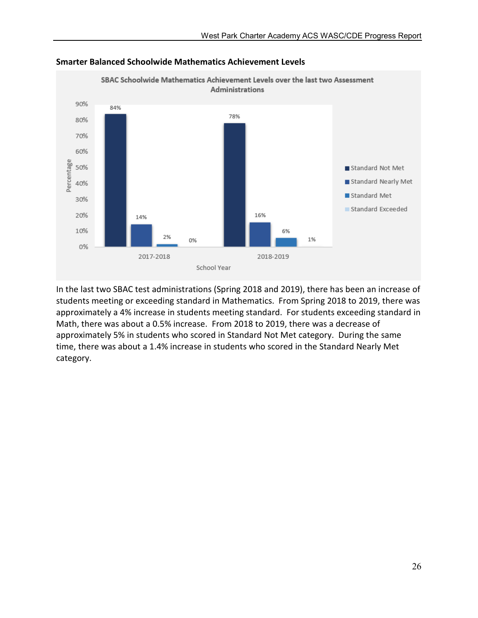

Smarter Balanced Schoolwide Mathematics Achievement Levels

In the last two SBAC test administrations (Spring 2018 and 2019), there has been an increase of students meeting or exceeding standard in Mathematics. From Spring 2018 to 2019, there was approximately a 4% increase in students meeting standard. For students exceeding standard in Math, there was about a 0.5% increase. From 2018 to 2019, there was a decrease of approximately 5% in students who scored in Standard Not Met category. During the same time, there was about a 1.4% increase in students who scored in the Standard Nearly Met category.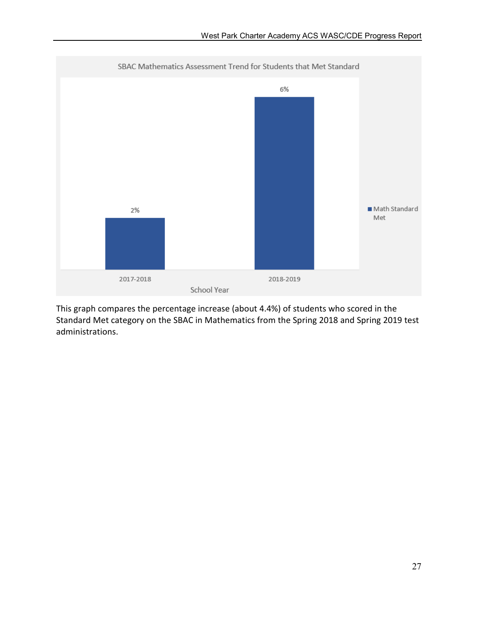

This graph compares the percentage increase (about 4.4%) of students who scored in the Standard Met category on the SBAC in Mathematics from the Spring 2018 and Spring 2019 test administrations.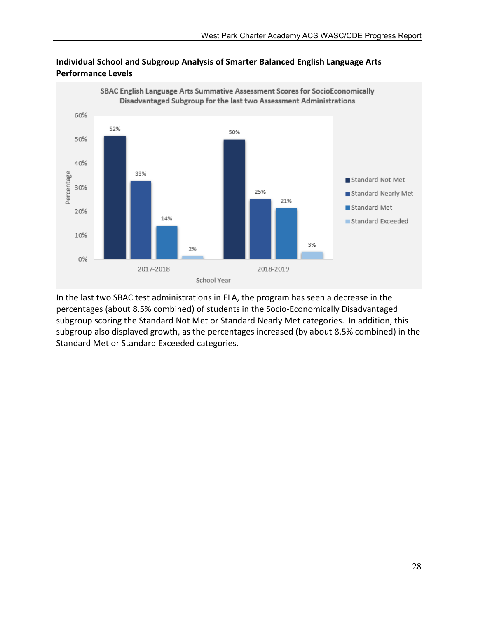

#### Individual School and Subgroup Analysis of Smarter Balanced English Language Arts Performance Levels

In the last two SBAC test administrations in ELA, the program has seen a decrease in the percentages (about 8.5% combined) of students in the Socio-Economically Disadvantaged subgroup scoring the Standard Not Met or Standard Nearly Met categories. In addition, this subgroup also displayed growth, as the percentages increased (by about 8.5% combined) in the Standard Met or Standard Exceeded categories.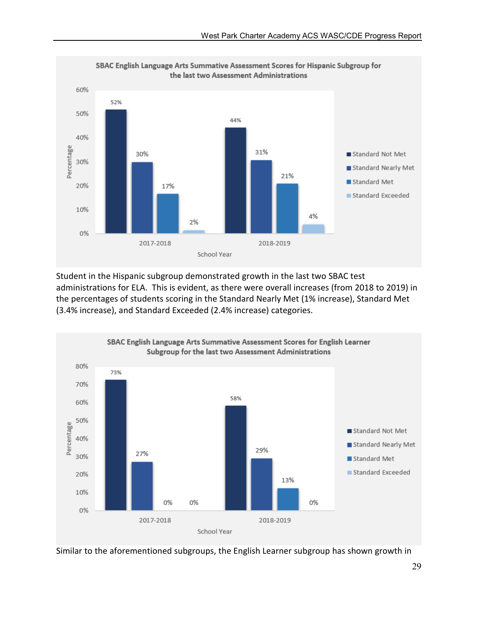

Student in the Hispanic subgroup demonstrated growth in the last two SBAC test administrations for ELA. This is evident, as there were overall increases (from 2018 to 2019) in the percentages of students scoring in the Standard Nearly Met (1% increase), Standard Met (3.4% increase), and Standard Exceeded (2.4% increase) categories.



Similar to the aforementioned subgroups, the English Learner subgroup has shown growth in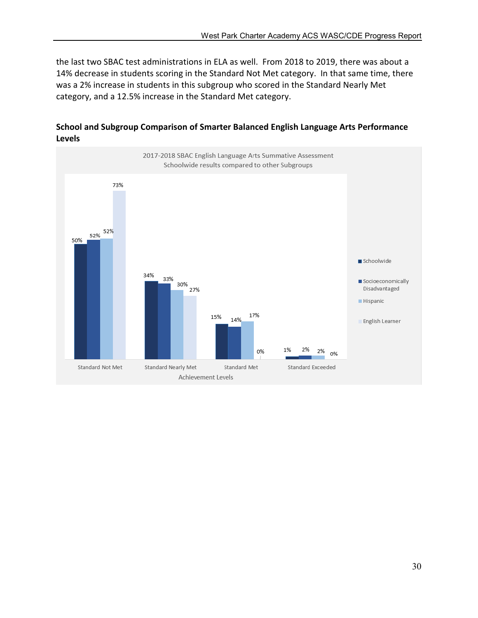the last two SBAC test administrations in ELA as well. From 2018 to 2019, there was about a 14% decrease in students scoring in the Standard Not Met category. In that same time, there was a 2% increase in students in this subgroup who scored in the Standard Nearly Met category, and a 12.5% increase in the Standard Met category.



#### School and Subgroup Comparison of Smarter Balanced English Language Arts Performance Levels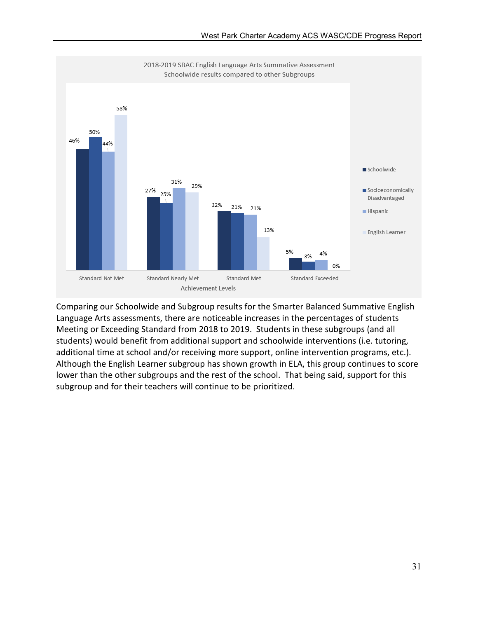

Comparing our Schoolwide and Subgroup results for the Smarter Balanced Summative English Language Arts assessments, there are noticeable increases in the percentages of students Meeting or Exceeding Standard from 2018 to 2019. Students in these subgroups (and all students) would benefit from additional support and schoolwide interventions (i.e. tutoring, additional time at school and/or receiving more support, online intervention programs, etc.). Although the English Learner subgroup has shown growth in ELA, this group continues to score lower than the other subgroups and the rest of the school. That being said, support for this subgroup and for their teachers will continue to be prioritized.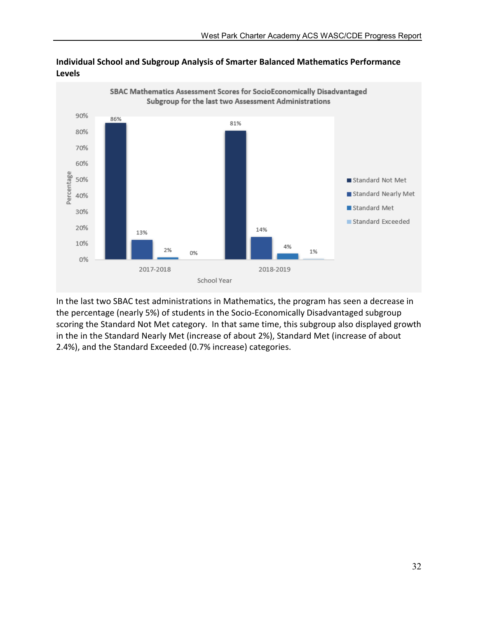

#### Individual School and Subgroup Analysis of Smarter Balanced Mathematics Performance Levels

In the last two SBAC test administrations in Mathematics, the program has seen a decrease in the percentage (nearly 5%) of students in the Socio-Economically Disadvantaged subgroup scoring the Standard Not Met category. In that same time, this subgroup also displayed growth in the in the Standard Nearly Met (increase of about 2%), Standard Met (increase of about 2.4%), and the Standard Exceeded (0.7% increase) categories.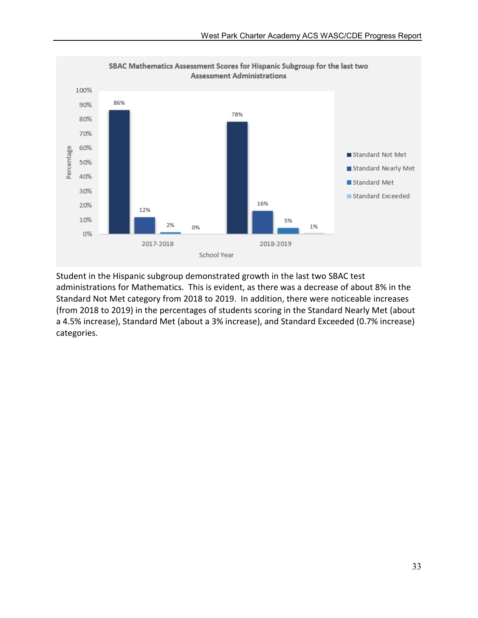

Student in the Hispanic subgroup demonstrated growth in the last two SBAC test administrations for Mathematics. This is evident, as there was a decrease of about 8% in the Standard Not Met category from 2018 to 2019. In addition, there were noticeable increases (from 2018 to 2019) in the percentages of students scoring in the Standard Nearly Met (about a 4.5% increase), Standard Met (about a 3% increase), and Standard Exceeded (0.7% increase) categories.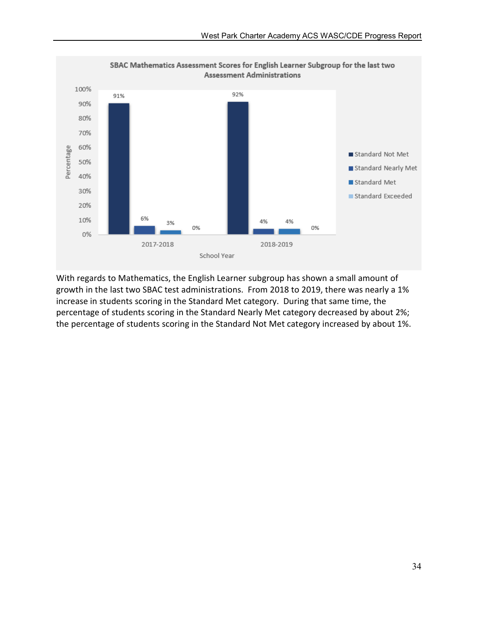

With regards to Mathematics, the English Learner subgroup has shown a small amount of growth in the last two SBAC test administrations. From 2018 to 2019, there was nearly a 1% increase in students scoring in the Standard Met category. During that same time, the percentage of students scoring in the Standard Nearly Met category decreased by about 2%; the percentage of students scoring in the Standard Not Met category increased by about 1%.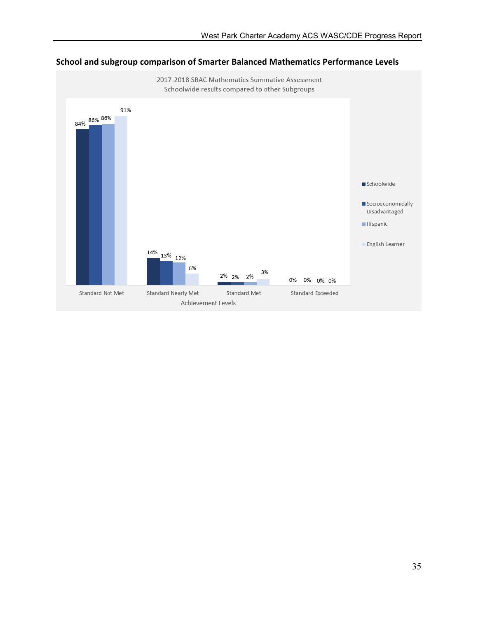

# School and subgroup comparison of Smarter Balanced Mathematics Performance Levels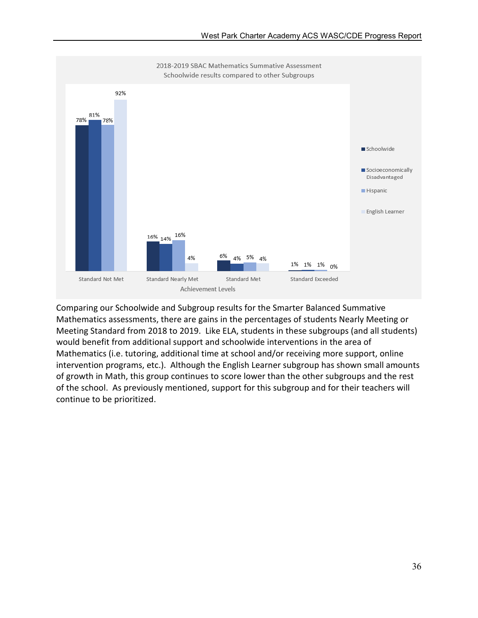

Comparing our Schoolwide and Subgroup results for the Smarter Balanced Summative Mathematics assessments, there are gains in the percentages of students Nearly Meeting or Meeting Standard from 2018 to 2019. Like ELA, students in these subgroups (and all students) would benefit from additional support and schoolwide interventions in the area of Mathematics (i.e. tutoring, additional time at school and/or receiving more support, online intervention programs, etc.). Although the English Learner subgroup has shown small amounts of growth in Math, this group continues to score lower than the other subgroups and the rest of the school. As previously mentioned, support for this subgroup and for their teachers will continue to be prioritized.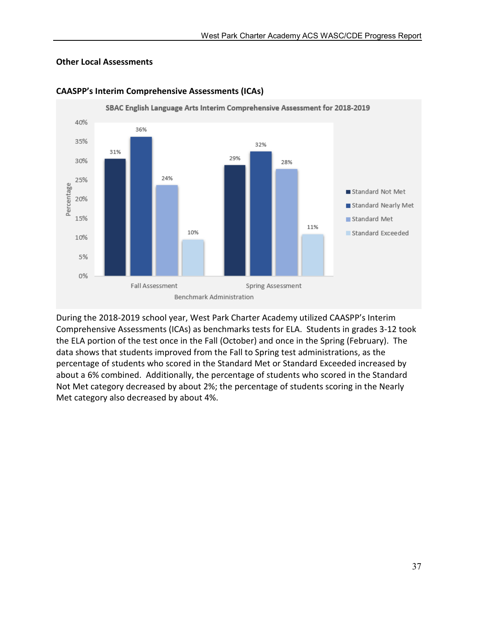### Other Local Assessments



#### CAASPP's Interim Comprehensive Assessments (ICAs)

During the 2018-2019 school year, West Park Charter Academy utilized CAASPP's Interim Comprehensive Assessments (ICAs) as benchmarks tests for ELA. Students in grades 3-12 took the ELA portion of the test once in the Fall (October) and once in the Spring (February). The data shows that students improved from the Fall to Spring test administrations, as the percentage of students who scored in the Standard Met or Standard Exceeded increased by about a 6% combined. Additionally, the percentage of students who scored in the Standard Not Met category decreased by about 2%; the percentage of students scoring in the Nearly Met category also decreased by about 4%.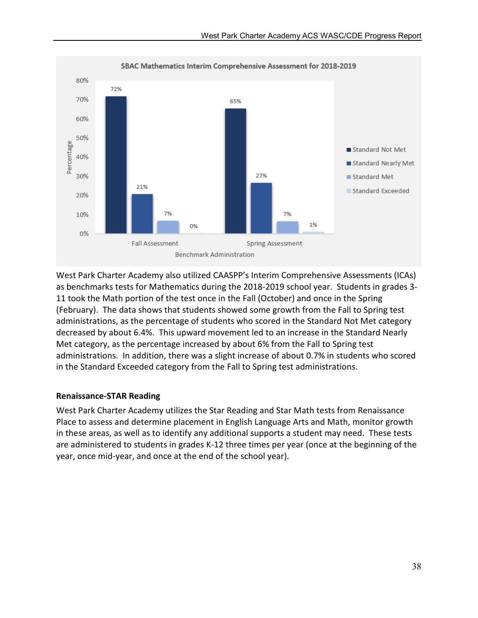

West Park Charter Academy also utilized CAASPP's Interim Comprehensive Assessments (ICAs) as benchmarks tests for Mathematics during the 2018-2019 school year. Students in grades 3- 11 took the Math portion of the test once in the Fall (October) and once in the Spring (February). The data shows that students showed some growth from the Fall to Spring test administrations, as the percentage of students who scored in the Standard Not Met category decreased by about 6.4%. This upward movement led to an increase in the Standard Nearly Met category, as the percentage increased by about 6% from the Fall to Spring test administrations. In addition, there was a slight increase of about 0.7% in students who scored in the Standard Exceeded category from the Fall to Spring test administrations.

### Renaissance-STAR Reading

West Park Charter Academy utilizes the Star Reading and Star Math tests from Renaissance Place to assess and determine placement in English Language Arts and Math, monitor growth in these areas, as well as to identify any additional supports a student may need. These tests are administered to students in grades K-12 three times per year (once at the beginning of the year, once mid-year, and once at the end of the school year).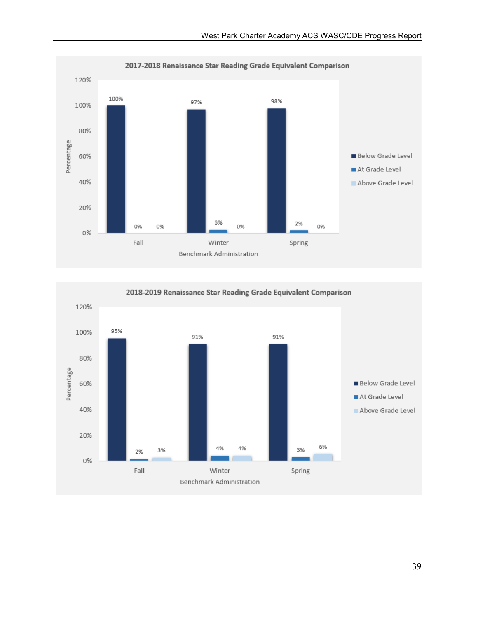

120% 95% 100% 91% 91% 80% Percentage **Below Grade Level** 60% At Grade Level 40% Above Grade Level 20% 6% 4% 4% 3% 3% 2% 0% Fall Winter Spring Benchmark Administration

2018-2019 Renaissance Star Reading Grade Equivalent Comparison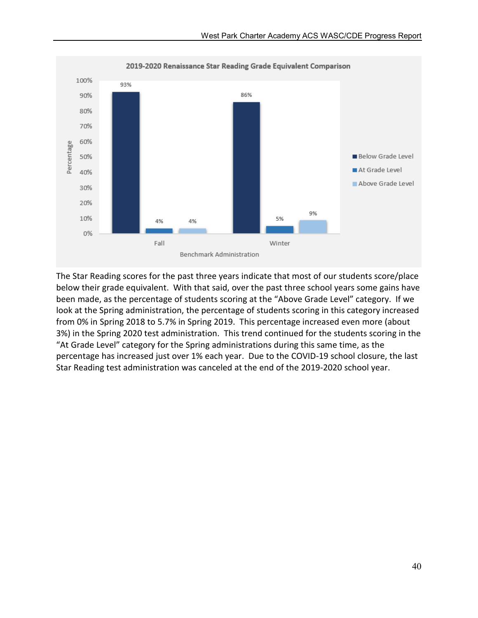

The Star Reading scores for the past three years indicate that most of our students score/place below their grade equivalent. With that said, over the past three school years some gains have been made, as the percentage of students scoring at the "Above Grade Level" category. If we look at the Spring administration, the percentage of students scoring in this category increased from 0% in Spring 2018 to 5.7% in Spring 2019. This percentage increased even more (about 3%) in the Spring 2020 test administration. This trend continued for the students scoring in the "At Grade Level" category for the Spring administrations during this same time, as the percentage has increased just over 1% each year. Due to the COVID-19 school closure, the last Star Reading test administration was canceled at the end of the 2019-2020 school year.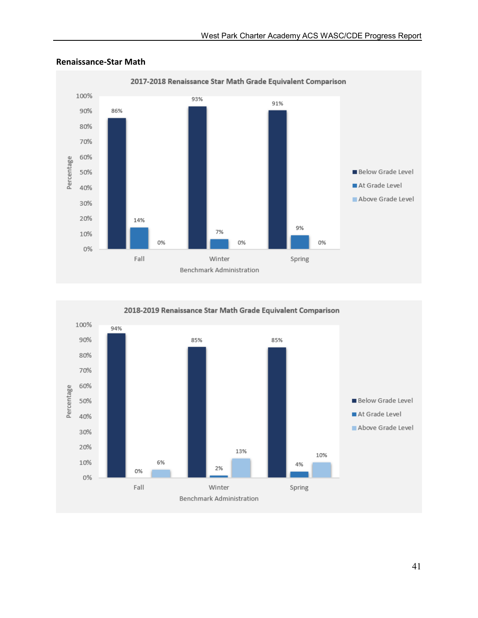

#### Renaissance-Star Math



2018-2019 Renaissance Star Math Grade Equivalent Comparison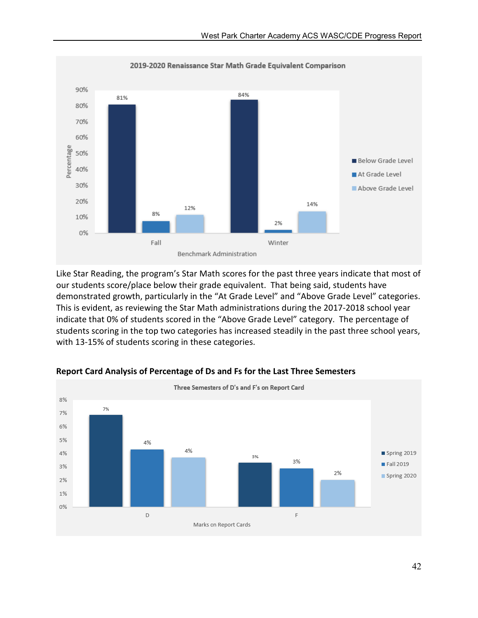

Like Star Reading, the program's Star Math scores for the past three years indicate that most of our students score/place below their grade equivalent. That being said, students have demonstrated growth, particularly in the "At Grade Level" and "Above Grade Level" categories. This is evident, as reviewing the Star Math administrations during the 2017-2018 school year indicate that 0% of students scored in the "Above Grade Level" category. The percentage of students scoring in the top two categories has increased steadily in the past three school years, with 13-15% of students scoring in these categories.



### Report Card Analysis of Percentage of Ds and Fs for the Last Three Semesters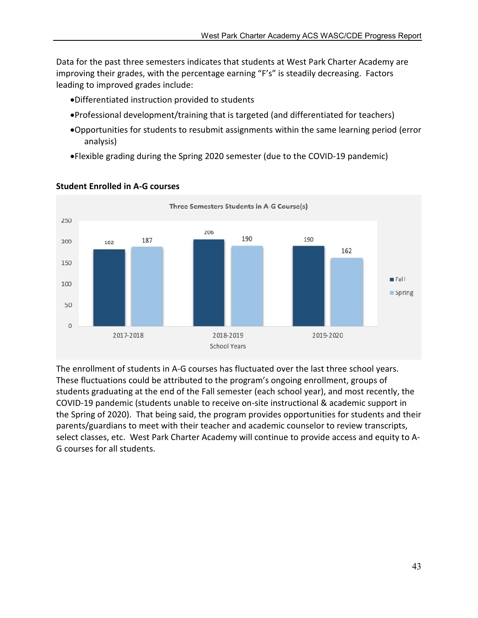Data for the past three semesters indicates that students at West Park Charter Academy are improving their grades, with the percentage earning "F's" is steadily decreasing. Factors leading to improved grades include:

- Differentiated instruction provided to students
- Professional development/training that is targeted (and differentiated for teachers)
- Opportunities for students to resubmit assignments within the same learning period (error analysis)
- Flexible grading during the Spring 2020 semester (due to the COVID-19 pandemic)



### Student Enrolled in A-G courses

The enrollment of students in A-G courses has fluctuated over the last three school years. These fluctuations could be attributed to the program's ongoing enrollment, groups of students graduating at the end of the Fall semester (each school year), and most recently, the COVID-19 pandemic (students unable to receive on-site instructional & academic support in the Spring of 2020). That being said, the program provides opportunities for students and their parents/guardians to meet with their teacher and academic counselor to review transcripts, select classes, etc. West Park Charter Academy will continue to provide access and equity to A-G courses for all students.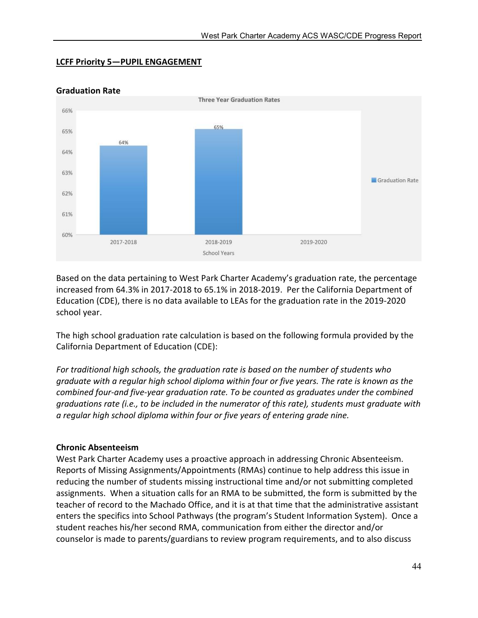### LCFF Priority 5—PUPIL ENGAGEMENT



### Graduation Rate

Based on the data pertaining to West Park Charter Academy's graduation rate, the percentage increased from 64.3% in 2017-2018 to 65.1% in 2018-2019. Per the California Department of Education (CDE), there is no data available to LEAs for the graduation rate in the 2019-2020 school year.

The high school graduation rate calculation is based on the following formula provided by the California Department of Education (CDE):

*For traditional high schools, the graduation rate is based on the number of students who graduate with a regular high school diploma within four or five years. The rate is known as the combined four-and five-year graduation rate. To be counted as graduates under the combined graduations rate (i.e., to be included in the numerator of this rate), students must graduate with a regular high school diploma within four or five years of entering grade nine.*

### Chronic Absenteeism

West Park Charter Academy uses a proactive approach in addressing Chronic Absenteeism. Reports of Missing Assignments/Appointments (RMAs) continue to help address this issue in reducing the number of students missing instructional time and/or not submitting completed assignments. When a situation calls for an RMA to be submitted, the form is submitted by the teacher of record to the Machado Office, and it is at that time that the administrative assistant enters the specifics into School Pathways (the program's Student Information System). Once a student reaches his/her second RMA, communication from either the director and/or counselor is made to parents/guardians to review program requirements, and to also discuss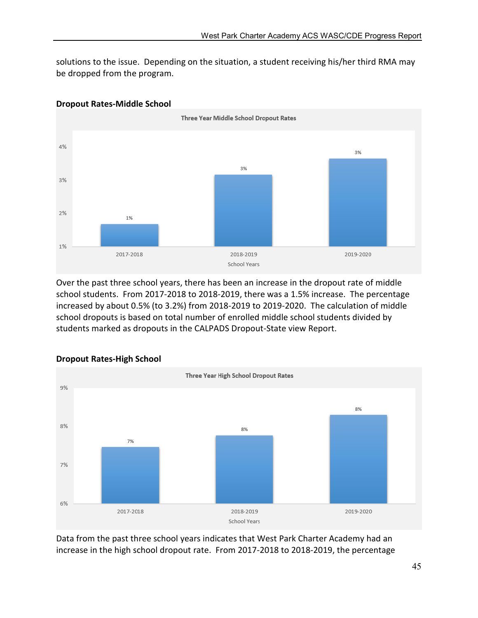solutions to the issue. Depending on the situation, a student receiving his/her third RMA may be dropped from the program.



### Dropout Rates-Middle School

Over the past three school years, there has been an increase in the dropout rate of middle school students. From 2017-2018 to 2018-2019, there was a 1.5% increase. The percentage increased by about 0.5% (to 3.2%) from 2018-2019 to 2019-2020. The calculation of middle school dropouts is based on total number of enrolled middle school students divided by students marked as dropouts in the CALPADS Dropout-State view Report.



### Dropout Rates-High School

Data from the past three school years indicates that West Park Charter Academy had an increase in the high school dropout rate. From 2017-2018 to 2018-2019, the percentage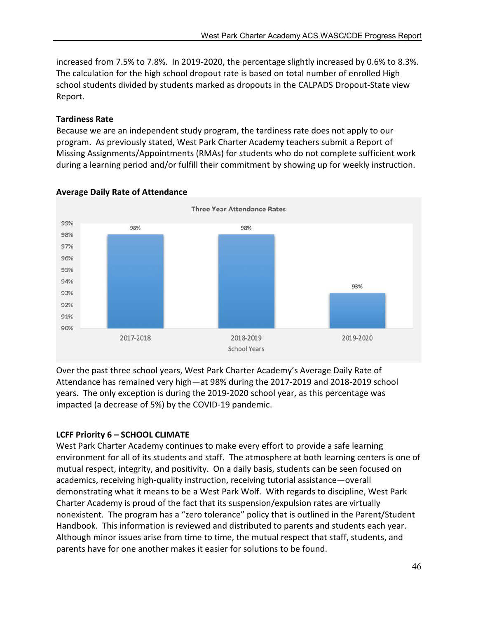increased from 7.5% to 7.8%. In 2019-2020, the percentage slightly increased by 0.6% to 8.3%. The calculation for the high school dropout rate is based on total number of enrolled High school students divided by students marked as dropouts in the CALPADS Dropout-State view Report.

### Tardiness Rate

Because we are an independent study program, the tardiness rate does not apply to our program. As previously stated, West Park Charter Academy teachers submit a Report of Missing Assignments/Appointments (RMAs) for students who do not complete sufficient work during a learning period and/or fulfill their commitment by showing up for weekly instruction.



# Average Daily Rate of Attendance

Over the past three school years, West Park Charter Academy's Average Daily Rate of Attendance has remained very high—at 98% during the 2017-2019 and 2018-2019 school years. The only exception is during the 2019-2020 school year, as this percentage was impacted (a decrease of 5%) by the COVID-19 pandemic.

# LCFF Priority 6 – SCHOOL CLIMATE

West Park Charter Academy continues to make every effort to provide a safe learning environment for all of its students and staff. The atmosphere at both learning centers is one of mutual respect, integrity, and positivity. On a daily basis, students can be seen focused on academics, receiving high-quality instruction, receiving tutorial assistance—overall demonstrating what it means to be a West Park Wolf. With regards to discipline, West Park Charter Academy is proud of the fact that its suspension/expulsion rates are virtually nonexistent. The program has a "zero tolerance" policy that is outlined in the Parent/Student Handbook. This information is reviewed and distributed to parents and students each year. Although minor issues arise from time to time, the mutual respect that staff, students, and parents have for one another makes it easier for solutions to be found.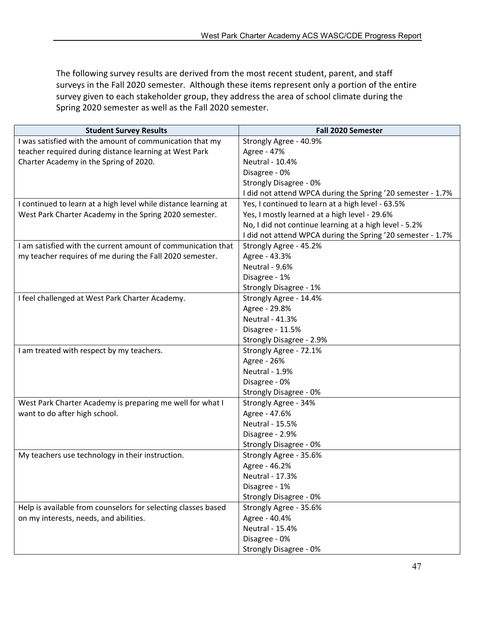The following survey results are derived from the most recent student, parent, and staff surveys in the Fall 2020 semester. Although these items represent only a portion of the entire survey given to each stakeholder group, they address the area of school climate during the Spring 2020 semester as well as the Fall 2020 semester.

| <b>Student Survey Results</b>                                   | <b>Fall 2020 Semester</b>                                   |  |
|-----------------------------------------------------------------|-------------------------------------------------------------|--|
| I was satisfied with the amount of communication that my        | Strongly Agree - 40.9%                                      |  |
| teacher required during distance learning at West Park          | Agree - 47%                                                 |  |
| Charter Academy in the Spring of 2020.                          | Neutral - 10.4%                                             |  |
|                                                                 | Disagree - 0%                                               |  |
|                                                                 | <b>Strongly Disagree - 0%</b>                               |  |
|                                                                 | I did not attend WPCA during the Spring '20 semester - 1.7% |  |
| I continued to learn at a high level while distance learning at | Yes, I continued to learn at a high level - 63.5%           |  |
| West Park Charter Academy in the Spring 2020 semester.          | Yes, I mostly learned at a high level - 29.6%               |  |
|                                                                 | No, I did not continue learning at a high level - 5.2%      |  |
|                                                                 | I did not attend WPCA during the Spring '20 semester - 1.7% |  |
| I am satisfied with the current amount of communication that    | Strongly Agree - 45.2%                                      |  |
| my teacher requires of me during the Fall 2020 semester.        | Agree - 43.3%                                               |  |
|                                                                 | Neutral - 9.6%                                              |  |
|                                                                 | Disagree - 1%                                               |  |
|                                                                 | Strongly Disagree - 1%                                      |  |
| I feel challenged at West Park Charter Academy.                 | Strongly Agree - 14.4%                                      |  |
|                                                                 | Agree - 29.8%                                               |  |
|                                                                 | <b>Neutral - 41.3%</b>                                      |  |
|                                                                 | Disagree - 11.5%                                            |  |
|                                                                 | Strongly Disagree - 2.9%                                    |  |
| I am treated with respect by my teachers.                       | Strongly Agree - 72.1%                                      |  |
|                                                                 | Agree - 26%                                                 |  |
|                                                                 | Neutral - 1.9%                                              |  |
|                                                                 | Disagree - 0%                                               |  |
|                                                                 | Strongly Disagree - 0%                                      |  |
| West Park Charter Academy is preparing me well for what I       | Strongly Agree - 34%                                        |  |
| want to do after high school.                                   | Agree - 47.6%                                               |  |
|                                                                 | <b>Neutral - 15.5%</b>                                      |  |
|                                                                 | Disagree - 2.9%                                             |  |
|                                                                 | Strongly Disagree - 0%                                      |  |
| My teachers use technology in their instruction.                | Strongly Agree - 35.6%                                      |  |
|                                                                 | Agree - 46.2%                                               |  |
|                                                                 | Neutral - 17.3%                                             |  |
|                                                                 | Disagree - 1%                                               |  |
|                                                                 | Strongly Disagree - 0%                                      |  |
| Help is available from counselors for selecting classes based   | Strongly Agree - 35.6%                                      |  |
| on my interests, needs, and abilities.                          | Agree - 40.4%                                               |  |
|                                                                 | Neutral - 15.4%                                             |  |
|                                                                 | Disagree - 0%                                               |  |
|                                                                 | Strongly Disagree - 0%                                      |  |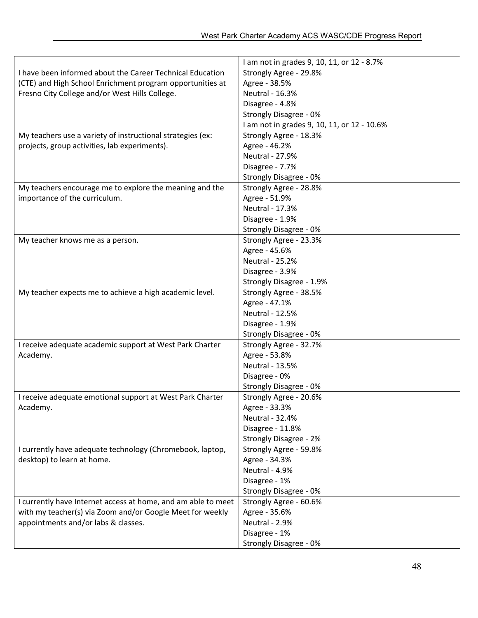|                                                               | I am not in grades 9, 10, 11, or 12 - 8.7%  |  |
|---------------------------------------------------------------|---------------------------------------------|--|
| I have been informed about the Career Technical Education     | Strongly Agree - 29.8%                      |  |
| (CTE) and High School Enrichment program opportunities at     | Agree - 38.5%                               |  |
| Fresno City College and/or West Hills College.                | Neutral - 16.3%                             |  |
|                                                               | Disagree - 4.8%                             |  |
|                                                               | Strongly Disagree - 0%                      |  |
|                                                               | I am not in grades 9, 10, 11, or 12 - 10.6% |  |
| My teachers use a variety of instructional strategies (ex:    | Strongly Agree - 18.3%                      |  |
| projects, group activities, lab experiments).                 | Agree - 46.2%                               |  |
|                                                               | Neutral - 27.9%                             |  |
|                                                               | Disagree - 7.7%                             |  |
|                                                               | Strongly Disagree - 0%                      |  |
| My teachers encourage me to explore the meaning and the       | Strongly Agree - 28.8%                      |  |
| importance of the curriculum.                                 | Agree - 51.9%                               |  |
|                                                               | Neutral - 17.3%                             |  |
|                                                               | Disagree - 1.9%                             |  |
|                                                               | Strongly Disagree - 0%                      |  |
| My teacher knows me as a person.                              | Strongly Agree - 23.3%                      |  |
|                                                               | Agree - 45.6%                               |  |
|                                                               | <b>Neutral - 25.2%</b>                      |  |
|                                                               | Disagree - 3.9%                             |  |
|                                                               | Strongly Disagree - 1.9%                    |  |
| My teacher expects me to achieve a high academic level.       | Strongly Agree - 38.5%                      |  |
|                                                               | Agree - 47.1%                               |  |
|                                                               | Neutral - 12.5%                             |  |
|                                                               | Disagree - 1.9%                             |  |
|                                                               | Strongly Disagree - 0%                      |  |
| I receive adequate academic support at West Park Charter      | Strongly Agree - 32.7%                      |  |
| Academy.                                                      | Agree - 53.8%                               |  |
|                                                               | Neutral - 13.5%                             |  |
|                                                               | Disagree - 0%                               |  |
|                                                               | Strongly Disagree - 0%                      |  |
| I receive adequate emotional support at West Park Charter     | Strongly Agree - 20.6%                      |  |
| Academy.                                                      | Agree - 33.3%                               |  |
|                                                               | Neutral - 32.4%                             |  |
|                                                               | Disagree - 11.8%                            |  |
|                                                               | Strongly Disagree - 2%                      |  |
| I currently have adequate technology (Chromebook, laptop,     | Strongly Agree - 59.8%                      |  |
| desktop) to learn at home.                                    | Agree - 34.3%                               |  |
|                                                               | Neutral - 4.9%                              |  |
|                                                               | Disagree - 1%                               |  |
|                                                               | Strongly Disagree - 0%                      |  |
| I currently have Internet access at home, and am able to meet | Strongly Agree - 60.6%                      |  |
| with my teacher(s) via Zoom and/or Google Meet for weekly     | Agree - 35.6%                               |  |
| appointments and/or labs & classes.                           | Neutral - 2.9%                              |  |
|                                                               | Disagree - 1%                               |  |
|                                                               | Strongly Disagree - 0%                      |  |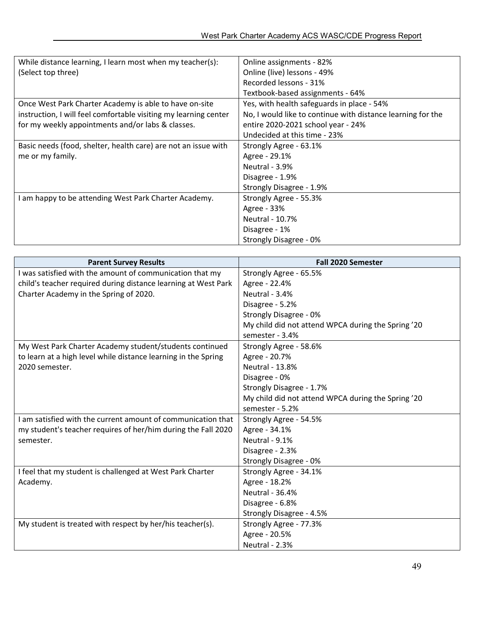| While distance learning, I learn most when my teacher(s):        | Online assignments - 82%                                    |  |
|------------------------------------------------------------------|-------------------------------------------------------------|--|
| (Select top three)                                               | Online (live) lessons - 49%                                 |  |
|                                                                  | Recorded lessons - 31%                                      |  |
|                                                                  | Textbook-based assignments - 64%                            |  |
| Once West Park Charter Academy is able to have on-site           | Yes, with health safeguards in place - 54%                  |  |
| instruction, I will feel comfortable visiting my learning center | No, I would like to continue with distance learning for the |  |
| for my weekly appointments and/or labs & classes.                | entire 2020-2021 school year - 24%                          |  |
|                                                                  | Undecided at this time - 23%                                |  |
| Basic needs (food, shelter, health care) are not an issue with   | Strongly Agree - 63.1%                                      |  |
| me or my family.                                                 | Agree - 29.1%                                               |  |
|                                                                  | Neutral - 3.9%                                              |  |
|                                                                  | Disagree - 1.9%                                             |  |
|                                                                  | Strongly Disagree - 1.9%                                    |  |
| I am happy to be attending West Park Charter Academy.            | Strongly Agree - 55.3%                                      |  |
|                                                                  | Agree - 33%                                                 |  |
|                                                                  | Neutral - 10.7%                                             |  |
|                                                                  | Disagree - 1%                                               |  |
|                                                                  | Strongly Disagree - 0%                                      |  |

| <b>Parent Survey Results</b>                                   | <b>Fall 2020 Semester</b>                          |  |  |
|----------------------------------------------------------------|----------------------------------------------------|--|--|
| I was satisfied with the amount of communication that my       | Strongly Agree - 65.5%                             |  |  |
| child's teacher required during distance learning at West Park | Agree - 22.4%                                      |  |  |
| Charter Academy in the Spring of 2020.                         | Neutral - 3.4%                                     |  |  |
|                                                                | Disagree - 5.2%                                    |  |  |
|                                                                | Strongly Disagree - 0%                             |  |  |
|                                                                | My child did not attend WPCA during the Spring '20 |  |  |
|                                                                | semester - 3.4%                                    |  |  |
| My West Park Charter Academy student/students continued        | Strongly Agree - 58.6%                             |  |  |
| to learn at a high level while distance learning in the Spring | Agree - 20.7%                                      |  |  |
| 2020 semester.                                                 | <b>Neutral - 13.8%</b>                             |  |  |
|                                                                | Disagree - 0%                                      |  |  |
|                                                                | Strongly Disagree - 1.7%                           |  |  |
|                                                                | My child did not attend WPCA during the Spring '20 |  |  |
|                                                                | semester - 5.2%                                    |  |  |
| I am satisfied with the current amount of communication that   | Strongly Agree - 54.5%                             |  |  |
| my student's teacher requires of her/him during the Fall 2020  | Agree - 34.1%                                      |  |  |
| semester.                                                      | Neutral - 9.1%                                     |  |  |
|                                                                | Disagree - 2.3%                                    |  |  |
|                                                                | Strongly Disagree - 0%                             |  |  |
| I feel that my student is challenged at West Park Charter      | Strongly Agree - 34.1%                             |  |  |
| Academy.                                                       | Agree - 18.2%                                      |  |  |
|                                                                | <b>Neutral - 36.4%</b>                             |  |  |
|                                                                | Disagree - 6.8%                                    |  |  |
|                                                                | Strongly Disagree - 4.5%                           |  |  |
| My student is treated with respect by her/his teacher(s).      | Strongly Agree - 77.3%                             |  |  |
|                                                                | Agree - 20.5%                                      |  |  |
|                                                                | Neutral - 2.3%                                     |  |  |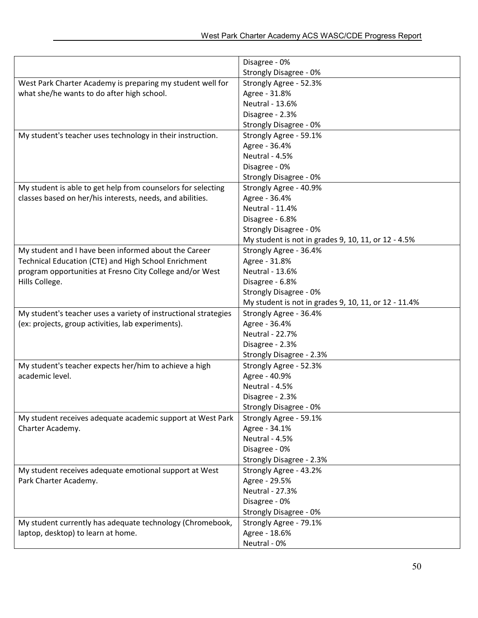|                                                                 | Disagree - 0%                                        |  |
|-----------------------------------------------------------------|------------------------------------------------------|--|
|                                                                 | Strongly Disagree - 0%                               |  |
| West Park Charter Academy is preparing my student well for      | Strongly Agree - 52.3%                               |  |
| what she/he wants to do after high school.                      | Agree - 31.8%                                        |  |
|                                                                 | Neutral - 13.6%                                      |  |
|                                                                 | Disagree - 2.3%                                      |  |
|                                                                 | Strongly Disagree - 0%                               |  |
| My student's teacher uses technology in their instruction.      | Strongly Agree - 59.1%                               |  |
|                                                                 | Agree - 36.4%                                        |  |
|                                                                 | Neutral - 4.5%                                       |  |
|                                                                 | Disagree - 0%                                        |  |
|                                                                 | Strongly Disagree - 0%                               |  |
| My student is able to get help from counselors for selecting    | Strongly Agree - 40.9%                               |  |
| classes based on her/his interests, needs, and abilities.       | Agree - 36.4%                                        |  |
|                                                                 | Neutral - 11.4%                                      |  |
|                                                                 | Disagree - 6.8%                                      |  |
|                                                                 | Strongly Disagree - 0%                               |  |
|                                                                 | My student is not in grades 9, 10, 11, or 12 - 4.5%  |  |
| My student and I have been informed about the Career            | Strongly Agree - 36.4%                               |  |
| Technical Education (CTE) and High School Enrichment            | Agree - 31.8%                                        |  |
| program opportunities at Fresno City College and/or West        | Neutral - 13.6%                                      |  |
| Hills College.                                                  | Disagree - 6.8%                                      |  |
|                                                                 | Strongly Disagree - 0%                               |  |
|                                                                 | My student is not in grades 9, 10, 11, or 12 - 11.4% |  |
| My student's teacher uses a variety of instructional strategies | Strongly Agree - 36.4%                               |  |
| (ex: projects, group activities, lab experiments).              | Agree - 36.4%                                        |  |
|                                                                 | <b>Neutral - 22.7%</b>                               |  |
|                                                                 | Disagree - 2.3%                                      |  |
|                                                                 | Strongly Disagree - 2.3%                             |  |
| My student's teacher expects her/him to achieve a high          | Strongly Agree - 52.3%                               |  |
| academic level.                                                 | Agree - 40.9%                                        |  |
|                                                                 | Neutral - 4.5%                                       |  |
|                                                                 | Disagree - 2.3%                                      |  |
|                                                                 | Strongly Disagree - 0%                               |  |
| My student receives adequate academic support at West Park      | Strongly Agree - 59.1%                               |  |
| Charter Academy.                                                | Agree - 34.1%                                        |  |
|                                                                 | Neutral - 4.5%                                       |  |
|                                                                 | Disagree - 0%                                        |  |
|                                                                 | Strongly Disagree - 2.3%                             |  |
| My student receives adequate emotional support at West          | Strongly Agree - 43.2%                               |  |
| Park Charter Academy.                                           | Agree - 29.5%                                        |  |
|                                                                 | <b>Neutral - 27.3%</b>                               |  |
|                                                                 | Disagree - 0%                                        |  |
|                                                                 | Strongly Disagree - 0%                               |  |
| My student currently has adequate technology (Chromebook,       | Strongly Agree - 79.1%                               |  |
| laptop, desktop) to learn at home.                              | Agree - 18.6%                                        |  |
|                                                                 | Neutral - 0%                                         |  |
|                                                                 |                                                      |  |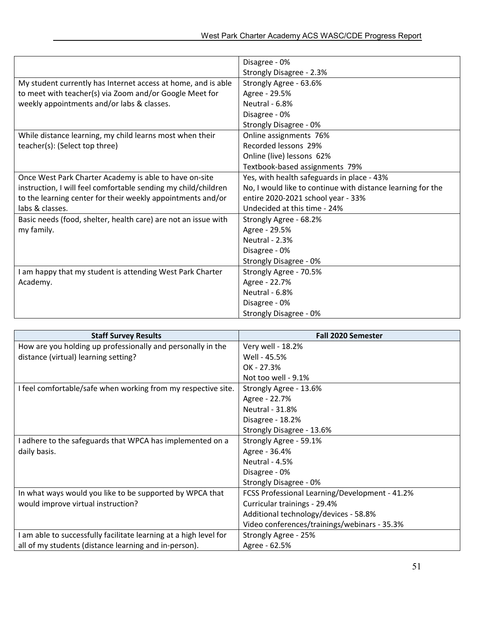|                                                                | Disagree - 0%                                               |  |  |
|----------------------------------------------------------------|-------------------------------------------------------------|--|--|
|                                                                | Strongly Disagree - 2.3%                                    |  |  |
| My student currently has Internet access at home, and is able  | Strongly Agree - 63.6%                                      |  |  |
| to meet with teacher(s) via Zoom and/or Google Meet for        | Agree - 29.5%                                               |  |  |
| weekly appointments and/or labs & classes.                     | Neutral - 6.8%                                              |  |  |
|                                                                | Disagree - 0%                                               |  |  |
|                                                                | Strongly Disagree - 0%                                      |  |  |
| While distance learning, my child learns most when their       | Online assignments 76%                                      |  |  |
| teacher(s): (Select top three)                                 | Recorded lessons 29%                                        |  |  |
|                                                                | Online (live) lessons 62%                                   |  |  |
|                                                                | Textbook-based assignments 79%                              |  |  |
| Once West Park Charter Academy is able to have on-site         | Yes, with health safeguards in place - 43%                  |  |  |
| instruction, I will feel comfortable sending my child/children | No, I would like to continue with distance learning for the |  |  |
| to the learning center for their weekly appointments and/or    | entire 2020-2021 school year - 33%                          |  |  |
| labs & classes.                                                | Undecided at this time - 24%                                |  |  |
| Basic needs (food, shelter, health care) are not an issue with | Strongly Agree - 68.2%                                      |  |  |
| my family.                                                     | Agree - 29.5%                                               |  |  |
|                                                                | Neutral - 2.3%                                              |  |  |
|                                                                | Disagree - 0%                                               |  |  |
|                                                                | Strongly Disagree - 0%                                      |  |  |
| I am happy that my student is attending West Park Charter      | Strongly Agree - 70.5%                                      |  |  |
| Academy.                                                       | Agree - 22.7%                                               |  |  |
|                                                                | Neutral - 6.8%                                              |  |  |
|                                                                | Disagree - 0%                                               |  |  |
|                                                                | Strongly Disagree - 0%                                      |  |  |

| <b>Staff Survey Results</b>                                       | <b>Fall 2020 Semester</b>                      |  |
|-------------------------------------------------------------------|------------------------------------------------|--|
| How are you holding up professionally and personally in the       | Very well - 18.2%                              |  |
| distance (virtual) learning setting?                              | Well - 45.5%                                   |  |
|                                                                   | OK - 27.3%                                     |  |
|                                                                   | Not too well - 9.1%                            |  |
| I feel comfortable/safe when working from my respective site.     | Strongly Agree - 13.6%                         |  |
|                                                                   | Agree - 22.7%                                  |  |
|                                                                   | <b>Neutral - 31.8%</b>                         |  |
|                                                                   | Disagree - 18.2%                               |  |
|                                                                   | Strongly Disagree - 13.6%                      |  |
| I adhere to the safeguards that WPCA has implemented on a         | Strongly Agree - 59.1%                         |  |
| daily basis.                                                      | Agree - 36.4%                                  |  |
|                                                                   | Neutral - 4.5%                                 |  |
|                                                                   | Disagree - 0%                                  |  |
|                                                                   | Strongly Disagree - 0%                         |  |
| In what ways would you like to be supported by WPCA that          | FCSS Professional Learning/Development - 41.2% |  |
| would improve virtual instruction?                                | Curricular trainings - 29.4%                   |  |
|                                                                   | Additional technology/devices - 58.8%          |  |
|                                                                   | Video conferences/trainings/webinars - 35.3%   |  |
| I am able to successfully facilitate learning at a high level for | Strongly Agree - 25%                           |  |
| all of my students (distance learning and in-person).             | Agree - 62.5%                                  |  |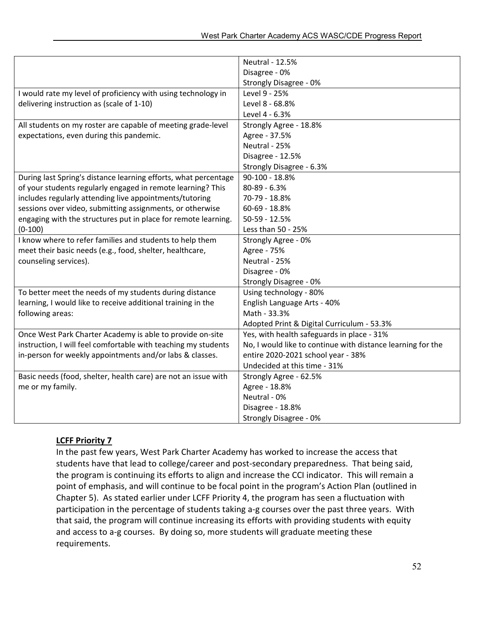|                                                                 | <b>Neutral - 12.5%</b>                                      |  |  |
|-----------------------------------------------------------------|-------------------------------------------------------------|--|--|
|                                                                 | Disagree - 0%                                               |  |  |
|                                                                 | Strongly Disagree - 0%                                      |  |  |
| I would rate my level of proficiency with using technology in   | Level 9 - 25%                                               |  |  |
| delivering instruction as (scale of 1-10)                       | Level 8 - 68.8%                                             |  |  |
|                                                                 | Level 4 - 6.3%                                              |  |  |
| All students on my roster are capable of meeting grade-level    | Strongly Agree - 18.8%                                      |  |  |
| expectations, even during this pandemic.                        | Agree - 37.5%                                               |  |  |
|                                                                 | Neutral - 25%                                               |  |  |
|                                                                 | Disagree - 12.5%                                            |  |  |
|                                                                 | Strongly Disagree - 6.3%                                    |  |  |
| During last Spring's distance learning efforts, what percentage | 90-100 - 18.8%                                              |  |  |
| of your students regularly engaged in remote learning? This     | 80-89 - 6.3%                                                |  |  |
| includes regularly attending live appointments/tutoring         | 70-79 - 18.8%                                               |  |  |
| sessions over video, submitting assignments, or otherwise       | 60-69 - 18.8%                                               |  |  |
| engaging with the structures put in place for remote learning.  | 50-59 - 12.5%                                               |  |  |
| $(0-100)$                                                       | Less than 50 - 25%                                          |  |  |
| I know where to refer families and students to help them        | Strongly Agree - 0%                                         |  |  |
| meet their basic needs (e.g., food, shelter, healthcare,        | Agree - 75%                                                 |  |  |
| counseling services).                                           | Neutral - 25%                                               |  |  |
|                                                                 | Disagree - 0%                                               |  |  |
|                                                                 | Strongly Disagree - 0%                                      |  |  |
| To better meet the needs of my students during distance         | Using technology - 80%                                      |  |  |
| learning, I would like to receive additional training in the    | English Language Arts - 40%                                 |  |  |
| following areas:                                                | Math - 33.3%                                                |  |  |
|                                                                 | Adopted Print & Digital Curriculum - 53.3%                  |  |  |
| Once West Park Charter Academy is able to provide on-site       | Yes, with health safeguards in place - 31%                  |  |  |
| instruction, I will feel comfortable with teaching my students  | No, I would like to continue with distance learning for the |  |  |
| in-person for weekly appointments and/or labs & classes.        | entire 2020-2021 school year - 38%                          |  |  |
|                                                                 | Undecided at this time - 31%                                |  |  |
| Basic needs (food, shelter, health care) are not an issue with  | Strongly Agree - 62.5%                                      |  |  |
| me or my family.                                                | Agree - 18.8%                                               |  |  |
|                                                                 | Neutral - 0%                                                |  |  |
|                                                                 | Disagree - 18.8%                                            |  |  |
|                                                                 | Strongly Disagree - 0%                                      |  |  |

### **LCFF Priority 7**

In the past few years, West Park Charter Academy has worked to increase the access that students have that lead to college/career and post-secondary preparedness. That being said, the program is continuing its efforts to align and increase the CCI indicator. This will remain a point of emphasis, and will continue to be focal point in the program's Action Plan (outlined in Chapter 5). As stated earlier under LCFF Priority 4, the program has seen a fluctuation with participation in the percentage of students taking a-g courses over the past three years. With that said, the program will continue increasing its efforts with providing students with equity and access to a-g courses. By doing so, more students will graduate meeting these requirements.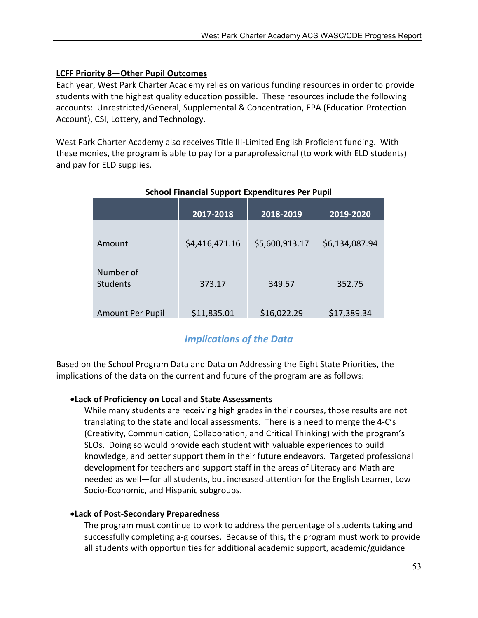# LCFF Priority 8—Other Pupil Outcomes

Each year, West Park Charter Academy relies on various funding resources in order to provide students with the highest quality education possible. These resources include the following accounts: Unrestricted/General, Supplemental & Concentration, EPA (Education Protection Account), CSI, Lottery, and Technology.

West Park Charter Academy also receives Title III-Limited English Proficient funding. With these monies, the program is able to pay for a paraprofessional (to work with ELD students) and pay for ELD supplies.

|                              | 2017-2018      | 2018-2019      | 2019-2020      |
|------------------------------|----------------|----------------|----------------|
| Amount                       | \$4,416,471.16 | \$5,600,913.17 | \$6,134,087.94 |
| Number of<br><b>Students</b> | 373.17         | 349.57         | 352.75         |
| <b>Amount Per Pupil</b>      | \$11,835.01    | \$16,022.29    | \$17,389.34    |

# School Financial Support Expenditures Per Pupil

# *Implications of the Data*

Based on the School Program Data and Data on Addressing the Eight State Priorities, the implications of the data on the current and future of the program are as follows:

# Lack of Proficiency on Local and State Assessments

While many students are receiving high grades in their courses, those results are not translating to the state and local assessments. There is a need to merge the 4-C's (Creativity, Communication, Collaboration, and Critical Thinking) with the program's SLOs. Doing so would provide each student with valuable experiences to build knowledge, and better support them in their future endeavors. Targeted professional development for teachers and support staff in the areas of Literacy and Math are needed as well—for all students, but increased attention for the English Learner, Low Socio-Economic, and Hispanic subgroups.

### Lack of Post-Secondary Preparedness

The program must continue to work to address the percentage of students taking and successfully completing a-g courses. Because of this, the program must work to provide all students with opportunities for additional academic support, academic/guidance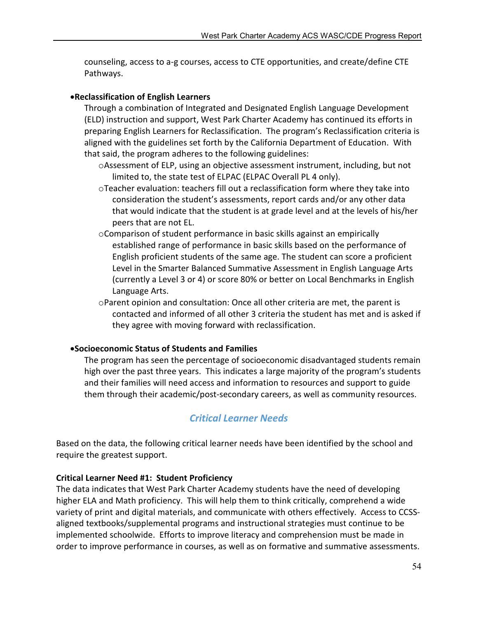counseling, access to a-g courses, access to CTE opportunities, and create/define CTE Pathways.

## Reclassification of English Learners

Through a combination of Integrated and Designated English Language Development (ELD) instruction and support, West Park Charter Academy has continued its efforts in preparing English Learners for Reclassification. The program's Reclassification criteria is aligned with the guidelines set forth by the California Department of Education. With that said, the program adheres to the following guidelines:

- oAssessment of ELP, using an objective assessment instrument, including, but not limited to, the state test of ELPAC (ELPAC Overall PL 4 only).
- oTeacher evaluation: teachers fill out a reclassification form where they take into consideration the student's assessments, report cards and/or any other data that would indicate that the student is at grade level and at the levels of his/her peers that are not EL.
- oComparison of student performance in basic skills against an empirically established range of performance in basic skills based on the performance of English proficient students of the same age. The student can score a proficient Level in the Smarter Balanced Summative Assessment in English Language Arts (currently a Level 3 or 4) or score 80% or better on Local Benchmarks in English Language Arts.
- oParent opinion and consultation: Once all other criteria are met, the parent is contacted and informed of all other 3 criteria the student has met and is asked if they agree with moving forward with reclassification.

### Socioeconomic Status of Students and Families

The program has seen the percentage of socioeconomic disadvantaged students remain high over the past three years. This indicates a large majority of the program's students and their families will need access and information to resources and support to guide them through their academic/post-secondary careers, as well as community resources.

# *Critical Learner Needs*

Based on the data, the following critical learner needs have been identified by the school and require the greatest support.

### Critical Learner Need #1: Student Proficiency

The data indicates that West Park Charter Academy students have the need of developing higher ELA and Math proficiency. This will help them to think critically, comprehend a wide variety of print and digital materials, and communicate with others effectively. Access to CCSSaligned textbooks/supplemental programs and instructional strategies must continue to be implemented schoolwide. Efforts to improve literacy and comprehension must be made in order to improve performance in courses, as well as on formative and summative assessments.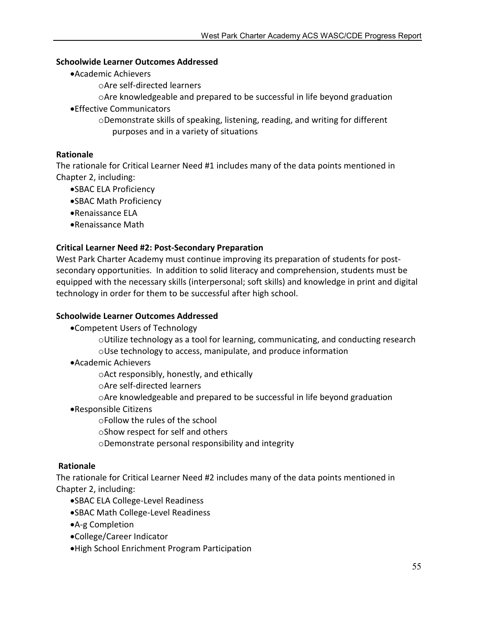### Schoolwide Learner Outcomes Addressed

- Academic Achievers
	- oAre self-directed learners
	- oAre knowledgeable and prepared to be successful in life beyond graduation
- Effective Communicators
	- oDemonstrate skills of speaking, listening, reading, and writing for different purposes and in a variety of situations

### Rationale

The rationale for Critical Learner Need #1 includes many of the data points mentioned in Chapter 2, including:

- SBAC ELA Proficiency
- SBAC Math Proficiency
- Renaissance ELA
- Renaissance Math

### Critical Learner Need #2: Post-Secondary Preparation

West Park Charter Academy must continue improving its preparation of students for postsecondary opportunities. In addition to solid literacy and comprehension, students must be equipped with the necessary skills (interpersonal; soft skills) and knowledge in print and digital technology in order for them to be successful after high school.

### Schoolwide Learner Outcomes Addressed

Competent Users of Technology

 $\circ$ Utilize technology as a tool for learning, communicating, and conducting research oUse technology to access, manipulate, and produce information

Academic Achievers

oAct responsibly, honestly, and ethically

- oAre self-directed learners
- oAre knowledgeable and prepared to be successful in life beyond graduation
- Responsible Citizens

oFollow the rules of the school

- oShow respect for self and others
- oDemonstrate personal responsibility and integrity

### Rationale

The rationale for Critical Learner Need #2 includes many of the data points mentioned in Chapter 2, including:

- SBAC ELA College-Level Readiness
- SBAC Math College-Level Readiness
- A-g Completion
- College/Career Indicator
- High School Enrichment Program Participation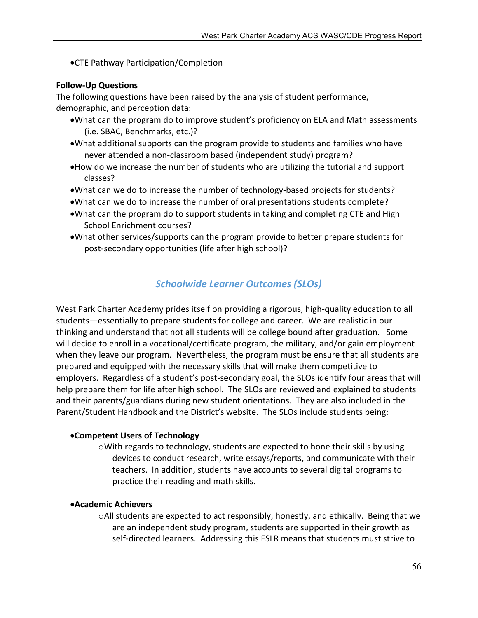CTE Pathway Participation/Completion

### Follow-Up Questions

The following questions have been raised by the analysis of student performance, demographic, and perception data:

- What can the program do to improve student's proficiency on ELA and Math assessments (i.e. SBAC, Benchmarks, etc.)?
- What additional supports can the program provide to students and families who have never attended a non-classroom based (independent study) program?
- How do we increase the number of students who are utilizing the tutorial and support classes?
- What can we do to increase the number of technology-based projects for students?
- What can we do to increase the number of oral presentations students complete?
- What can the program do to support students in taking and completing CTE and High School Enrichment courses?
- What other services/supports can the program provide to better prepare students for post-secondary opportunities (life after high school)?

# *Schoolwide Learner Outcomes (SLOs)*

West Park Charter Academy prides itself on providing a rigorous, high-quality education to all students—essentially to prepare students for college and career. We are realistic in our thinking and understand that not all students will be college bound after graduation. Some will decide to enroll in a vocational/certificate program, the military, and/or gain employment when they leave our program. Nevertheless, the program must be ensure that all students are prepared and equipped with the necessary skills that will make them competitive to employers. Regardless of a student's post-secondary goal, the SLOs identify four areas that will help prepare them for life after high school. The SLOs are reviewed and explained to students and their parents/guardians during new student orientations. They are also included in the Parent/Student Handbook and the District's website. The SLOs include students being:

### Competent Users of Technology

oWith regards to technology, students are expected to hone their skills by using devices to conduct research, write essays/reports, and communicate with their teachers. In addition, students have accounts to several digital programs to practice their reading and math skills.

### Academic Achievers

oAll students are expected to act responsibly, honestly, and ethically. Being that we are an independent study program, students are supported in their growth as self-directed learners. Addressing this ESLR means that students must strive to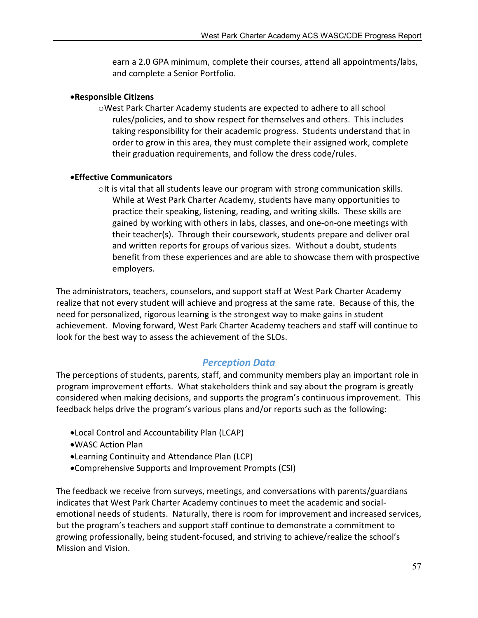earn a 2.0 GPA minimum, complete their courses, attend all appointments/labs, and complete a Senior Portfolio.

### Responsible Citizens

oWest Park Charter Academy students are expected to adhere to all school rules/policies, and to show respect for themselves and others. This includes taking responsibility for their academic progress. Students understand that in order to grow in this area, they must complete their assigned work, complete their graduation requirements, and follow the dress code/rules.

# Effective Communicators

 $\circ$ It is vital that all students leave our program with strong communication skills. While at West Park Charter Academy, students have many opportunities to practice their speaking, listening, reading, and writing skills. These skills are gained by working with others in labs, classes, and one-on-one meetings with their teacher(s). Through their coursework, students prepare and deliver oral and written reports for groups of various sizes. Without a doubt, students benefit from these experiences and are able to showcase them with prospective employers.

The administrators, teachers, counselors, and support staff at West Park Charter Academy realize that not every student will achieve and progress at the same rate. Because of this, the need for personalized, rigorous learning is the strongest way to make gains in student achievement. Moving forward, West Park Charter Academy teachers and staff will continue to look for the best way to assess the achievement of the SLOs.

# *Perception Data*

The perceptions of students, parents, staff, and community members play an important role in program improvement efforts. What stakeholders think and say about the program is greatly considered when making decisions, and supports the program's continuous improvement. This feedback helps drive the program's various plans and/or reports such as the following:

- Local Control and Accountability Plan (LCAP)
- WASC Action Plan
- Learning Continuity and Attendance Plan (LCP)
- Comprehensive Supports and Improvement Prompts (CSI)

The feedback we receive from surveys, meetings, and conversations with parents/guardians indicates that West Park Charter Academy continues to meet the academic and socialemotional needs of students. Naturally, there is room for improvement and increased services, but the program's teachers and support staff continue to demonstrate a commitment to growing professionally, being student-focused, and striving to achieve/realize the school's Mission and Vision.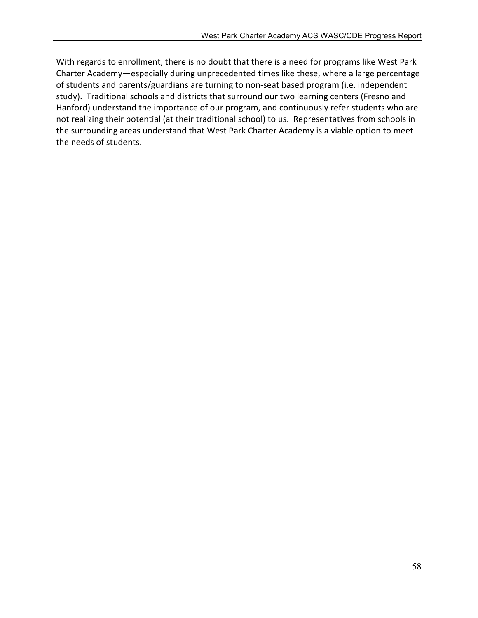With regards to enrollment, there is no doubt that there is a need for programs like West Park Charter Academy—especially during unprecedented times like these, where a large percentage of students and parents/guardians are turning to non-seat based program (i.e. independent study). Traditional schools and districts that surround our two learning centers (Fresno and Hanford) understand the importance of our program, and continuously refer students who are not realizing their potential (at their traditional school) to us. Representatives from schools in the surrounding areas understand that West Park Charter Academy is a viable option to meet the needs of students.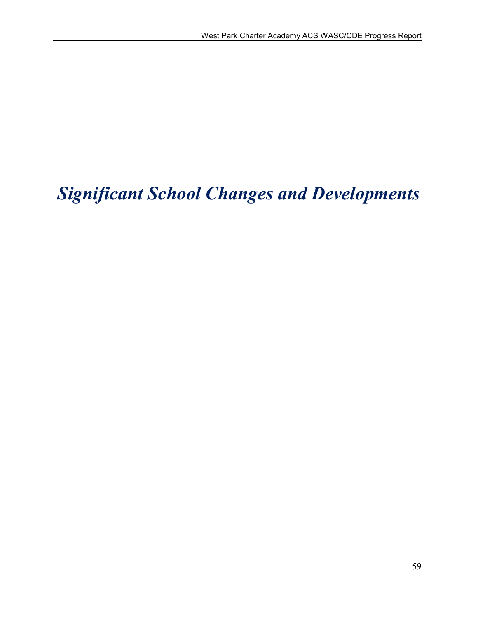# *Significant School Changes and Developments*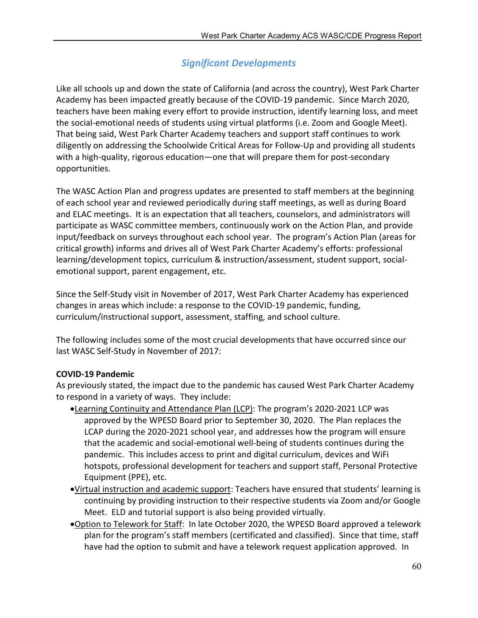# *Significant Developments*

Like all schools up and down the state of California (and across the country), West Park Charter Academy has been impacted greatly because of the COVID-19 pandemic. Since March 2020, teachers have been making every effort to provide instruction, identify learning loss, and meet the social-emotional needs of students using virtual platforms (i.e. Zoom and Google Meet). That being said, West Park Charter Academy teachers and support staff continues to work diligently on addressing the Schoolwide Critical Areas for Follow-Up and providing all students with a high-quality, rigorous education—one that will prepare them for post-secondary opportunities.

The WASC Action Plan and progress updates are presented to staff members at the beginning of each school year and reviewed periodically during staff meetings, as well as during Board and ELAC meetings. It is an expectation that all teachers, counselors, and administrators will participate as WASC committee members, continuously work on the Action Plan, and provide input/feedback on surveys throughout each school year. The program's Action Plan (areas for critical growth) informs and drives all of West Park Charter Academy's efforts: professional learning/development topics, curriculum & instruction/assessment, student support, socialemotional support, parent engagement, etc.

Since the Self-Study visit in November of 2017, West Park Charter Academy has experienced changes in areas which include: a response to the COVID-19 pandemic, funding, curriculum/instructional support, assessment, staffing, and school culture.

The following includes some of the most crucial developments that have occurred since our last WASC Self-Study in November of 2017:

# COVID-19 Pandemic

As previously stated, the impact due to the pandemic has caused West Park Charter Academy to respond in a variety of ways. They include:

- Learning Continuity and Attendance Plan (LCP): The program's 2020-2021 LCP was approved by the WPESD Board prior to September 30, 2020. The Plan replaces the LCAP during the 2020-2021 school year, and addresses how the program will ensure that the academic and social-emotional well-being of students continues during the pandemic. This includes access to print and digital curriculum, devices and WiFi hotspots, professional development for teachers and support staff, Personal Protective Equipment (PPE), etc.
- Virtual instruction and academic support: Teachers have ensured that students' learning is continuing by providing instruction to their respective students via Zoom and/or Google Meet. ELD and tutorial support is also being provided virtually.
- Option to Telework for Staff: In late October 2020, the WPESD Board approved a telework plan for the program's staff members (certificated and classified). Since that time, staff have had the option to submit and have a telework request application approved. In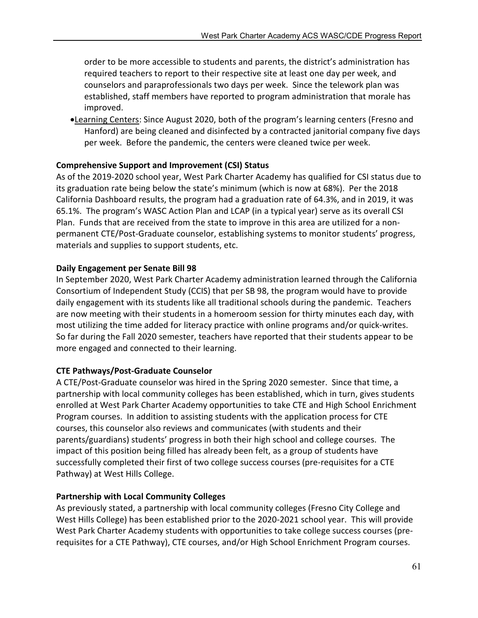order to be more accessible to students and parents, the district's administration has required teachers to report to their respective site at least one day per week, and counselors and paraprofessionals two days per week. Since the telework plan was established, staff members have reported to program administration that morale has improved.

•Learning Centers: Since August 2020, both of the program's learning centers (Fresno and Hanford) are being cleaned and disinfected by a contracted janitorial company five days per week. Before the pandemic, the centers were cleaned twice per week.

# Comprehensive Support and Improvement (CSI) Status

As of the 2019-2020 school year, West Park Charter Academy has qualified for CSI status due to its graduation rate being below the state's minimum (which is now at 68%). Per the 2018 California Dashboard results, the program had a graduation rate of 64.3%, and in 2019, it was 65.1%. The program's WASC Action Plan and LCAP (in a typical year) serve as its overall CSI Plan. Funds that are received from the state to improve in this area are utilized for a nonpermanent CTE/Post-Graduate counselor, establishing systems to monitor students' progress, materials and supplies to support students, etc.

# Daily Engagement per Senate Bill 98

In September 2020, West Park Charter Academy administration learned through the California Consortium of Independent Study (CCIS) that per SB 98, the program would have to provide daily engagement with its students like all traditional schools during the pandemic. Teachers are now meeting with their students in a homeroom session for thirty minutes each day, with most utilizing the time added for literacy practice with online programs and/or quick-writes. So far during the Fall 2020 semester, teachers have reported that their students appear to be more engaged and connected to their learning.

# CTE Pathways/Post-Graduate Counselor

A CTE/Post-Graduate counselor was hired in the Spring 2020 semester. Since that time, a partnership with local community colleges has been established, which in turn, gives students enrolled at West Park Charter Academy opportunities to take CTE and High School Enrichment Program courses. In addition to assisting students with the application process for CTE courses, this counselor also reviews and communicates (with students and their parents/guardians) students' progress in both their high school and college courses. The impact of this position being filled has already been felt, as a group of students have successfully completed their first of two college success courses (pre-requisites for a CTE Pathway) at West Hills College.

# Partnership with Local Community Colleges

As previously stated, a partnership with local community colleges (Fresno City College and West Hills College) has been established prior to the 2020-2021 school year. This will provide West Park Charter Academy students with opportunities to take college success courses (prerequisites for a CTE Pathway), CTE courses, and/or High School Enrichment Program courses.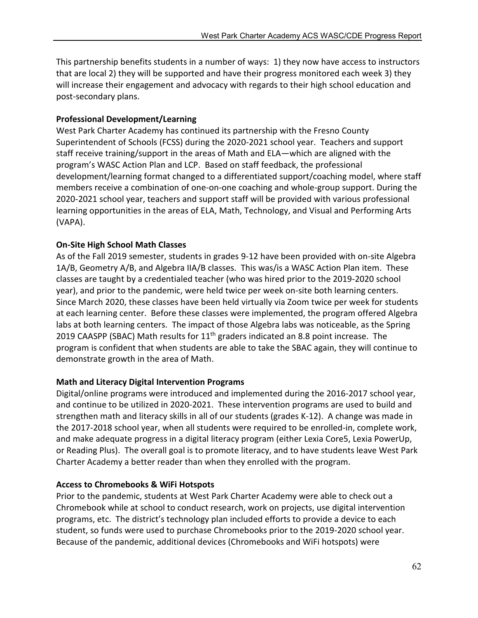This partnership benefits students in a number of ways: 1) they now have access to instructors that are local 2) they will be supported and have their progress monitored each week 3) they will increase their engagement and advocacy with regards to their high school education and post-secondary plans.

### Professional Development/Learning

West Park Charter Academy has continued its partnership with the Fresno County Superintendent of Schools (FCSS) during the 2020-2021 school year. Teachers and support staff receive training/support in the areas of Math and ELA—which are aligned with the program's WASC Action Plan and LCP. Based on staff feedback, the professional development/learning format changed to a differentiated support/coaching model, where staff members receive a combination of one-on-one coaching and whole-group support. During the 2020-2021 school year, teachers and support staff will be provided with various professional learning opportunities in the areas of ELA, Math, Technology, and Visual and Performing Arts (VAPA).

### On-Site High School Math Classes

As of the Fall 2019 semester, students in grades 9-12 have been provided with on-site Algebra 1A/B, Geometry A/B, and Algebra IIA/B classes. This was/is a WASC Action Plan item. These classes are taught by a credentialed teacher (who was hired prior to the 2019-2020 school year), and prior to the pandemic, were held twice per week on-site both learning centers. Since March 2020, these classes have been held virtually via Zoom twice per week for students at each learning center. Before these classes were implemented, the program offered Algebra labs at both learning centers. The impact of those Algebra labs was noticeable, as the Spring 2019 CAASPP (SBAC) Math results for 11<sup>th</sup> graders indicated an 8.8 point increase. The program is confident that when students are able to take the SBAC again, they will continue to demonstrate growth in the area of Math.

### Math and Literacy Digital Intervention Programs

Digital/online programs were introduced and implemented during the 2016-2017 school year, and continue to be utilized in 2020-2021. These intervention programs are used to build and strengthen math and literacy skills in all of our students (grades K-12). A change was made in the 2017-2018 school year, when all students were required to be enrolled-in, complete work, and make adequate progress in a digital literacy program (either Lexia Core5, Lexia PowerUp, or Reading Plus). The overall goal is to promote literacy, and to have students leave West Park Charter Academy a better reader than when they enrolled with the program.

### Access to Chromebooks & WiFi Hotspots

Prior to the pandemic, students at West Park Charter Academy were able to check out a Chromebook while at school to conduct research, work on projects, use digital intervention programs, etc. The district's technology plan included efforts to provide a device to each student, so funds were used to purchase Chromebooks prior to the 2019-2020 school year. Because of the pandemic, additional devices (Chromebooks and WiFi hotspots) were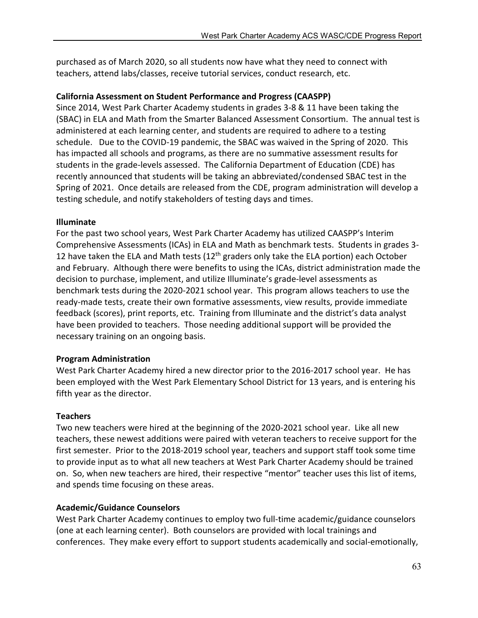purchased as of March 2020, so all students now have what they need to connect with teachers, attend labs/classes, receive tutorial services, conduct research, etc.

## California Assessment on Student Performance and Progress (CAASPP)

Since 2014, West Park Charter Academy students in grades 3-8 & 11 have been taking the (SBAC) in ELA and Math from the Smarter Balanced Assessment Consortium. The annual test is administered at each learning center, and students are required to adhere to a testing schedule. Due to the COVID-19 pandemic, the SBAC was waived in the Spring of 2020. This has impacted all schools and programs, as there are no summative assessment results for students in the grade-levels assessed. The California Department of Education (CDE) has recently announced that students will be taking an abbreviated/condensed SBAC test in the Spring of 2021. Once details are released from the CDE, program administration will develop a testing schedule, and notify stakeholders of testing days and times.

### Illuminate

For the past two school years, West Park Charter Academy has utilized CAASPP's Interim Comprehensive Assessments (ICAs) in ELA and Math as benchmark tests. Students in grades 3- 12 have taken the ELA and Math tests (12<sup>th</sup> graders only take the ELA portion) each October and February. Although there were benefits to using the ICAs, district administration made the decision to purchase, implement, and utilize Illuminate's grade-level assessments as benchmark tests during the 2020-2021 school year. This program allows teachers to use the ready-made tests, create their own formative assessments, view results, provide immediate feedback (scores), print reports, etc. Training from Illuminate and the district's data analyst have been provided to teachers. Those needing additional support will be provided the necessary training on an ongoing basis.

### Program Administration

West Park Charter Academy hired a new director prior to the 2016-2017 school year. He has been employed with the West Park Elementary School District for 13 years, and is entering his fifth year as the director.

### **Teachers**

Two new teachers were hired at the beginning of the 2020-2021 school year. Like all new teachers, these newest additions were paired with veteran teachers to receive support for the first semester. Prior to the 2018-2019 school year, teachers and support staff took some time to provide input as to what all new teachers at West Park Charter Academy should be trained on. So, when new teachers are hired, their respective "mentor" teacher uses this list of items, and spends time focusing on these areas.

### Academic/Guidance Counselors

West Park Charter Academy continues to employ two full-time academic/guidance counselors (one at each learning center). Both counselors are provided with local trainings and conferences. They make every effort to support students academically and social-emotionally,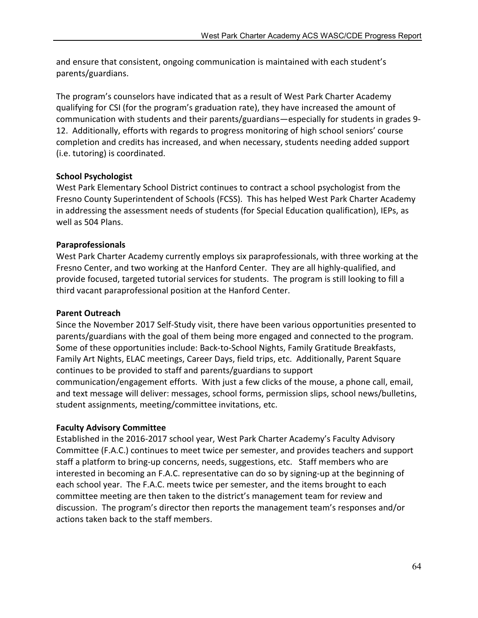and ensure that consistent, ongoing communication is maintained with each student's parents/guardians.

The program's counselors have indicated that as a result of West Park Charter Academy qualifying for CSI (for the program's graduation rate), they have increased the amount of communication with students and their parents/guardians—especially for students in grades 9- 12. Additionally, efforts with regards to progress monitoring of high school seniors' course completion and credits has increased, and when necessary, students needing added support (i.e. tutoring) is coordinated.

# School Psychologist

West Park Elementary School District continues to contract a school psychologist from the Fresno County Superintendent of Schools (FCSS). This has helped West Park Charter Academy in addressing the assessment needs of students (for Special Education qualification), IEPs, as well as 504 Plans.

# Paraprofessionals

West Park Charter Academy currently employs six paraprofessionals, with three working at the Fresno Center, and two working at the Hanford Center. They are all highly-qualified, and provide focused, targeted tutorial services for students. The program is still looking to fill a third vacant paraprofessional position at the Hanford Center.

## Parent Outreach

Since the November 2017 Self-Study visit, there have been various opportunities presented to parents/guardians with the goal of them being more engaged and connected to the program. Some of these opportunities include: Back-to-School Nights, Family Gratitude Breakfasts, Family Art Nights, ELAC meetings, Career Days, field trips, etc. Additionally, Parent Square continues to be provided to staff and parents/guardians to support communication/engagement efforts. With just a few clicks of the mouse, a phone call, email, and text message will deliver: messages, school forms, permission slips, school news/bulletins, student assignments, meeting/committee invitations, etc.

### Faculty Advisory Committee

Established in the 2016-2017 school year, West Park Charter Academy's Faculty Advisory Committee (F.A.C.) continues to meet twice per semester, and provides teachers and support staff a platform to bring-up concerns, needs, suggestions, etc. Staff members who are interested in becoming an F.A.C. representative can do so by signing-up at the beginning of each school year. The F.A.C. meets twice per semester, and the items brought to each committee meeting are then taken to the district's management team for review and discussion. The program's director then reports the management team's responses and/or actions taken back to the staff members.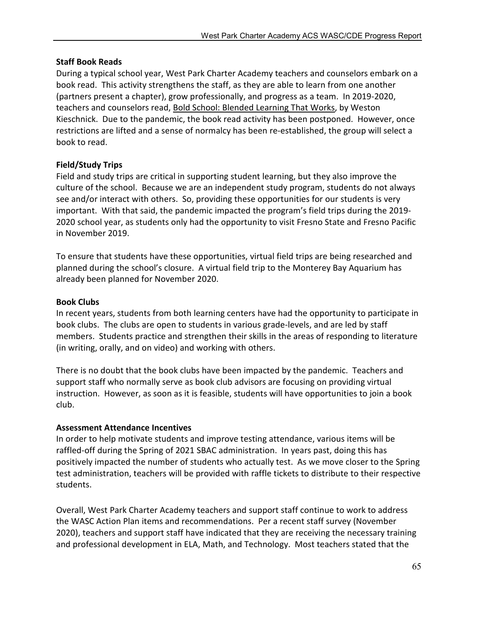### Staff Book Reads

During a typical school year, West Park Charter Academy teachers and counselors embark on a book read. This activity strengthens the staff, as they are able to learn from one another (partners present a chapter), grow professionally, and progress as a team. In 2019-2020, teachers and counselors read, Bold School: Blended Learning That Works, by Weston Kieschnick. Due to the pandemic, the book read activity has been postponed. However, once restrictions are lifted and a sense of normalcy has been re-established, the group will select a book to read.

### Field/Study Trips

Field and study trips are critical in supporting student learning, but they also improve the culture of the school. Because we are an independent study program, students do not always see and/or interact with others. So, providing these opportunities for our students is very important. With that said, the pandemic impacted the program's field trips during the 2019- 2020 school year, as students only had the opportunity to visit Fresno State and Fresno Pacific in November 2019.

To ensure that students have these opportunities, virtual field trips are being researched and planned during the school's closure. A virtual field trip to the Monterey Bay Aquarium has already been planned for November 2020.

### Book Clubs

In recent years, students from both learning centers have had the opportunity to participate in book clubs. The clubs are open to students in various grade-levels, and are led by staff members. Students practice and strengthen their skills in the areas of responding to literature (in writing, orally, and on video) and working with others.

There is no doubt that the book clubs have been impacted by the pandemic. Teachers and support staff who normally serve as book club advisors are focusing on providing virtual instruction. However, as soon as it is feasible, students will have opportunities to join a book club.

### Assessment Attendance Incentives

In order to help motivate students and improve testing attendance, various items will be raffled-off during the Spring of 2021 SBAC administration. In years past, doing this has positively impacted the number of students who actually test. As we move closer to the Spring test administration, teachers will be provided with raffle tickets to distribute to their respective students.

Overall, West Park Charter Academy teachers and support staff continue to work to address the WASC Action Plan items and recommendations. Per a recent staff survey (November 2020), teachers and support staff have indicated that they are receiving the necessary training and professional development in ELA, Math, and Technology. Most teachers stated that the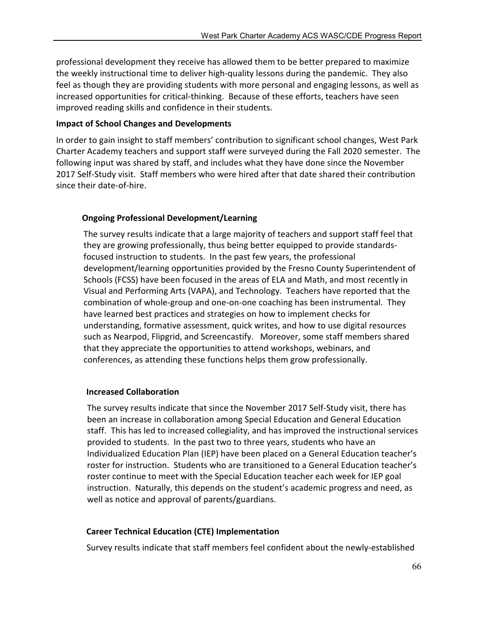professional development they receive has allowed them to be better prepared to maximize the weekly instructional time to deliver high-quality lessons during the pandemic. They also feel as though they are providing students with more personal and engaging lessons, as well as increased opportunities for critical-thinking. Because of these efforts, teachers have seen improved reading skills and confidence in their students.

### Impact of School Changes and Developments

In order to gain insight to staff members' contribution to significant school changes, West Park Charter Academy teachers and support staff were surveyed during the Fall 2020 semester. The following input was shared by staff, and includes what they have done since the November 2017 Self-Study visit. Staff members who were hired after that date shared their contribution since their date-of-hire.

# Ongoing Professional Development/Learning

The survey results indicate that a large majority of teachers and support staff feel that they are growing professionally, thus being better equipped to provide standardsfocused instruction to students. In the past few years, the professional development/learning opportunities provided by the Fresno County Superintendent of Schools (FCSS) have been focused in the areas of ELA and Math, and most recently in Visual and Performing Arts (VAPA), and Technology. Teachers have reported that the combination of whole-group and one-on-one coaching has been instrumental. They have learned best practices and strategies on how to implement checks for understanding, formative assessment, quick writes, and how to use digital resources such as Nearpod, Flipgrid, and Screencastify. Moreover, some staff members shared that they appreciate the opportunities to attend workshops, webinars, and conferences, as attending these functions helps them grow professionally.

### Increased Collaboration

The survey results indicate that since the November 2017 Self-Study visit, there has been an increase in collaboration among Special Education and General Education staff. This has led to increased collegiality, and has improved the instructional services provided to students. In the past two to three years, students who have an Individualized Education Plan (IEP) have been placed on a General Education teacher's roster for instruction. Students who are transitioned to a General Education teacher's roster continue to meet with the Special Education teacher each week for IEP goal instruction. Naturally, this depends on the student's academic progress and need, as well as notice and approval of parents/guardians.

# Career Technical Education (CTE) Implementation

Survey results indicate that staff members feel confident about the newly-established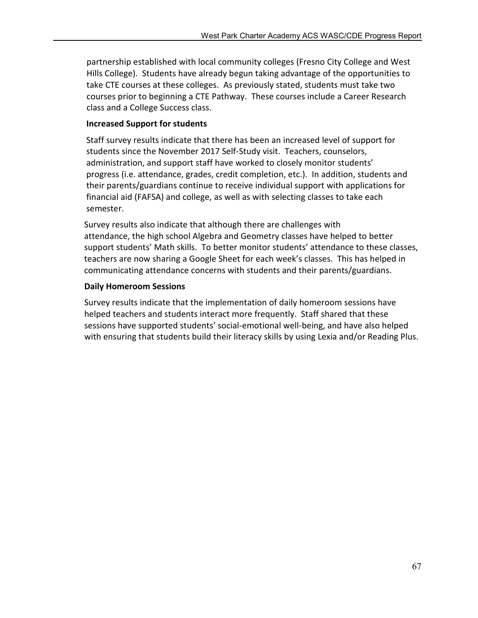partnership established with local community colleges (Fresno City College and West Hills College). Students have already begun taking advantage of the opportunities to take CTE courses at these colleges. As previously stated, students must take two courses prior to beginning a CTE Pathway. These courses include a Career Research class and a College Success class.

### Increased Support for students

 Staff survey results indicate that there has been an increased level of support for students since the November 2017 Self-Study visit. Teachers, counselors, administration, and support staff have worked to closely monitor students' progress (i.e. attendance, grades, credit completion, etc.). In addition, students and their parents/guardians continue to receive individual support with applications for financial aid (FAFSA) and college, as well as with selecting classes to take each semester.

 Survey results also indicate that although there are challenges with attendance, the high school Algebra and Geometry classes have helped to better support students' Math skills. To better monitor students' attendance to these classes, teachers are now sharing a Google Sheet for each week's classes. This has helped in communicating attendance concerns with students and their parents/guardians.

### Daily Homeroom Sessions

Survey results indicate that the implementation of daily homeroom sessions have helped teachers and students interact more frequently. Staff shared that these sessions have supported students' social-emotional well-being, and have also helped with ensuring that students build their literacy skills by using Lexia and/or Reading Plus.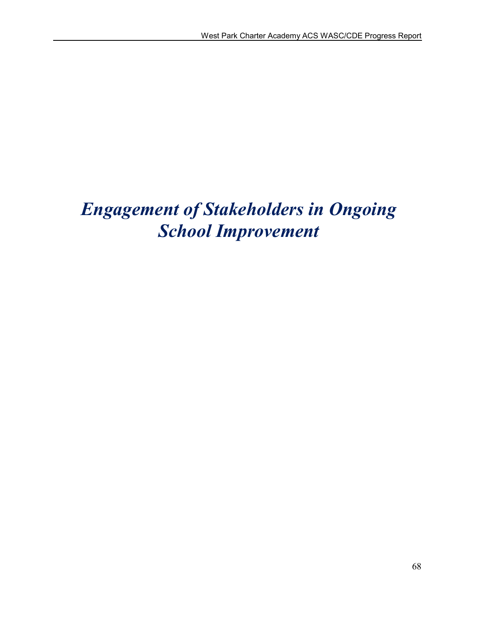# *Engagement of Stakeholders in Ongoing School Improvement*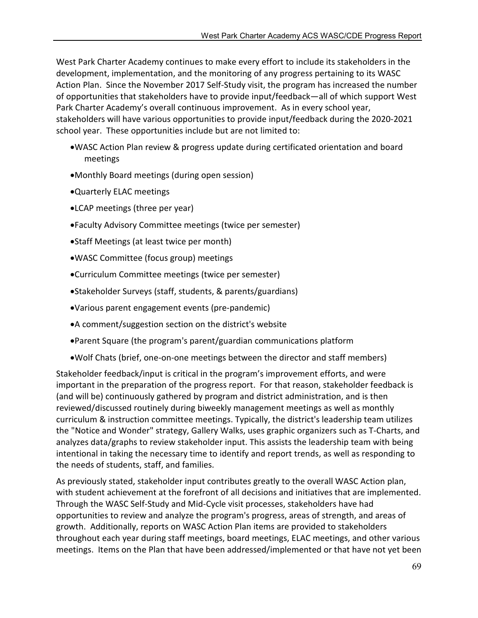West Park Charter Academy continues to make every effort to include its stakeholders in the development, implementation, and the monitoring of any progress pertaining to its WASC Action Plan. Since the November 2017 Self-Study visit, the program has increased the number of opportunities that stakeholders have to provide input/feedback—all of which support West Park Charter Academy's overall continuous improvement. As in every school year, stakeholders will have various opportunities to provide input/feedback during the 2020-2021 school year. These opportunities include but are not limited to:

- WASC Action Plan review & progress update during certificated orientation and board meetings
- Monthly Board meetings (during open session)
- Quarterly ELAC meetings
- LCAP meetings (three per year)
- Faculty Advisory Committee meetings (twice per semester)
- Staff Meetings (at least twice per month)
- WASC Committee (focus group) meetings
- Curriculum Committee meetings (twice per semester)
- Stakeholder Surveys (staff, students, & parents/guardians)
- Various parent engagement events (pre-pandemic)
- A comment/suggestion section on the district's website
- Parent Square (the program's parent/guardian communications platform
- Wolf Chats (brief, one-on-one meetings between the director and staff members)

Stakeholder feedback/input is critical in the program's improvement efforts, and were important in the preparation of the progress report. For that reason, stakeholder feedback is (and will be) continuously gathered by program and district administration, and is then reviewed/discussed routinely during biweekly management meetings as well as monthly curriculum & instruction committee meetings. Typically, the district's leadership team utilizes the "Notice and Wonder" strategy, Gallery Walks, uses graphic organizers such as T-Charts, and analyzes data/graphs to review stakeholder input. This assists the leadership team with being intentional in taking the necessary time to identify and report trends, as well as responding to the needs of students, staff, and families.

As previously stated, stakeholder input contributes greatly to the overall WASC Action plan, with student achievement at the forefront of all decisions and initiatives that are implemented. Through the WASC Self-Study and Mid-Cycle visit processes, stakeholders have had opportunities to review and analyze the program's progress, areas of strength, and areas of growth. Additionally, reports on WASC Action Plan items are provided to stakeholders throughout each year during staff meetings, board meetings, ELAC meetings, and other various meetings. Items on the Plan that have been addressed/implemented or that have not yet been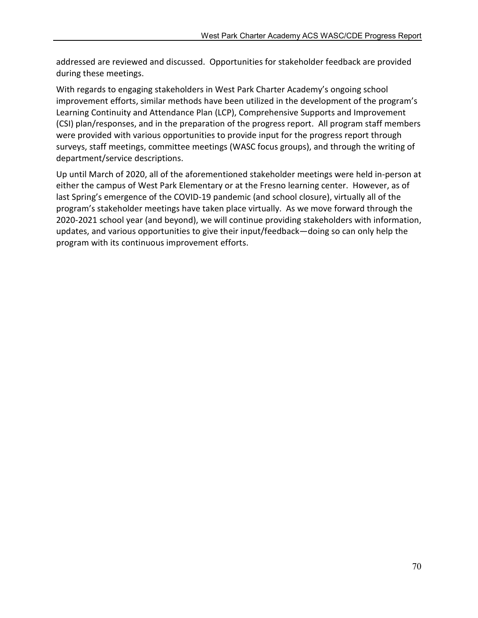addressed are reviewed and discussed. Opportunities for stakeholder feedback are provided during these meetings.

With regards to engaging stakeholders in West Park Charter Academy's ongoing school improvement efforts, similar methods have been utilized in the development of the program's Learning Continuity and Attendance Plan (LCP), Comprehensive Supports and Improvement (CSI) plan/responses, and in the preparation of the progress report. All program staff members were provided with various opportunities to provide input for the progress report through surveys, staff meetings, committee meetings (WASC focus groups), and through the writing of department/service descriptions.

Up until March of 2020, all of the aforementioned stakeholder meetings were held in-person at either the campus of West Park Elementary or at the Fresno learning center. However, as of last Spring's emergence of the COVID-19 pandemic (and school closure), virtually all of the program's stakeholder meetings have taken place virtually. As we move forward through the 2020-2021 school year (and beyond), we will continue providing stakeholders with information, updates, and various opportunities to give their input/feedback—doing so can only help the program with its continuous improvement efforts.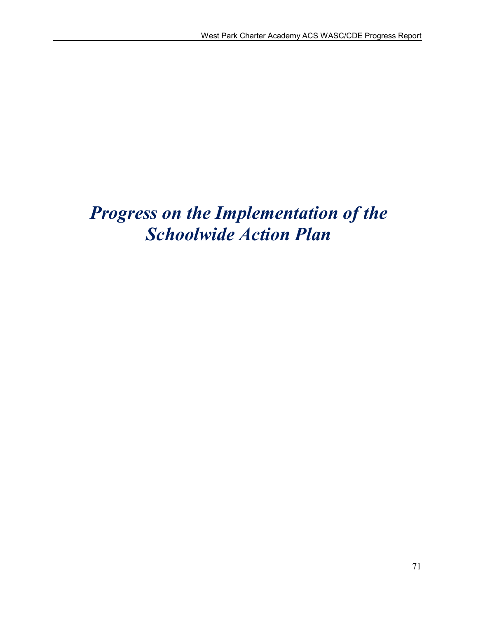# *Progress on the Implementation of the Schoolwide Action Plan*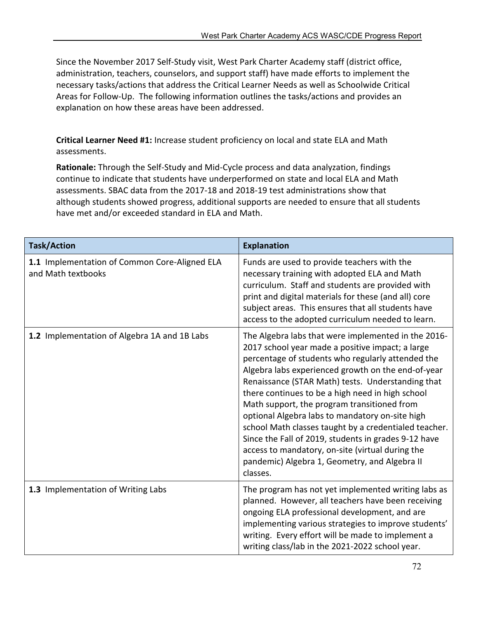Since the November 2017 Self-Study visit, West Park Charter Academy staff (district office, administration, teachers, counselors, and support staff) have made efforts to implement the necessary tasks/actions that address the Critical Learner Needs as well as Schoolwide Critical Areas for Follow-Up. The following information outlines the tasks/actions and provides an explanation on how these areas have been addressed.

Critical Learner Need #1: Increase student proficiency on local and state ELA and Math assessments.

Rationale: Through the Self-Study and Mid-Cycle process and data analyzation, findings continue to indicate that students have underperformed on state and local ELA and Math assessments. SBAC data from the 2017-18 and 2018-19 test administrations show that although students showed progress, additional supports are needed to ensure that all students have met and/or exceeded standard in ELA and Math.

| <b>Task/Action</b>                                                  | <b>Explanation</b>                                                                                                                                                                                                                                                                                                                                                                                                                                                                                                                                                                                                                                              |
|---------------------------------------------------------------------|-----------------------------------------------------------------------------------------------------------------------------------------------------------------------------------------------------------------------------------------------------------------------------------------------------------------------------------------------------------------------------------------------------------------------------------------------------------------------------------------------------------------------------------------------------------------------------------------------------------------------------------------------------------------|
| 1.1 Implementation of Common Core-Aligned ELA<br>and Math textbooks | Funds are used to provide teachers with the<br>necessary training with adopted ELA and Math<br>curriculum. Staff and students are provided with<br>print and digital materials for these (and all) core<br>subject areas. This ensures that all students have<br>access to the adopted curriculum needed to learn.                                                                                                                                                                                                                                                                                                                                              |
| 1.2 Implementation of Algebra 1A and 1B Labs                        | The Algebra labs that were implemented in the 2016-<br>2017 school year made a positive impact; a large<br>percentage of students who regularly attended the<br>Algebra labs experienced growth on the end-of-year<br>Renaissance (STAR Math) tests. Understanding that<br>there continues to be a high need in high school<br>Math support, the program transitioned from<br>optional Algebra labs to mandatory on-site high<br>school Math classes taught by a credentialed teacher.<br>Since the Fall of 2019, students in grades 9-12 have<br>access to mandatory, on-site (virtual during the<br>pandemic) Algebra 1, Geometry, and Algebra II<br>classes. |
| 1.3 Implementation of Writing Labs                                  | The program has not yet implemented writing labs as<br>planned. However, all teachers have been receiving<br>ongoing ELA professional development, and are<br>implementing various strategies to improve students'<br>writing. Every effort will be made to implement a<br>writing class/lab in the 2021-2022 school year.                                                                                                                                                                                                                                                                                                                                      |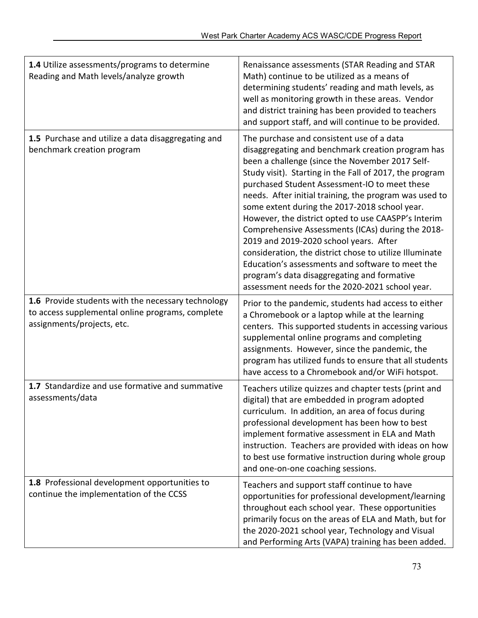| 1.4 Utilize assessments/programs to determine<br>Reading and Math levels/analyze growth                                              | Renaissance assessments (STAR Reading and STAR<br>Math) continue to be utilized as a means of<br>determining students' reading and math levels, as<br>well as monitoring growth in these areas. Vendor<br>and district training has been provided to teachers<br>and support staff, and will continue to be provided.                                                                                                                                                                                                                                                                                                                                                                                                                           |
|--------------------------------------------------------------------------------------------------------------------------------------|-------------------------------------------------------------------------------------------------------------------------------------------------------------------------------------------------------------------------------------------------------------------------------------------------------------------------------------------------------------------------------------------------------------------------------------------------------------------------------------------------------------------------------------------------------------------------------------------------------------------------------------------------------------------------------------------------------------------------------------------------|
| 1.5 Purchase and utilize a data disaggregating and<br>benchmark creation program                                                     | The purchase and consistent use of a data<br>disaggregating and benchmark creation program has<br>been a challenge (since the November 2017 Self-<br>Study visit). Starting in the Fall of 2017, the program<br>purchased Student Assessment-IO to meet these<br>needs. After initial training, the program was used to<br>some extent during the 2017-2018 school year.<br>However, the district opted to use CAASPP's Interim<br>Comprehensive Assessments (ICAs) during the 2018-<br>2019 and 2019-2020 school years. After<br>consideration, the district chose to utilize Illuminate<br>Education's assessments and software to meet the<br>program's data disaggregating and formative<br>assessment needs for the 2020-2021 school year. |
| 1.6 Provide students with the necessary technology<br>to access supplemental online programs, complete<br>assignments/projects, etc. | Prior to the pandemic, students had access to either<br>a Chromebook or a laptop while at the learning<br>centers. This supported students in accessing various<br>supplemental online programs and completing<br>assignments. However, since the pandemic, the<br>program has utilized funds to ensure that all students<br>have access to a Chromebook and/or WiFi hotspot.                                                                                                                                                                                                                                                                                                                                                                   |
| 1.7 Standardize and use formative and summative<br>assessments/data                                                                  | Teachers utilize quizzes and chapter tests (print and<br>digital) that are embedded in program adopted<br>curriculum. In addition, an area of focus during<br>professional development has been how to best<br>implement formative assessment in ELA and Math<br>instruction. Teachers are provided with ideas on how<br>to best use formative instruction during whole group<br>and one-on-one coaching sessions.                                                                                                                                                                                                                                                                                                                              |
| 1.8 Professional development opportunities to<br>continue the implementation of the CCSS                                             | Teachers and support staff continue to have<br>opportunities for professional development/learning<br>throughout each school year. These opportunities<br>primarily focus on the areas of ELA and Math, but for<br>the 2020-2021 school year, Technology and Visual<br>and Performing Arts (VAPA) training has been added.                                                                                                                                                                                                                                                                                                                                                                                                                      |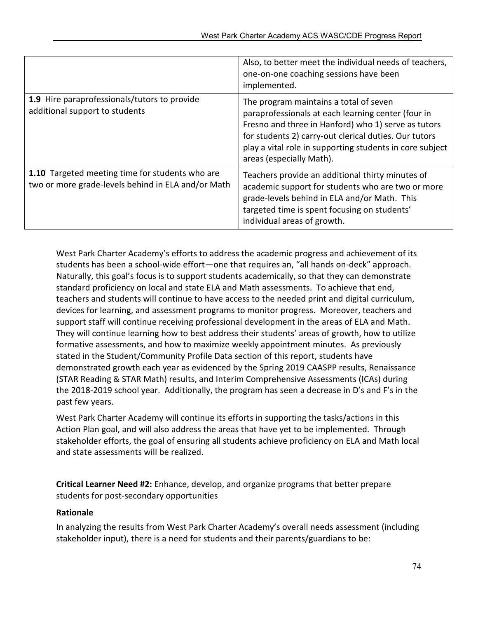|                                                                                                       | Also, to better meet the individual needs of teachers,<br>one-on-one coaching sessions have been<br>implemented.                                                                                                                                                                                     |
|-------------------------------------------------------------------------------------------------------|------------------------------------------------------------------------------------------------------------------------------------------------------------------------------------------------------------------------------------------------------------------------------------------------------|
| 1.9 Hire paraprofessionals/tutors to provide<br>additional support to students                        | The program maintains a total of seven<br>paraprofessionals at each learning center (four in<br>Fresno and three in Hanford) who 1) serve as tutors<br>for students 2) carry-out clerical duties. Our tutors<br>play a vital role in supporting students in core subject<br>areas (especially Math). |
| 1.10 Targeted meeting time for students who are<br>two or more grade-levels behind in ELA and/or Math | Teachers provide an additional thirty minutes of<br>academic support for students who are two or more<br>grade-levels behind in ELA and/or Math. This<br>targeted time is spent focusing on students'<br>individual areas of growth.                                                                 |

West Park Charter Academy's efforts to address the academic progress and achievement of its students has been a school-wide effort—one that requires an, "all hands on-deck" approach. Naturally, this goal's focus is to support students academically, so that they can demonstrate standard proficiency on local and state ELA and Math assessments. To achieve that end, teachers and students will continue to have access to the needed print and digital curriculum, devices for learning, and assessment programs to monitor progress. Moreover, teachers and support staff will continue receiving professional development in the areas of ELA and Math. They will continue learning how to best address their students' areas of growth, how to utilize formative assessments, and how to maximize weekly appointment minutes. As previously stated in the Student/Community Profile Data section of this report, students have demonstrated growth each year as evidenced by the Spring 2019 CAASPP results, Renaissance (STAR Reading & STAR Math) results, and Interim Comprehensive Assessments (ICAs) during the 2018-2019 school year. Additionally, the program has seen a decrease in D's and F's in the past few years.

West Park Charter Academy will continue its efforts in supporting the tasks/actions in this Action Plan goal, and will also address the areas that have yet to be implemented. Through stakeholder efforts, the goal of ensuring all students achieve proficiency on ELA and Math local and state assessments will be realized.

Critical Learner Need #2: Enhance, develop, and organize programs that better prepare students for post-secondary opportunities

#### Rationale

In analyzing the results from West Park Charter Academy's overall needs assessment (including stakeholder input), there is a need for students and their parents/guardians to be: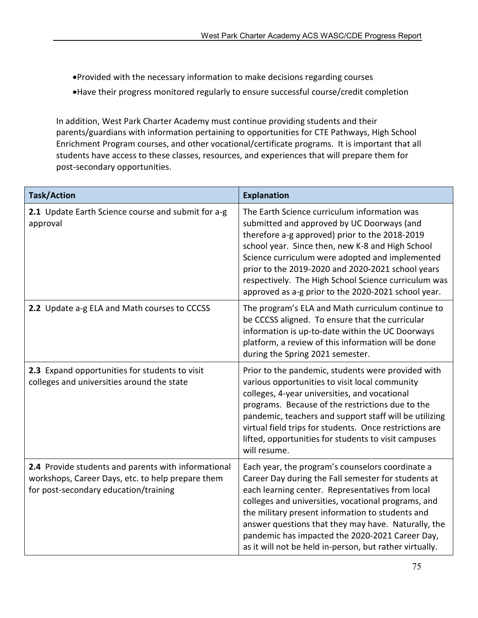Provided with the necessary information to make decisions regarding courses Have their progress monitored regularly to ensure successful course/credit completion

In addition, West Park Charter Academy must continue providing students and their parents/guardians with information pertaining to opportunities for CTE Pathways, High School Enrichment Program courses, and other vocational/certificate programs. It is important that all students have access to these classes, resources, and experiences that will prepare them for post-secondary opportunities.

| <b>Task/Action</b>                                                                                                                                | <b>Explanation</b>                                                                                                                                                                                                                                                                                                                                                                                                                          |
|---------------------------------------------------------------------------------------------------------------------------------------------------|---------------------------------------------------------------------------------------------------------------------------------------------------------------------------------------------------------------------------------------------------------------------------------------------------------------------------------------------------------------------------------------------------------------------------------------------|
| 2.1 Update Earth Science course and submit for a-g<br>approval                                                                                    | The Earth Science curriculum information was<br>submitted and approved by UC Doorways (and<br>therefore a-g approved) prior to the 2018-2019<br>school year. Since then, new K-8 and High School<br>Science curriculum were adopted and implemented<br>prior to the 2019-2020 and 2020-2021 school years<br>respectively. The High School Science curriculum was<br>approved as a-g prior to the 2020-2021 school year.                     |
| 2.2 Update a-g ELA and Math courses to CCCSS                                                                                                      | The program's ELA and Math curriculum continue to<br>be CCCSS aligned. To ensure that the curricular<br>information is up-to-date within the UC Doorways<br>platform, a review of this information will be done<br>during the Spring 2021 semester.                                                                                                                                                                                         |
| 2.3 Expand opportunities for students to visit<br>colleges and universities around the state                                                      | Prior to the pandemic, students were provided with<br>various opportunities to visit local community<br>colleges, 4-year universities, and vocational<br>programs. Because of the restrictions due to the<br>pandemic, teachers and support staff will be utilizing<br>virtual field trips for students. Once restrictions are<br>lifted, opportunities for students to visit campuses<br>will resume.                                      |
| 2.4 Provide students and parents with informational<br>workshops, Career Days, etc. to help prepare them<br>for post-secondary education/training | Each year, the program's counselors coordinate a<br>Career Day during the Fall semester for students at<br>each learning center. Representatives from local<br>colleges and universities, vocational programs, and<br>the military present information to students and<br>answer questions that they may have. Naturally, the<br>pandemic has impacted the 2020-2021 Career Day,<br>as it will not be held in-person, but rather virtually. |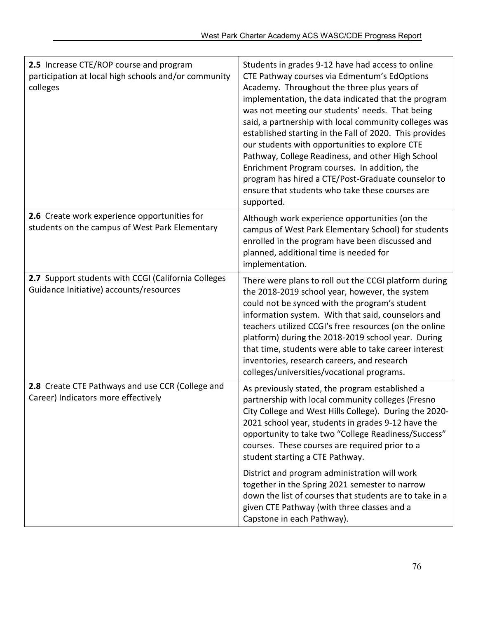| 2.5 Increase CTE/ROP course and program<br>participation at local high schools and/or community<br>colleges | Students in grades 9-12 have had access to online<br>CTE Pathway courses via Edmentum's EdOptions<br>Academy. Throughout the three plus years of<br>implementation, the data indicated that the program<br>was not meeting our students' needs. That being<br>said, a partnership with local community colleges was<br>established starting in the Fall of 2020. This provides<br>our students with opportunities to explore CTE<br>Pathway, College Readiness, and other High School<br>Enrichment Program courses. In addition, the<br>program has hired a CTE/Post-Graduate counselor to<br>ensure that students who take these courses are<br>supported. |
|-------------------------------------------------------------------------------------------------------------|--------------------------------------------------------------------------------------------------------------------------------------------------------------------------------------------------------------------------------------------------------------------------------------------------------------------------------------------------------------------------------------------------------------------------------------------------------------------------------------------------------------------------------------------------------------------------------------------------------------------------------------------------------------|
| 2.6 Create work experience opportunities for<br>students on the campus of West Park Elementary              | Although work experience opportunities (on the<br>campus of West Park Elementary School) for students<br>enrolled in the program have been discussed and<br>planned, additional time is needed for<br>implementation.                                                                                                                                                                                                                                                                                                                                                                                                                                        |
| 2.7 Support students with CCGI (California Colleges<br>Guidance Initiative) accounts/resources              | There were plans to roll out the CCGI platform during<br>the 2018-2019 school year, however, the system<br>could not be synced with the program's student<br>information system. With that said, counselors and<br>teachers utilized CCGI's free resources (on the online<br>platform) during the 2018-2019 school year. During<br>that time, students were able to take career interest<br>inventories, research careers, and research<br>colleges/universities/vocational programs.                                                                                                                                                                        |
| 2.8 Create CTE Pathways and use CCR (College and<br>Career) Indicators more effectively                     | As previously stated, the program established a<br>partnership with local community colleges (Fresno<br>City College and West Hills College). During the 2020-<br>2021 school year, students in grades 9-12 have the<br>opportunity to take two "College Readiness/Success"<br>courses. These courses are required prior to a<br>student starting a CTE Pathway.                                                                                                                                                                                                                                                                                             |
|                                                                                                             | District and program administration will work<br>together in the Spring 2021 semester to narrow<br>down the list of courses that students are to take in a<br>given CTE Pathway (with three classes and a<br>Capstone in each Pathway).                                                                                                                                                                                                                                                                                                                                                                                                                      |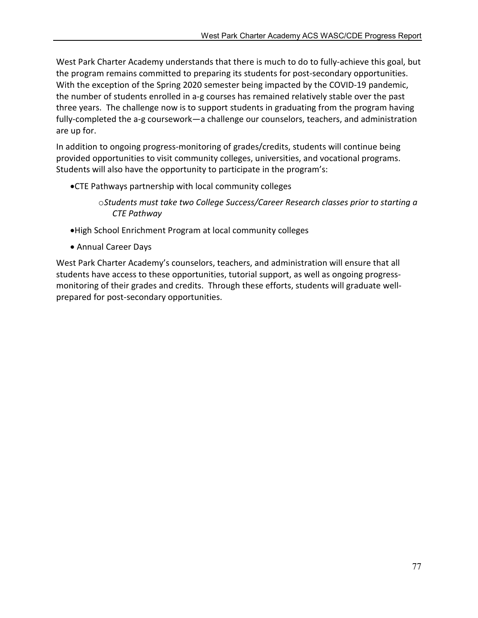West Park Charter Academy understands that there is much to do to fully-achieve this goal, but the program remains committed to preparing its students for post-secondary opportunities. With the exception of the Spring 2020 semester being impacted by the COVID-19 pandemic, the number of students enrolled in a-g courses has remained relatively stable over the past three years. The challenge now is to support students in graduating from the program having fully-completed the a-g coursework—a challenge our counselors, teachers, and administration are up for.

In addition to ongoing progress-monitoring of grades/credits, students will continue being provided opportunities to visit community colleges, universities, and vocational programs. Students will also have the opportunity to participate in the program's:

- CTE Pathways partnership with local community colleges
	- o*Students must take two College Success/Career Research classes prior to starting a CTE Pathway*
- High School Enrichment Program at local community colleges
- Annual Career Days

West Park Charter Academy's counselors, teachers, and administration will ensure that all students have access to these opportunities, tutorial support, as well as ongoing progressmonitoring of their grades and credits. Through these efforts, students will graduate wellprepared for post-secondary opportunities.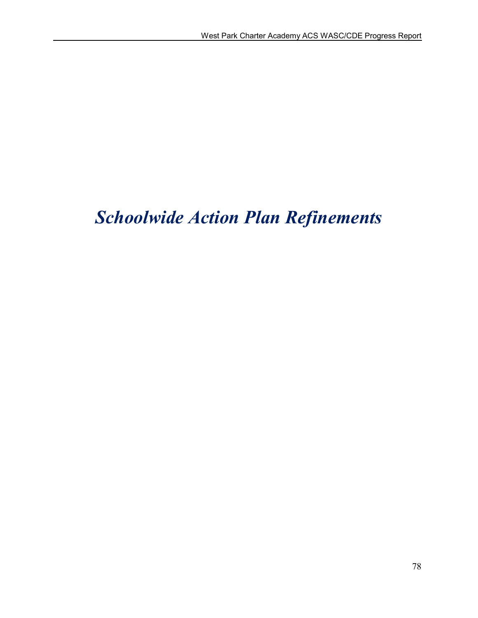# *Schoolwide Action Plan Refinements*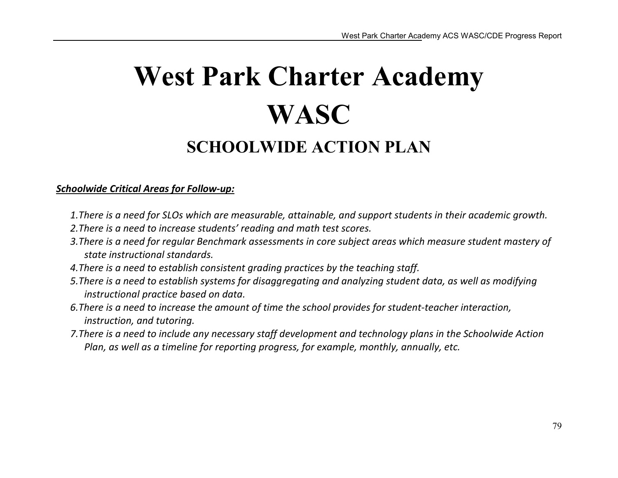# West Park Charter Academy **WASC** SCHOOLWIDE ACTION PLAN

## *Schoolwide Critical Areas for Follow-up:*

- *1.There is a need for SLOs which are measurable, attainable, and support students in their academic growth.*
- *2.There is a need to increase students' reading and math test scores.*
- *3.There is a need for regular Benchmark assessments in core subject areas which measure student mastery of state instructional standards.*
- *4.There is a need to establish consistent grading practices by the teaching staff.*
- *5.There is a need to establish systems for disaggregating and analyzing student data, as well as modifying instructional practice based on data.*
- *6.There is a need to increase the amount of time the school provides for student-teacher interaction, instruction, and tutoring.*
- *7.There is a need to include any necessary staff development and technology plans in the Schoolwide Action Plan, as well as a timeline for reporting progress, for example, monthly, annually, etc.*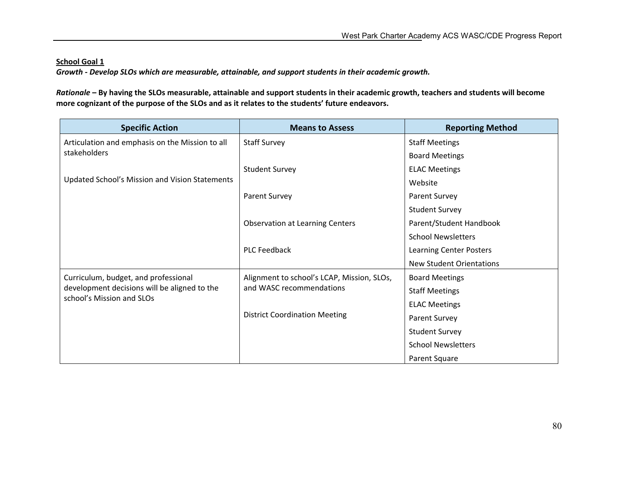*Growth - Develop SLOs which are measurable, attainable, and support students in their academic growth.*

*Rationale* – By having the SLOs measurable, attainable and support students in their academic growth, teachers and students will become more cognizant of the purpose of the SLOs and as it relates to the students' future endeavors.

| <b>Specific Action</b>                                                    | <b>Means to Assess</b>                                           | <b>Reporting Method</b>        |
|---------------------------------------------------------------------------|------------------------------------------------------------------|--------------------------------|
| Articulation and emphasis on the Mission to all                           | <b>Staff Survey</b>                                              | <b>Staff Meetings</b>          |
| stakeholders                                                              |                                                                  | <b>Board Meetings</b>          |
|                                                                           | <b>Student Survey</b>                                            | <b>ELAC Meetings</b>           |
| Updated School's Mission and Vision Statements                            |                                                                  | Website                        |
|                                                                           | Parent Survey                                                    | Parent Survey                  |
|                                                                           |                                                                  | <b>Student Survey</b>          |
|                                                                           | <b>Observation at Learning Centers</b>                           | Parent/Student Handbook        |
|                                                                           |                                                                  | <b>School Newsletters</b>      |
|                                                                           | <b>PLC Feedback</b>                                              | <b>Learning Center Posters</b> |
|                                                                           |                                                                  | New Student Orientations       |
| Curriculum, budget, and professional                                      | Alignment to school's LCAP, Mission, SLOs,                       | <b>Board Meetings</b>          |
| development decisions will be aligned to the<br>school's Mission and SLOs | and WASC recommendations<br><b>District Coordination Meeting</b> | <b>Staff Meetings</b>          |
|                                                                           |                                                                  | <b>ELAC Meetings</b>           |
|                                                                           |                                                                  | Parent Survey                  |
|                                                                           |                                                                  | <b>Student Survey</b>          |
|                                                                           |                                                                  | <b>School Newsletters</b>      |
|                                                                           |                                                                  | Parent Square                  |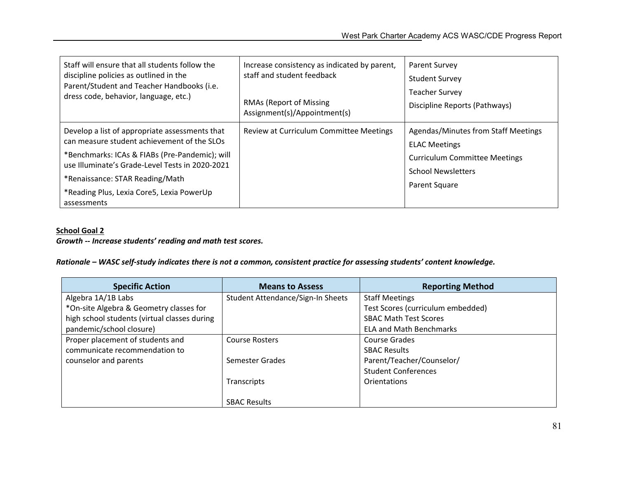| Staff will ensure that all students follow the                                                                                                                                                                                                                                                    | Increase consistency as indicated by parent, | Parent Survey                                                                                                                                     |
|---------------------------------------------------------------------------------------------------------------------------------------------------------------------------------------------------------------------------------------------------------------------------------------------------|----------------------------------------------|---------------------------------------------------------------------------------------------------------------------------------------------------|
| discipline policies as outlined in the                                                                                                                                                                                                                                                            | staff and student feedback                   | <b>Student Survey</b>                                                                                                                             |
| Parent/Student and Teacher Handbooks (i.e.                                                                                                                                                                                                                                                        | <b>RMAs (Report of Missing</b>               | <b>Teacher Survey</b>                                                                                                                             |
| dress code, behavior, language, etc.)                                                                                                                                                                                                                                                             | Assignment(s)/Appointment(s)                 | Discipline Reports (Pathways)                                                                                                                     |
| Develop a list of appropriate assessments that<br>can measure student achievement of the SLOs<br>*Benchmarks: ICAs & FIABs (Pre-Pandemic); will<br>use Illuminate's Grade-Level Tests in 2020-2021<br>*Renaissance: STAR Reading/Math<br>*Reading Plus, Lexia Core5, Lexia PowerUp<br>assessments | Review at Curriculum Committee Meetings      | Agendas/Minutes from Staff Meetings<br><b>ELAC Meetings</b><br><b>Curriculum Committee Meetings</b><br><b>School Newsletters</b><br>Parent Square |

#### *Growth -- Increase students' reading and math test scores.*

#### *Rationale – WASC self-study indicates there is not a common, consistent practice for assessing students' content knowledge.*

| <b>Specific Action</b>                       | <b>Means to Assess</b>            | <b>Reporting Method</b>           |
|----------------------------------------------|-----------------------------------|-----------------------------------|
| Algebra 1A/1B Labs                           | Student Attendance/Sign-In Sheets | <b>Staff Meetings</b>             |
| *On-site Algebra & Geometry classes for      |                                   | Test Scores (curriculum embedded) |
| high school students (virtual classes during |                                   | <b>SBAC Math Test Scores</b>      |
| pandemic/school closure)                     |                                   | <b>ELA and Math Benchmarks</b>    |
| Proper placement of students and             | <b>Course Rosters</b>             | Course Grades                     |
| communicate recommendation to                |                                   | <b>SBAC Results</b>               |
| counselor and parents                        | Semester Grades                   | Parent/Teacher/Counselor/         |
|                                              |                                   | <b>Student Conferences</b>        |
|                                              | Transcripts                       | Orientations                      |
|                                              |                                   |                                   |
|                                              | <b>SBAC Results</b>               |                                   |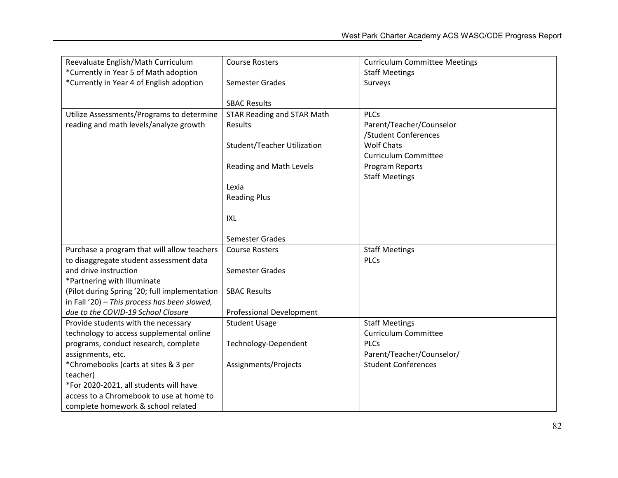| Reevaluate English/Math Curriculum            | <b>Course Rosters</b>              | <b>Curriculum Committee Meetings</b> |
|-----------------------------------------------|------------------------------------|--------------------------------------|
| *Currently in Year 5 of Math adoption         |                                    | <b>Staff Meetings</b>                |
| *Currently in Year 4 of English adoption      | Semester Grades                    | Surveys                              |
|                                               |                                    |                                      |
|                                               | <b>SBAC Results</b>                |                                      |
| Utilize Assessments/Programs to determine     | <b>STAR Reading and STAR Math</b>  | <b>PLCs</b>                          |
| reading and math levels/analyze growth        | Results                            | Parent/Teacher/Counselor             |
|                                               |                                    | /Student Conferences                 |
|                                               | <b>Student/Teacher Utilization</b> | <b>Wolf Chats</b>                    |
|                                               |                                    | <b>Curriculum Committee</b>          |
|                                               | Reading and Math Levels            | Program Reports                      |
|                                               |                                    | <b>Staff Meetings</b>                |
|                                               | Lexia                              |                                      |
|                                               | <b>Reading Plus</b>                |                                      |
|                                               |                                    |                                      |
|                                               | <b>IXL</b>                         |                                      |
|                                               |                                    |                                      |
|                                               | Semester Grades                    |                                      |
| Purchase a program that will allow teachers   | <b>Course Rosters</b>              | <b>Staff Meetings</b>                |
| to disaggregate student assessment data       |                                    | <b>PLCs</b>                          |
| and drive instruction                         | Semester Grades                    |                                      |
| *Partnering with Illuminate                   |                                    |                                      |
| (Pilot during Spring '20; full implementation | <b>SBAC Results</b>                |                                      |
| in Fall '20) - This process has been slowed,  |                                    |                                      |
| due to the COVID-19 School Closure            | <b>Professional Development</b>    |                                      |
| Provide students with the necessary           | <b>Student Usage</b>               | <b>Staff Meetings</b>                |
| technology to access supplemental online      |                                    | <b>Curriculum Committee</b>          |
| programs, conduct research, complete          | Technology-Dependent               | <b>PLCs</b>                          |
| assignments, etc.                             |                                    | Parent/Teacher/Counselor/            |
| *Chromebooks (carts at sites & 3 per          | Assignments/Projects               | <b>Student Conferences</b>           |
| teacher)                                      |                                    |                                      |
| *For 2020-2021, all students will have        |                                    |                                      |
| access to a Chromebook to use at home to      |                                    |                                      |
| complete homework & school related            |                                    |                                      |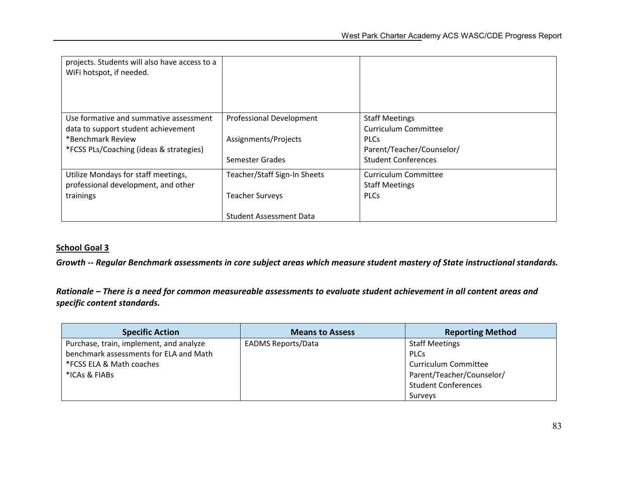| projects. Students will also have access to a<br>WiFi hotspot, if needed.                                                                                |                                                                                          |                                                                                                                                |
|----------------------------------------------------------------------------------------------------------------------------------------------------------|------------------------------------------------------------------------------------------|--------------------------------------------------------------------------------------------------------------------------------|
| Use formative and summative assessment<br>data to support student achievement<br>*Benchmark Review<br><i>*FCSS PLs/Coaching (ideas &amp; strategies)</i> | <b>Professional Development</b><br>Assignments/Projects<br>Semester Grades               | <b>Staff Meetings</b><br><b>Curriculum Committee</b><br><b>PLCs</b><br>Parent/Teacher/Counselor/<br><b>Student Conferences</b> |
| Utilize Mondays for staff meetings,<br>professional development, and other<br>trainings                                                                  | Teacher/Staff Sign-In Sheets<br><b>Teacher Surveys</b><br><b>Student Assessment Data</b> | Curriculum Committee<br><b>Staff Meetings</b><br><b>PLCs</b>                                                                   |

*Growth -- Regular Benchmark assessments in core subject areas which measure student mastery of State instructional standards.*

*Rationale – There is a need for common measureable assessments to evaluate student achievement in all content areas and specific content standards.*

| <b>Specific Action</b>                  | <b>Means to Assess</b>    | <b>Reporting Method</b>    |
|-----------------------------------------|---------------------------|----------------------------|
| Purchase, train, implement, and analyze | <b>EADMS Reports/Data</b> | <b>Staff Meetings</b>      |
| benchmark assessments for ELA and Math  |                           | <b>PLCs</b>                |
| *FCSS ELA & Math coaches                |                           | Curriculum Committee       |
| *ICAs & FIABs                           |                           | Parent/Teacher/Counselor/  |
|                                         |                           | <b>Student Conferences</b> |
|                                         |                           | Surveys                    |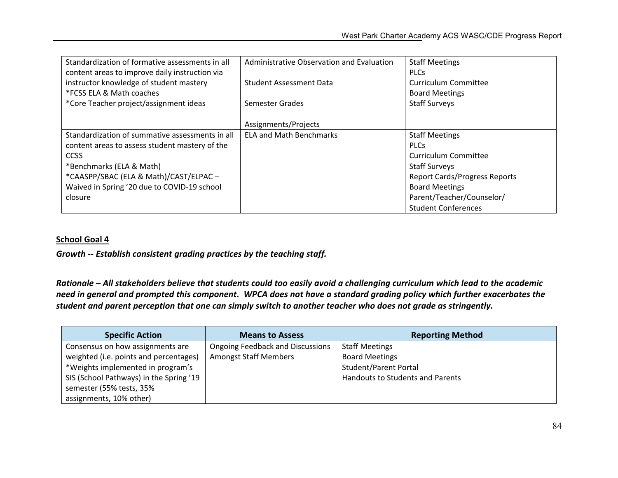| Standardization of formative assessments in all | Administrative Observation and Evaluation | <b>Staff Meetings</b>                |
|-------------------------------------------------|-------------------------------------------|--------------------------------------|
| content areas to improve daily instruction via  |                                           | <b>PLCs</b>                          |
| instructor knowledge of student mastery         | <b>Student Assessment Data</b>            | <b>Curriculum Committee</b>          |
| *FCSS ELA & Math coaches                        |                                           | <b>Board Meetings</b>                |
| *Core Teacher project/assignment ideas          | Semester Grades                           | <b>Staff Surveys</b>                 |
|                                                 |                                           |                                      |
|                                                 | Assignments/Projects                      |                                      |
| Standardization of summative assessments in all | <b>ELA and Math Benchmarks</b>            | <b>Staff Meetings</b>                |
| content areas to assess student mastery of the  |                                           | <b>PLCs</b>                          |
| <b>CCSS</b>                                     |                                           | Curriculum Committee                 |
| *Benchmarks (ELA & Math)                        |                                           | <b>Staff Surveys</b>                 |
| *CAASPP/SBAC (ELA & Math)/CAST/ELPAC-           |                                           | <b>Report Cards/Progress Reports</b> |
| Waived in Spring '20 due to COVID-19 school     |                                           | <b>Board Meetings</b>                |
| closure                                         |                                           | Parent/Teacher/Counselor/            |
|                                                 |                                           | <b>Student Conferences</b>           |

*Growth -- Establish consistent grading practices by the teaching staff.*

*Rationale – All stakeholders believe that students could too easily avoid a challenging curriculum which lead to the academic need in general and prompted this component. WPCA does not have a standard grading policy which further exacerbates the student and parent perception that one can simply switch to another teacher who does not grade as stringently.*

| <b>Specific Action</b>                  | <b>Means to Assess</b>                  | <b>Reporting Method</b>          |
|-----------------------------------------|-----------------------------------------|----------------------------------|
| Consensus on how assignments are        | <b>Ongoing Feedback and Discussions</b> | <b>Staff Meetings</b>            |
| weighted (i.e. points and percentages)  | <b>Amongst Staff Members</b>            | <b>Board Meetings</b>            |
| *Weights implemented in program's       |                                         | <b>Student/Parent Portal</b>     |
| SIS (School Pathways) in the Spring '19 |                                         | Handouts to Students and Parents |
| semester (55% tests, 35%                |                                         |                                  |
| assignments, 10% other)                 |                                         |                                  |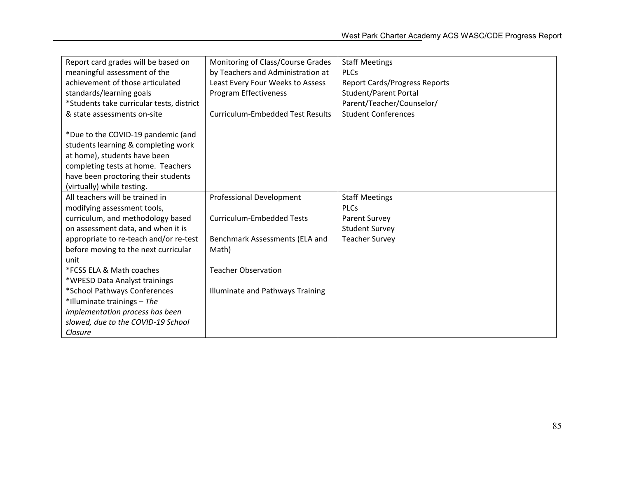| Report card grades will be based on       | Monitoring of Class/Course Grades       | <b>Staff Meetings</b>                |
|-------------------------------------------|-----------------------------------------|--------------------------------------|
| meaningful assessment of the              | by Teachers and Administration at       | <b>PLCs</b>                          |
| achievement of those articulated          | Least Every Four Weeks to Assess        | <b>Report Cards/Progress Reports</b> |
| standards/learning goals                  | Program Effectiveness                   | <b>Student/Parent Portal</b>         |
| *Students take curricular tests, district |                                         | Parent/Teacher/Counselor/            |
| & state assessments on-site               | <b>Curriculum-Embedded Test Results</b> | <b>Student Conferences</b>           |
|                                           |                                         |                                      |
| *Due to the COVID-19 pandemic (and        |                                         |                                      |
| students learning & completing work       |                                         |                                      |
| at home), students have been              |                                         |                                      |
| completing tests at home. Teachers        |                                         |                                      |
| have been proctoring their students       |                                         |                                      |
| (virtually) while testing.                |                                         |                                      |
| All teachers will be trained in           | Professional Development                | <b>Staff Meetings</b>                |
| modifying assessment tools,               |                                         | <b>PLCs</b>                          |
| curriculum, and methodology based         | <b>Curriculum-Embedded Tests</b>        | <b>Parent Survey</b>                 |
| on assessment data, and when it is        |                                         | <b>Student Survey</b>                |
| appropriate to re-teach and/or re-test    | Benchmark Assessments (ELA and          | <b>Teacher Survey</b>                |
| before moving to the next curricular      | Math)                                   |                                      |
| unit                                      |                                         |                                      |
| *FCSS ELA & Math coaches                  | <b>Teacher Observation</b>              |                                      |
| *WPESD Data Analyst trainings             |                                         |                                      |
| *School Pathways Conferences              | Illuminate and Pathways Training        |                                      |
| *Illuminate trainings - The               |                                         |                                      |
| implementation process has been           |                                         |                                      |
| slowed, due to the COVID-19 School        |                                         |                                      |
| Closure                                   |                                         |                                      |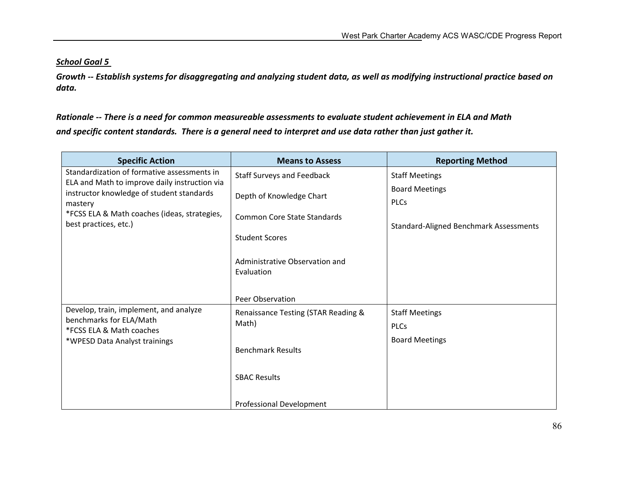*Growth -- Establish systems for disaggregating and analyzing student data, as well as modifying instructional practice based on data.*

*Rationale -- There is a need for common measureable assessments to evaluate student achievement in ELA and Math and specific content standards. There is a general need to interpret and use data rather than just gather it.*

| <b>Specific Action</b>                                                                     | <b>Means to Assess</b>                       | <b>Reporting Method</b>                |
|--------------------------------------------------------------------------------------------|----------------------------------------------|----------------------------------------|
| Standardization of formative assessments in                                                | <b>Staff Surveys and Feedback</b>            | <b>Staff Meetings</b>                  |
| ELA and Math to improve daily instruction via<br>instructor knowledge of student standards | Depth of Knowledge Chart                     | <b>Board Meetings</b>                  |
| mastery                                                                                    |                                              | <b>PLCs</b>                            |
| *FCSS ELA & Math coaches (ideas, strategies,<br>best practices, etc.)                      | <b>Common Core State Standards</b>           | Standard-Aligned Benchmark Assessments |
|                                                                                            | <b>Student Scores</b>                        |                                        |
|                                                                                            |                                              |                                        |
|                                                                                            | Administrative Observation and<br>Evaluation |                                        |
|                                                                                            |                                              |                                        |
|                                                                                            | Peer Observation                             |                                        |
| Develop, train, implement, and analyze                                                     | Renaissance Testing (STAR Reading &          | <b>Staff Meetings</b>                  |
| benchmarks for ELA/Math<br>*FCSS ELA & Math coaches                                        | Math)                                        | <b>PLCs</b>                            |
| *WPESD Data Analyst trainings                                                              |                                              | <b>Board Meetings</b>                  |
|                                                                                            | <b>Benchmark Results</b>                     |                                        |
|                                                                                            | <b>SBAC Results</b>                          |                                        |
|                                                                                            |                                              |                                        |
|                                                                                            | Professional Development                     |                                        |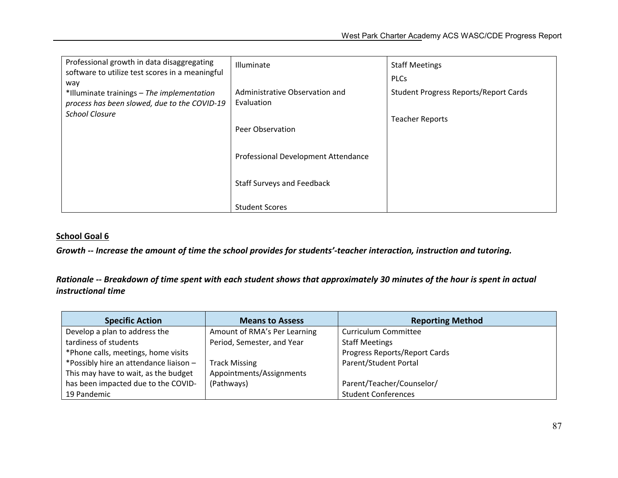| Professional growth in data disaggregating                            | Illuminate                          | <b>Staff Meetings</b>                        |
|-----------------------------------------------------------------------|-------------------------------------|----------------------------------------------|
| software to utilize test scores in a meaningful<br>way                |                                     | <b>PLCs</b>                                  |
| *Illuminate trainings - The implementation                            | Administrative Observation and      | <b>Student Progress Reports/Report Cards</b> |
| process has been slowed, due to the COVID-19<br><b>School Closure</b> | Evaluation                          |                                              |
|                                                                       |                                     | <b>Teacher Reports</b>                       |
|                                                                       | Peer Observation                    |                                              |
|                                                                       | Professional Development Attendance |                                              |
|                                                                       | <b>Staff Surveys and Feedback</b>   |                                              |
|                                                                       | <b>Student Scores</b>               |                                              |

*Growth -- Increase the amount of time the school provides for students'-teacher interaction, instruction and tutoring.*

*Rationale -- Breakdown of time spent with each student shows that approximately 30 minutes of the hour is spent in actual instructional time*

| <b>Specific Action</b>                 | <b>Means to Assess</b>       | <b>Reporting Method</b>       |
|----------------------------------------|------------------------------|-------------------------------|
| Develop a plan to address the          | Amount of RMA's Per Learning | <b>Curriculum Committee</b>   |
| tardiness of students                  | Period, Semester, and Year   | <b>Staff Meetings</b>         |
| *Phone calls, meetings, home visits    |                              | Progress Reports/Report Cards |
| *Possibly hire an attendance liaison - | <b>Track Missing</b>         | Parent/Student Portal         |
| This may have to wait, as the budget   | Appointments/Assignments     |                               |
| has been impacted due to the COVID-    | (Pathways)                   | Parent/Teacher/Counselor/     |
| 19 Pandemic                            |                              | <b>Student Conferences</b>    |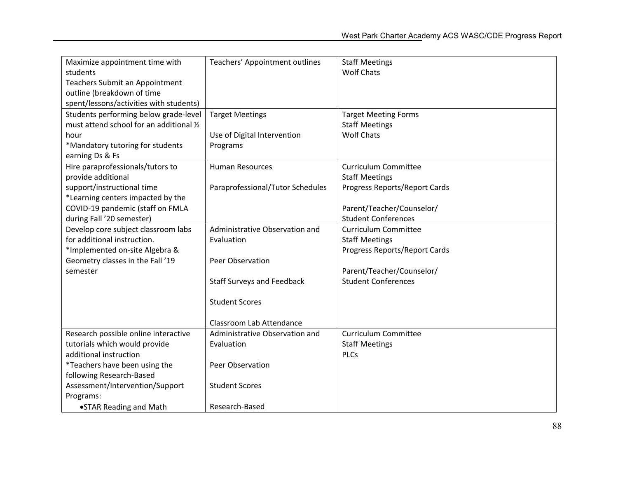| Maximize appointment time with           | Teachers' Appointment outlines    | <b>Staff Meetings</b>         |
|------------------------------------------|-----------------------------------|-------------------------------|
| students                                 |                                   | <b>Wolf Chats</b>             |
| Teachers Submit an Appointment           |                                   |                               |
| outline (breakdown of time               |                                   |                               |
| spent/lessons/activities with students)  |                                   |                               |
| Students performing below grade-level    | <b>Target Meetings</b>            | <b>Target Meeting Forms</b>   |
| must attend school for an additional 1/2 |                                   | <b>Staff Meetings</b>         |
| hour                                     | Use of Digital Intervention       | <b>Wolf Chats</b>             |
| *Mandatory tutoring for students         | Programs                          |                               |
| earning Ds & Fs                          |                                   |                               |
| Hire paraprofessionals/tutors to         | <b>Human Resources</b>            | <b>Curriculum Committee</b>   |
| provide additional                       |                                   | <b>Staff Meetings</b>         |
| support/instructional time               | Paraprofessional/Tutor Schedules  | Progress Reports/Report Cards |
| *Learning centers impacted by the        |                                   |                               |
| COVID-19 pandemic (staff on FMLA         |                                   | Parent/Teacher/Counselor/     |
| during Fall '20 semester)                |                                   | <b>Student Conferences</b>    |
| Develop core subject classroom labs      | Administrative Observation and    | <b>Curriculum Committee</b>   |
| for additional instruction.              | Evaluation                        | <b>Staff Meetings</b>         |
| *Implemented on-site Algebra &           |                                   | Progress Reports/Report Cards |
| Geometry classes in the Fall '19         | Peer Observation                  |                               |
| semester                                 |                                   | Parent/Teacher/Counselor/     |
|                                          | <b>Staff Surveys and Feedback</b> | <b>Student Conferences</b>    |
|                                          |                                   |                               |
|                                          | <b>Student Scores</b>             |                               |
|                                          |                                   |                               |
|                                          | Classroom Lab Attendance          |                               |
| Research possible online interactive     | Administrative Observation and    | <b>Curriculum Committee</b>   |
| tutorials which would provide            | Evaluation                        | <b>Staff Meetings</b>         |
| additional instruction                   |                                   | <b>PLCs</b>                   |
| *Teachers have been using the            | Peer Observation                  |                               |
| following Research-Based                 |                                   |                               |
| Assessment/Intervention/Support          | <b>Student Scores</b>             |                               |
| Programs:                                |                                   |                               |
| •STAR Reading and Math                   | Research-Based                    |                               |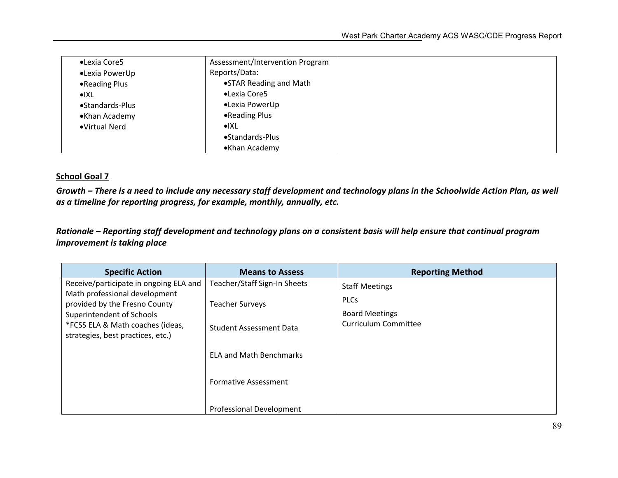| •Lexia Core5             | Assessment/Intervention Program |  |  |  |  |
|--------------------------|---------------------------------|--|--|--|--|
| •Lexia PowerUp           | Reports/Data:                   |  |  |  |  |
| •Reading Plus            | •STAR Reading and Math          |  |  |  |  |
| $\bullet$ $\mathsf{IXL}$ | •Lexia Core5                    |  |  |  |  |
| •Standards-Plus          | •Lexia PowerUp                  |  |  |  |  |
| •Khan Academy            | •Reading Plus                   |  |  |  |  |
| •Virtual Nerd            | $\bullet$ $\mathsf{XXL}$        |  |  |  |  |
|                          | •Standards-Plus                 |  |  |  |  |
|                          | •Khan Academy                   |  |  |  |  |

*Growth – There is a need to include any necessary staff development and technology plans in the Schoolwide Action Plan, as well as a timeline for reporting progress, for example, monthly, annually, etc.* 

*Rationale – Reporting staff development and technology plans on a consistent basis will help ensure that continual program improvement is taking place*

| <b>Means to Assess</b>                                                                                                                      | <b>Reporting Method</b>                                                               |
|---------------------------------------------------------------------------------------------------------------------------------------------|---------------------------------------------------------------------------------------|
| Teacher/Staff Sign-In Sheets<br><b>Teacher Surveys</b><br>Student Assessment Data<br><b>ELA and Math Benchmarks</b><br>Formative Assessment | <b>Staff Meetings</b><br><b>PLCs</b><br><b>Board Meetings</b><br>Curriculum Committee |
|                                                                                                                                             | Professional Development                                                              |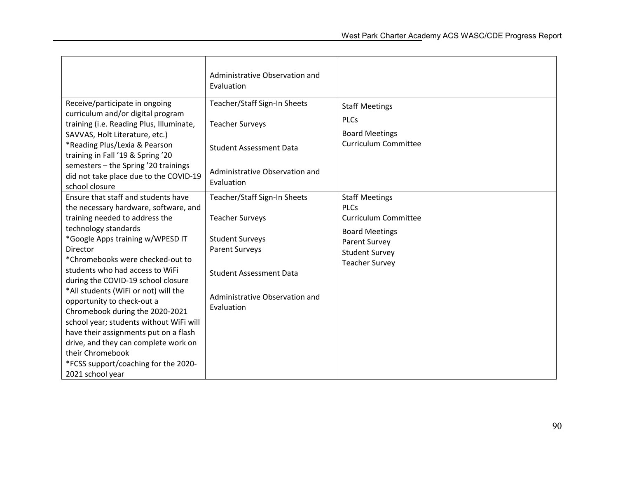|                                                                                                                                                                                                                                                                                                                                                                                                                                                                                                                                                                                                                          | Administrative Observation and<br>Evaluation                                                                                                                                                |                                                                                                                                                                 |
|--------------------------------------------------------------------------------------------------------------------------------------------------------------------------------------------------------------------------------------------------------------------------------------------------------------------------------------------------------------------------------------------------------------------------------------------------------------------------------------------------------------------------------------------------------------------------------------------------------------------------|---------------------------------------------------------------------------------------------------------------------------------------------------------------------------------------------|-----------------------------------------------------------------------------------------------------------------------------------------------------------------|
| Receive/participate in ongoing<br>curriculum and/or digital program<br>training (i.e. Reading Plus, Illuminate,<br>SAVVAS, Holt Literature, etc.)<br>*Reading Plus/Lexia & Pearson<br>training in Fall '19 & Spring '20<br>semesters - the Spring '20 trainings<br>did not take place due to the COVID-19<br>school closure                                                                                                                                                                                                                                                                                              | Teacher/Staff Sign-In Sheets<br><b>Teacher Surveys</b><br><b>Student Assessment Data</b><br>Administrative Observation and<br><b>Fyaluation</b>                                             | <b>Staff Meetings</b><br><b>PLCs</b><br><b>Board Meetings</b><br><b>Curriculum Committee</b>                                                                    |
| Ensure that staff and students have<br>the necessary hardware, software, and<br>training needed to address the<br>technology standards<br>*Google Apps training w/WPESD IT<br>Director<br>*Chromebooks were checked-out to<br>students who had access to WiFi<br>during the COVID-19 school closure<br>*All students (WiFi or not) will the<br>opportunity to check-out a<br>Chromebook during the 2020-2021<br>school year; students without WiFi will<br>have their assignments put on a flash<br>drive, and they can complete work on<br>their Chromebook<br>*FCSS support/coaching for the 2020-<br>2021 school year | Teacher/Staff Sign-In Sheets<br><b>Teacher Surveys</b><br><b>Student Surveys</b><br><b>Parent Surveys</b><br><b>Student Assessment Data</b><br>Administrative Observation and<br>Evaluation | <b>Staff Meetings</b><br><b>PLCs</b><br><b>Curriculum Committee</b><br><b>Board Meetings</b><br>Parent Survey<br><b>Student Survey</b><br><b>Teacher Survey</b> |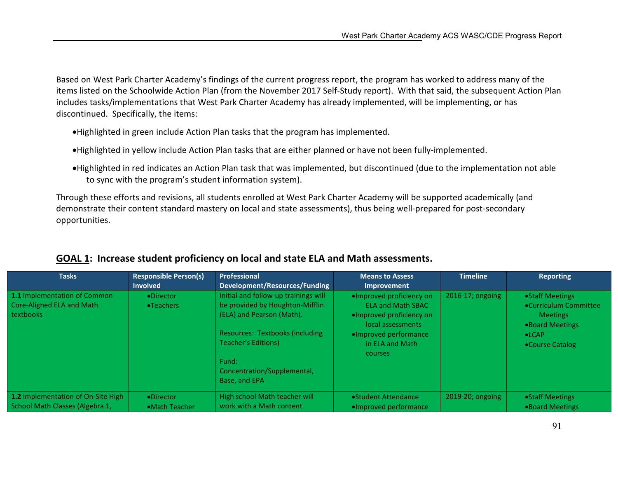Based on West Park Charter Academy's findings of the current progress report, the program has worked to address many of the items listed on the Schoolwide Action Plan (from the November 2017 Self-Study report). With that said, the subsequent Action Plan includes tasks/implementations that West Park Charter Academy has already implemented, will be implementing, or has discontinued. Specifically, the items:

- Highlighted in green include Action Plan tasks that the program has implemented.
- Highlighted in yellow include Action Plan tasks that are either planned or have not been fully-implemented.
- Highlighted in red indicates an Action Plan task that was implemented, but discontinued (due to the implementation not able to sync with the program's student information system).

Through these efforts and revisions, all students enrolled at West Park Charter Academy will be supported academically (and demonstrate their content standard mastery on local and state assessments), thus being well-prepared for post-secondary opportunities.

| <b>Tasks</b>                       | <b>Responsible Person(s)</b> | Professional                         | <b>Means to Assess</b>   | <b>Timeline</b>  | <b>Reporting</b>      |
|------------------------------------|------------------------------|--------------------------------------|--------------------------|------------------|-----------------------|
|                                    | <b>Involved</b>              | Development/Resources/Funding        | Improvement              |                  |                       |
| 1.1 Implementation of Common       | •Director                    | Initial and follow-up trainings will | ·Improved proficiency on | 2016-17; ongoing | • Staff Meetings      |
| Core-Aligned ELA and Math          | •Teachers                    | be provided by Houghton-Mifflin      | <b>ELA and Math SBAC</b> |                  | •Curriculum Committee |
| <b>textbooks</b>                   |                              | (ELA) and Pearson (Math).            | •Improved proficiency on |                  | <b>Meetings</b>       |
|                                    |                              |                                      | local assessments        |                  | •Board Meetings       |
|                                    |                              | Resources: Textbooks (including      | . Improved performance   |                  | $\bullet$ LCAP        |
|                                    |                              | Teacher's Editions)                  | in ELA and Math          |                  | •Course Catalog       |
|                                    |                              |                                      | <b>courses</b>           |                  |                       |
|                                    |                              | Fund:                                |                          |                  |                       |
|                                    |                              | Concentration/Supplemental,          |                          |                  |                       |
|                                    |                              | Base, and EPA                        |                          |                  |                       |
|                                    |                              |                                      |                          |                  |                       |
| 1.2 Implementation of On-Site High | •Director                    | High school Math teacher will        | • Student Attendance     | 2019-20; ongoing | • Staff Meetings      |
| School Math Classes (Algebra 1,    | • Math Teacher               | work with a Math content             | . Improved performance   |                  | •Board Meetings       |

### GOAL 1: Increase student proficiency on local and state ELA and Math assessments.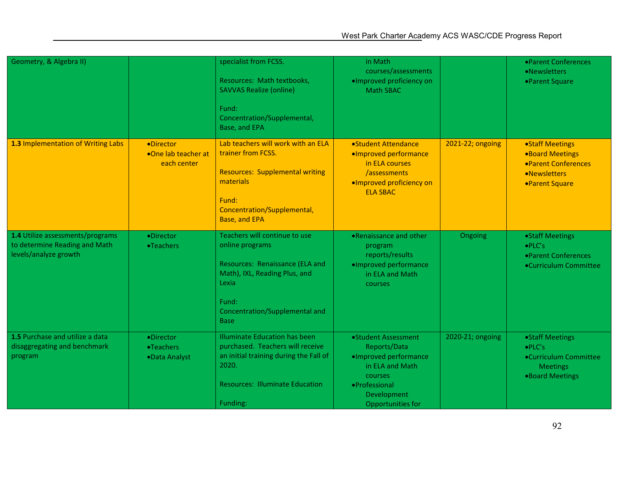| Geometry, & Algebra II)                                                                    |                                                 | specialist from FCSS.<br>Resources: Math textbooks,<br><b>SAVVAS Realize (online)</b><br>Fund:<br>Concentration/Supplemental,<br>Base, and EPA                                          | in Math<br>courses/assessments<br>·Improved proficiency on<br><b>Math SBAC</b>                                                                  |                  | • Parent Conferences<br>•Newsletters<br>•Parent Square                                              |
|--------------------------------------------------------------------------------------------|-------------------------------------------------|-----------------------------------------------------------------------------------------------------------------------------------------------------------------------------------------|-------------------------------------------------------------------------------------------------------------------------------------------------|------------------|-----------------------------------------------------------------------------------------------------|
| 1.3 Implementation of Writing Labs                                                         | •Director<br>•One lab teacher at<br>each center | Lab teachers will work with an ELA<br>trainer from FCSS.<br><b>Resources: Supplemental writing</b><br>materials<br>Fund:<br>Concentration/Supplemental,<br>Base, and EPA                | • Student Attendance<br>·Improved performance<br>in ELA courses<br>/assessments<br>·Improved proficiency on<br><b>ELA SBAC</b>                  | 2021-22; ongoing | •Staff Meetings<br><b>.Board Meetings</b><br>• Parent Conferences<br>•Newsletters<br>•Parent Square |
| 1.4 Utilize assessments/programs<br>to determine Reading and Math<br>levels/analyze growth | ·Director<br>•Teachers                          | Teachers will continue to use<br>online programs<br>Resources: Renaissance (ELA and<br>Math), IXL, Reading Plus, and<br>Lexia<br>Fund:<br>Concentration/Supplemental and<br><b>Base</b> | •Renaissance and other<br>program<br>reports/results<br>·Improved performance<br>in ELA and Math<br>courses                                     | Ongoing          | •Staff Meetings<br>$\bullet$ PLC's<br>• Parent Conferences<br>•Curriculum Committee                 |
| 1.5 Purchase and utilize a data<br>disaggregating and benchmark<br>program                 | •Director<br>•Teachers<br>•Data Analyst         | <b>Illuminate Education has been</b><br>purchased. Teachers will receive<br>an initial training during the Fall of<br>2020.<br><b>Resources: Illuminate Education</b><br>Funding:       | •Student Assessment<br>Reports/Data<br>·Improved performance<br>in ELA and Math<br>courses<br>·Professional<br>Development<br>Opportunities for | 2020-21; ongoing | •Staff Meetings<br>$\bullet$ PLC's<br>•Curriculum Committee<br><b>Meetings</b><br>.Board Meetings   |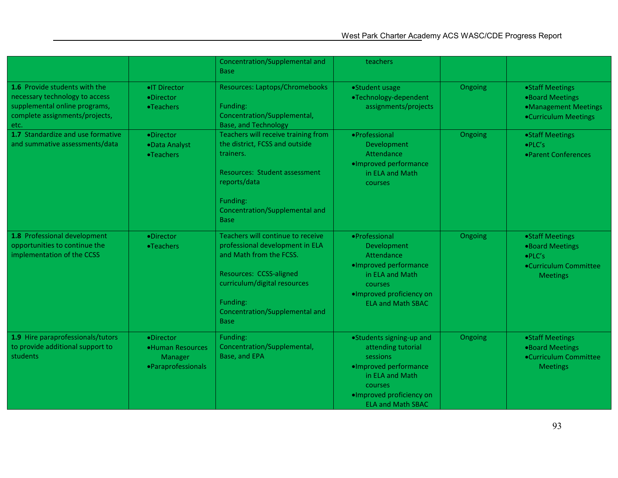|                                                                                                                                                   |                                                                | Concentration/Supplemental and<br><b>Base</b>                                                                                                                                                                           | teachers                                                                                                                                                                  |         |                                                                                                   |
|---------------------------------------------------------------------------------------------------------------------------------------------------|----------------------------------------------------------------|-------------------------------------------------------------------------------------------------------------------------------------------------------------------------------------------------------------------------|---------------------------------------------------------------------------------------------------------------------------------------------------------------------------|---------|---------------------------------------------------------------------------------------------------|
| <b>1.6</b> Provide students with the<br>necessary technology to access<br>supplemental online programs,<br>complete assignments/projects,<br>etc. | • T Director<br>•Director<br>•Teachers                         | Resources: Laptops/Chromebooks<br>Funding:<br>Concentration/Supplemental,<br><b>Base, and Technology</b>                                                                                                                | •Student usage<br>•Technology-dependent<br>assignments/projects                                                                                                           | Ongoing | • Staff Meetings<br>•Board Meetings<br>•Management Meetings<br>•Curriculum Meetings               |
| 1.7 Standardize and use formative<br>and summative assessments/data                                                                               | ·Director<br>·Data Analyst<br>•Teachers                        | Teachers will receive training from<br>the district, FCSS and outside<br>trainers.<br><b>Resources: Student assessment</b><br>reports/data<br>Funding:<br>Concentration/Supplemental and<br><b>Base</b>                 | ·Professional<br>Development<br>Attendance<br>·Improved performance<br>in ELA and Math<br><b>courses</b>                                                                  | Ongoing | •Staff Meetings<br>$\bullet$ PLC's<br>• Parent Conferences                                        |
| 1.8 Professional development<br>opportunities to continue the<br>implementation of the CCSS                                                       | ·Director<br>•Teachers                                         | Teachers will continue to receive<br>professional development in ELA<br>and Math from the FCSS.<br>Resources: CCSS-aligned<br>curriculum/digital resources<br>Funding:<br>Concentration/Supplemental and<br><b>Base</b> | • Professional<br>Development<br>Attendance<br>·Improved performance<br>in ELA and Math<br><b>courses</b><br>·Improved proficiency on<br><b>ELA and Math SBAC</b>         | Ongoing | •Staff Meetings<br>.Board Meetings<br>$\bullet$ PLC's<br>•Curriculum Committee<br><b>Meetings</b> |
| 1.9 Hire paraprofessionals/tutors<br>to provide additional support to<br>students                                                                 | ·Director<br>•Human Resources<br>Manager<br>·Paraprofessionals | Funding:<br>Concentration/Supplemental,<br>Base, and EPA                                                                                                                                                                | •Students signing-up and<br>attending tutorial<br>sessions<br>·Improved performance<br>in ELA and Math<br>courses<br>·Improved proficiency on<br><b>ELA and Math SBAC</b> | Ongoing | •Staff Meetings<br>.Board Meetings<br>•Curriculum Committee<br><b>Meetings</b>                    |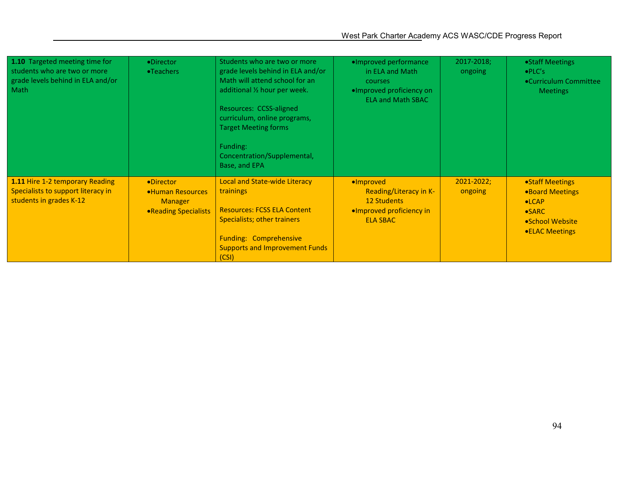| 1.10 Targeted meeting time for<br>students who are two or more<br>grade levels behind in ELA and/or<br>Math | •Director<br>•Teachers                                                   | Students who are two or more<br>grade levels behind in ELA and/or<br>Math will attend school for an<br>additional 1/2 hour per week.<br>Resources: CCSS-aligned<br>curriculum, online programs,<br><b>Target Meeting forms</b><br>Funding:<br>Concentration/Supplemental,<br>Base, and EPA | ·Improved performance<br>in ELA and Math<br>courses<br>·Improved proficiency on<br><b>ELA and Math SBAC</b> | 2017-2018;<br>ongoing | • Staff Meetings<br>$\bullet$ PLC's<br>•Curriculum Committee<br><b>Meetings</b>                                |
|-------------------------------------------------------------------------------------------------------------|--------------------------------------------------------------------------|--------------------------------------------------------------------------------------------------------------------------------------------------------------------------------------------------------------------------------------------------------------------------------------------|-------------------------------------------------------------------------------------------------------------|-----------------------|----------------------------------------------------------------------------------------------------------------|
| 1.11 Hire 1-2 temporary Reading<br>Specialists to support literacy in<br>students in grades K-12            | •Director<br>•Human Resources<br><b>Manager</b><br>• Reading Specialists | <b>Local and State-wide Literacy</b><br>trainings<br><b>Resources: FCSS ELA Content</b><br>Specialists; other trainers<br><b>Funding: Comprehensive</b><br><b>Supports and Improvement Funds</b><br>(CSI)                                                                                  | ·Improved<br>Reading/Literacy in K-<br><b>12 Students</b><br>•Improved proficiency in<br><b>ELA SBAC</b>    | 2021-2022;<br>ongoing | • Staff Meetings<br>•Board Meetings<br>$\bullet$ LCAP<br>$\bullet$ SARC<br>• School Website<br>• ELAC Meetings |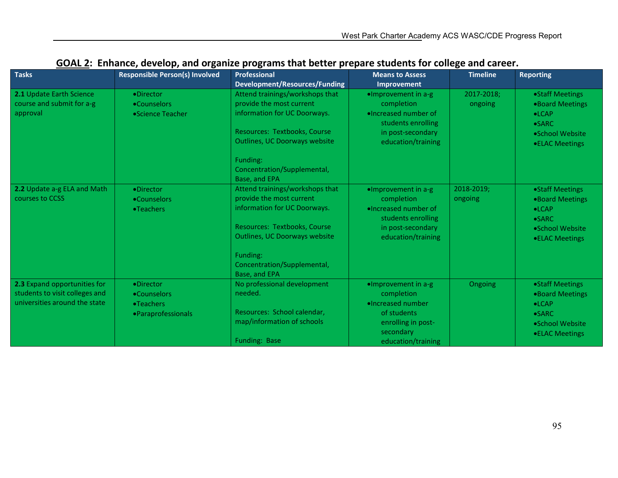| <b>Tasks</b>                                                                                    | <b>Responsible Person(s) Involved</b>                        | <b>Professional</b><br><b>Development/Resources/Funding</b>                                                                                                                                                                     | <b>Means to Assess</b><br>Improvement                                                                                                | <b>Timeline</b>       | <b>Reporting</b>                                                                                            |
|-------------------------------------------------------------------------------------------------|--------------------------------------------------------------|---------------------------------------------------------------------------------------------------------------------------------------------------------------------------------------------------------------------------------|--------------------------------------------------------------------------------------------------------------------------------------|-----------------------|-------------------------------------------------------------------------------------------------------------|
| 2.1 Update Earth Science<br>course and submit for a-g<br>approval                               | ·Director<br>•Counselors<br>•Science Teacher                 | Attend trainings/workshops that<br>provide the most current<br>information for UC Doorways.<br>Resources: Textbooks, Course<br><b>Outlines, UC Doorways website</b><br>Funding:<br>Concentration/Supplemental,<br>Base, and EPA | ·Improvement in a-g<br>completion<br>. Increased number of<br>students enrolling<br>in post-secondary<br>education/training          | 2017-2018:<br>ongoing | ·Staff Meetings<br>.Board Meetings<br>$\bullet$ LCAP<br>$\bullet$ SARC<br>•School Website<br>•ELAC Meetings |
| 2.2 Update a-g ELA and Math<br>courses to CCSS                                                  | ·Director<br>•Counselors<br>•Teachers                        | Attend trainings/workshops that<br>provide the most current<br>information for UC Doorways.<br>Resources: Textbooks, Course<br><b>Outlines, UC Doorways website</b><br>Funding:<br>Concentration/Supplemental,<br>Base, and EPA | $\bullet$ Improvement in a-g<br>completion<br>. Increased number of<br>students enrolling<br>in post-secondary<br>education/training | 2018-2019:<br>ongoing | •Staff Meetings<br>•Board Meetings<br>$\bullet$ LCAP<br>$\bullet$ SARC<br>•School Website<br>•ELAC Meetings |
| 2.3 Expand opportunities for<br>students to visit colleges and<br>universities around the state | ·Director<br>•Counselors<br>•Teachers<br>• Paraprofessionals | No professional development<br>needed.<br>Resources: School calendar,<br>map/information of schools<br>Funding: Base                                                                                                            | ·Improvement in a-g<br>completion<br>·Increased number<br>of students<br>enrolling in post-<br>secondary<br>education/training       | Ongoing               | •Staff Meetings<br>•Board Meetings<br>$\bullet$ LCAP<br>$\bullet$ SARC<br>•School Website<br>•ELAC Meetings |

## GOAL 2: Enhance, develop, and organize programs that better prepare students for college and career.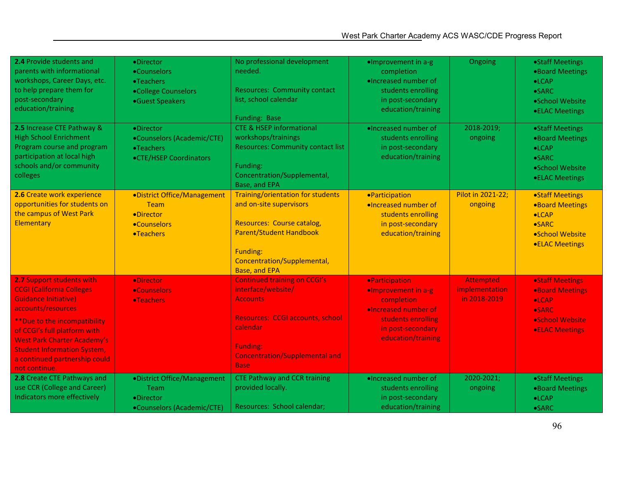| 2.4 Provide students and<br>parents with informational<br>workshops, Career Days, etc.<br>to help prepare them for<br>post-secondary<br>education/training                                                                                                                                                         | ·Director<br>•Counselors<br><b>•Teachers</b><br>•College Counselors<br>•Guest Speakers | No professional development<br>needed.<br><b>Resources: Community contact</b><br>list, school calendar<br><b>Funding: Base</b>                                                                          | ·Improvement in a-g<br>completion<br>·Increased number of<br>students enrolling<br>in post-secondary<br>education/training                                 | Ongoing                                            | •Staff Meetings<br>.Board Meetings<br>$\bullet$ LCAP<br>$\bullet$ SARC<br>•School Website<br>•ELAC Meetings             |
|--------------------------------------------------------------------------------------------------------------------------------------------------------------------------------------------------------------------------------------------------------------------------------------------------------------------|----------------------------------------------------------------------------------------|---------------------------------------------------------------------------------------------------------------------------------------------------------------------------------------------------------|------------------------------------------------------------------------------------------------------------------------------------------------------------|----------------------------------------------------|-------------------------------------------------------------------------------------------------------------------------|
| 2.5 Increase CTE Pathway &<br><b>High School Enrichment</b><br>Program course and program<br>participation at local high<br>schools and/or community<br>colleges                                                                                                                                                   | •Director<br>•Counselors (Academic/CTE)<br>•Teachers<br>•CTE/HSEP Coordinators         | <b>CTE &amp; HSEP informational</b><br>workshops/trainings<br><b>Resources: Community contact list</b><br>Funding:<br>Concentration/Supplemental,<br>Base, and EPA                                      | ·Increased number of<br>students enrolling<br>in post-secondary<br>education/training                                                                      | 2018-2019;<br>ongoing                              | •Staff Meetings<br>•Board Meetings<br>$\bullet$ LCAP<br>$\bullet$ SARC<br>•School Website<br>•ELAC Meetings             |
| 2.6 Create work experience<br>opportunities for students on<br>the campus of West Park<br>Elementary                                                                                                                                                                                                               | ·District Office/Management<br><b>Team</b><br>•Director<br>•Counselors<br>•Teachers    | Training/orientation for students<br>and on-site supervisors<br>Resources: Course catalog,<br><b>Parent/Student Handbook</b><br>Funding:<br>Concentration/Supplemental,<br><b>Base, and EPA</b>         | <b>•Participation</b><br>·Increased number of<br>students enrolling<br>in post-secondary<br>education/training                                             | Pilot in 2021-22;<br>ongoing                       | <b>•Staff Meetings</b><br><b>.Board Meetings</b><br>$\bullet$ LCAP<br>•SARC<br>•School Website<br><b>.ELAC Meetings</b> |
| 2.7 Support students with<br><b>CCGI (California Colleges)</b><br><b>Guidance Initiative)</b><br>accounts/resources<br>** Due to the incompatibility<br>of CCGI's full platform with<br><b>West Park Charter Academy's</b><br><b>Student Information System,</b><br>a continued partnership could<br>not continue. | <b>•Director</b><br><b>•Counselors</b><br><b>•Teachers</b>                             | <b>Continued training on CCGI's</b><br>interface/website/<br><b>Accounts</b><br>Resources: CCGI accounts, school<br>calendar<br><b>Funding:</b><br><b>Concentration/Supplemental and</b><br><b>Base</b> | <b>•Participation</b><br>.Improvement in a-g<br>completion<br><b>.Increased number of</b><br>students enrolling<br>in post-secondary<br>education/training | <b>Attempted</b><br>implementation<br>in 2018-2019 | <b>.Staff Meetings</b><br>.Board Meetings<br>$\bullet$ LCAP<br><b>•SARC</b><br>·School Website<br><b>.ELAC Meetings</b> |
| 2.8 Create CTE Pathways and<br>use CCR (College and Career)<br>Indicators more effectively                                                                                                                                                                                                                         | ·District Office/Management<br>Team<br>·Director<br>•Counselors (Academic/CTE)         | <b>CTE Pathway and CCR training</b><br>provided locally.<br>Resources: School calendar;                                                                                                                 | . Increased number of<br>students enrolling<br>in post-secondary<br>education/training                                                                     | 2020-2021;<br>ongoing                              | •Staff Meetings<br>•Board Meetings<br>$\bullet$ LCAP<br>$\bullet$ SARC                                                  |